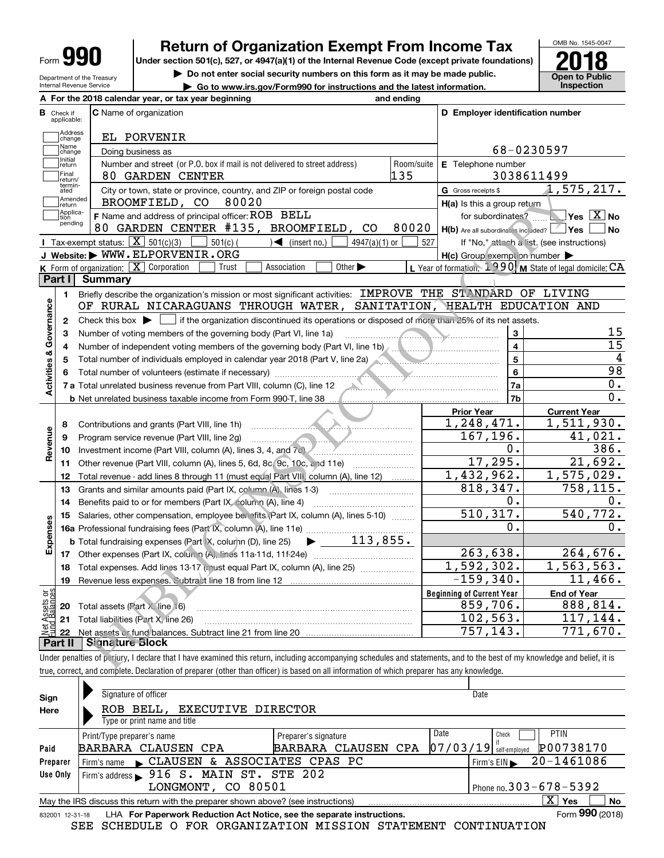| ïΠ<br>Form<br>c. |
|------------------|
|------------------|

Department of the Treasury

# **Return of Organization Exempt From Income Tax**

**Under section 501(c), 527, or 4947(a)(1) of the Internal Revenue Code (except private foundations) 2018**

**| Do not enter social security numbers on this form as it may be made public.**

**| Go to www.irs.gov/Form990 for instructions and the latest information. Inspection**



Under penalties of perjury, I declare that I have examined this return, including accompanying schedules and statements, and to the best of my knowledge and belief, it is true, correct, and complete. Declaration of preparer (other than officer) is based on all information of which preparer has any knowledge.

| Sign            | Signature of officer                                                                                 |                      | Date                                     |  |  |  |  |  |  |  |  |  |
|-----------------|------------------------------------------------------------------------------------------------------|----------------------|------------------------------------------|--|--|--|--|--|--|--|--|--|
| Here            | ROB BELL, EXECUTIVE DIRECTOR                                                                         |                      |                                          |  |  |  |  |  |  |  |  |  |
|                 | Type or print name and title                                                                         |                      |                                          |  |  |  |  |  |  |  |  |  |
|                 | Print/Type preparer's name                                                                           | Preparer's signature | Date<br><b>PTIN</b><br>Check             |  |  |  |  |  |  |  |  |  |
| Paid            | BARBARA CLAUSEN CPA                                                                                  | BARBARA CLAUSEN CPA  | P00738170<br> 07/03/19 <br>self-emploved |  |  |  |  |  |  |  |  |  |
| Preparer        | Firm's name CLAUSEN                                                                                  | & ASSOCIATES CPAS PC | 20-1461086<br>Firm's $EIN$               |  |  |  |  |  |  |  |  |  |
| Use Only        | Firm's address > 916 S. MAIN ST. STE 202                                                             |                      |                                          |  |  |  |  |  |  |  |  |  |
|                 | LONGMONT, CO 80501                                                                                   |                      | Phone no. $303 - 678 - 5392$             |  |  |  |  |  |  |  |  |  |
|                 | ΧI<br>Yes<br>No<br>May the IRS discuss this return with the preparer shown above? (see instructions) |                      |                                          |  |  |  |  |  |  |  |  |  |
| 832001 12-31-18 | LHA For Paperwork Reduction Act Notice, see the separate instructions.                               |                      | Form 990 (2018)                          |  |  |  |  |  |  |  |  |  |
|                 | SEE SCHEDULE O FOR ORGANIZATION MISSION STATEMENT CONTINUATION                                       |                      |                                          |  |  |  |  |  |  |  |  |  |

OMB No. 1545-0047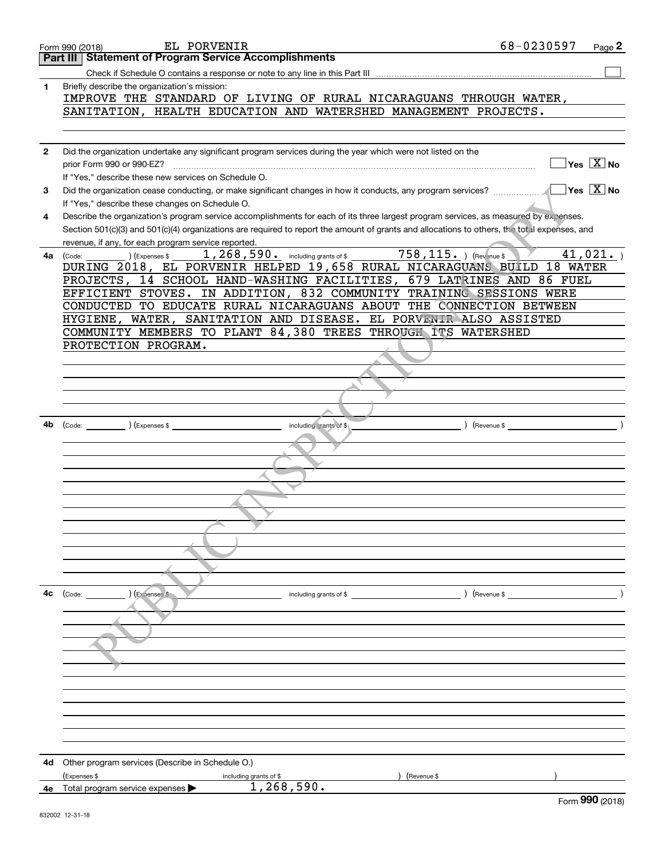|              | 68-0230597<br>EL PORVENIR<br>Form 990 (2018)<br>Page 2                                                                                                                                                                                                                                                                                                                                       |
|--------------|----------------------------------------------------------------------------------------------------------------------------------------------------------------------------------------------------------------------------------------------------------------------------------------------------------------------------------------------------------------------------------------------|
|              | <b>Statement of Program Service Accomplishments</b><br>Part III                                                                                                                                                                                                                                                                                                                              |
|              |                                                                                                                                                                                                                                                                                                                                                                                              |
| 1            |                                                                                                                                                                                                                                                                                                                                                                                              |
|              | Briefly describe the organization's mission:                                                                                                                                                                                                                                                                                                                                                 |
|              | IMPROVE THE STANDARD OF LIVING OF RURAL NICARAGUANS THROUGH WATER,                                                                                                                                                                                                                                                                                                                           |
|              | SANITATION, HEALTH EDUCATION AND WATERSHED MANAGEMENT PROJECTS.                                                                                                                                                                                                                                                                                                                              |
|              |                                                                                                                                                                                                                                                                                                                                                                                              |
|              |                                                                                                                                                                                                                                                                                                                                                                                              |
| $\mathbf{2}$ | Did the organization undertake any significant program services during the year which were not listed on the                                                                                                                                                                                                                                                                                 |
|              | $\sqrt{}$ Yes $\sqrt{}$ X $\sqrt{}$ No                                                                                                                                                                                                                                                                                                                                                       |
|              |                                                                                                                                                                                                                                                                                                                                                                                              |
|              | If "Yes," describe these new services on Schedule O.                                                                                                                                                                                                                                                                                                                                         |
| 3            |                                                                                                                                                                                                                                                                                                                                                                                              |
|              | If "Yes," describe these changes on Schedule O.                                                                                                                                                                                                                                                                                                                                              |
| 4            | Describe the organization's program service accomplishments for each of its three largest program services, as measured by expenses.                                                                                                                                                                                                                                                         |
|              | Section 501(c)(3) and 501(c)(4) organizations are required to report the amount of grants and allocations to others, the total expenses, and                                                                                                                                                                                                                                                 |
|              | revenue, if any, for each program service reported.                                                                                                                                                                                                                                                                                                                                          |
|              | 758, 115. ) (Revenue \$<br>$1,268,590$ and including grants of \$<br>41,021.                                                                                                                                                                                                                                                                                                                 |
| 4a           | ) (Expenses \$<br>(Code:                                                                                                                                                                                                                                                                                                                                                                     |
|              | DURING 2018, EL PORVENIR HELPED 19,658 RURAL NICARAGUANS BUILD 18 WATER                                                                                                                                                                                                                                                                                                                      |
|              | PROJECTS, 14 SCHOOL HAND-WASHING FACILITIES, 679 LATRINES AND 86 FUEL                                                                                                                                                                                                                                                                                                                        |
|              | EFFICIENT STOVES. IN ADDITION, 832 COMMUNITY TRAINING SESSIONS WERE                                                                                                                                                                                                                                                                                                                          |
|              | CONDUCTED TO EDUCATE RURAL NICARAGUANS ABOUT THE CONNECTION BETWEEN                                                                                                                                                                                                                                                                                                                          |
|              | HYGIENE, WATER, SANITATION AND DISEASE. EL PORVENIR ALSO ASSISTED                                                                                                                                                                                                                                                                                                                            |
|              | COMMUNITY MEMBERS TO PLANT 84,380 TREES THROUGH ITS WATERSHED                                                                                                                                                                                                                                                                                                                                |
|              | PROTECTION PROGRAM.                                                                                                                                                                                                                                                                                                                                                                          |
|              |                                                                                                                                                                                                                                                                                                                                                                                              |
|              |                                                                                                                                                                                                                                                                                                                                                                                              |
|              |                                                                                                                                                                                                                                                                                                                                                                                              |
|              |                                                                                                                                                                                                                                                                                                                                                                                              |
|              |                                                                                                                                                                                                                                                                                                                                                                                              |
|              |                                                                                                                                                                                                                                                                                                                                                                                              |
| 4b           | $\begin{picture}(180,10) \put(0,0){\vector(1,0){100}} \put(15,0){\vector(1,0){100}} \put(15,0){\vector(1,0){100}} \put(15,0){\vector(1,0){100}} \put(15,0){\vector(1,0){100}} \put(15,0){\vector(1,0){100}} \put(15,0){\vector(1,0){100}} \put(15,0){\vector(1,0){100}} \put(15,0){\vector(1,0){100}} \put(15,0){\vector(1,0){100}} \put(15,0){\vector(1,0){100}}$<br>including grants of \$ |
|              |                                                                                                                                                                                                                                                                                                                                                                                              |
|              |                                                                                                                                                                                                                                                                                                                                                                                              |
|              |                                                                                                                                                                                                                                                                                                                                                                                              |
|              |                                                                                                                                                                                                                                                                                                                                                                                              |
|              |                                                                                                                                                                                                                                                                                                                                                                                              |
|              |                                                                                                                                                                                                                                                                                                                                                                                              |
|              |                                                                                                                                                                                                                                                                                                                                                                                              |
|              |                                                                                                                                                                                                                                                                                                                                                                                              |
|              |                                                                                                                                                                                                                                                                                                                                                                                              |
|              |                                                                                                                                                                                                                                                                                                                                                                                              |
|              |                                                                                                                                                                                                                                                                                                                                                                                              |
|              |                                                                                                                                                                                                                                                                                                                                                                                              |
|              |                                                                                                                                                                                                                                                                                                                                                                                              |
|              |                                                                                                                                                                                                                                                                                                                                                                                              |
| 4с           | $\left(\text{Code:}\right)$ $\left(\text{Expenses}\right)$<br>$\sqrt{$ (Revenue \$<br>including grants of $$$                                                                                                                                                                                                                                                                                |
|              |                                                                                                                                                                                                                                                                                                                                                                                              |
|              |                                                                                                                                                                                                                                                                                                                                                                                              |
|              |                                                                                                                                                                                                                                                                                                                                                                                              |
|              |                                                                                                                                                                                                                                                                                                                                                                                              |
|              |                                                                                                                                                                                                                                                                                                                                                                                              |
|              |                                                                                                                                                                                                                                                                                                                                                                                              |
|              |                                                                                                                                                                                                                                                                                                                                                                                              |
|              |                                                                                                                                                                                                                                                                                                                                                                                              |
|              |                                                                                                                                                                                                                                                                                                                                                                                              |
|              |                                                                                                                                                                                                                                                                                                                                                                                              |
|              |                                                                                                                                                                                                                                                                                                                                                                                              |
|              |                                                                                                                                                                                                                                                                                                                                                                                              |
|              |                                                                                                                                                                                                                                                                                                                                                                                              |
|              |                                                                                                                                                                                                                                                                                                                                                                                              |
| 4d -         | Other program services (Describe in Schedule O.)                                                                                                                                                                                                                                                                                                                                             |
|              | (Expenses \$<br>) (Revenue \$<br>including grants of \$                                                                                                                                                                                                                                                                                                                                      |
|              | 1, 268, 590.<br>4e Total program service expenses >                                                                                                                                                                                                                                                                                                                                          |
|              | nnn.                                                                                                                                                                                                                                                                                                                                                                                         |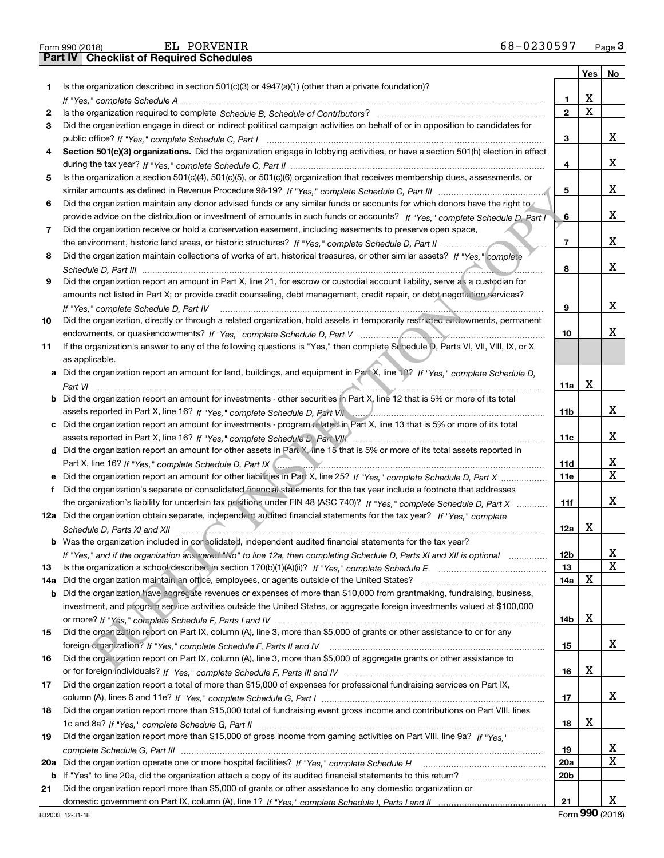| Form 990 (2018) |                                                  | ЕL | PORVENIR | 68-0230597 | $P$ age $\ddot{\bullet}$ |
|-----------------|--------------------------------------------------|----|----------|------------|--------------------------|
|                 | <b>Part IV   Checklist of Required Schedules</b> |    |          |            |                          |

|     |                                                                                                                                                                                                                                                       |                 | <b>Yes</b> | No     |
|-----|-------------------------------------------------------------------------------------------------------------------------------------------------------------------------------------------------------------------------------------------------------|-----------------|------------|--------|
| 1   | Is the organization described in section $501(c)(3)$ or $4947(a)(1)$ (other than a private foundation)?                                                                                                                                               |                 |            |        |
|     |                                                                                                                                                                                                                                                       | 1               | X          |        |
| 2   |                                                                                                                                                                                                                                                       | $\mathbf{2}$    | X          |        |
| 3   | Did the organization engage in direct or indirect political campaign activities on behalf of or in opposition to candidates for                                                                                                                       |                 |            |        |
|     |                                                                                                                                                                                                                                                       | 3               |            | x      |
| 4   | Section 501(c)(3) organizations. Did the organization engage in lobbying activities, or have a section 501(h) election in effect                                                                                                                      |                 |            |        |
|     |                                                                                                                                                                                                                                                       | 4               |            | x      |
| 5   | Is the organization a section 501(c)(4), 501(c)(5), or 501(c)(6) organization that receives membership dues, assessments, or                                                                                                                          |                 |            |        |
|     |                                                                                                                                                                                                                                                       | 5               |            | х      |
| 6   | Did the organization maintain any donor advised funds or any similar funds or accounts for which donors have the right to                                                                                                                             |                 |            |        |
|     | provide advice on the distribution or investment of amounts in such funds or accounts? If "Yes," complete Schedule D. Part I                                                                                                                          | 6               |            | x      |
| 7   | Did the organization receive or hold a conservation easement, including easements to preserve open space,                                                                                                                                             |                 |            |        |
|     |                                                                                                                                                                                                                                                       | 7               |            | х      |
| 8   | Did the organization maintain collections of works of art, historical treasures, or other similar assets? If "Yes," complete                                                                                                                          |                 |            |        |
|     |                                                                                                                                                                                                                                                       | 8               |            | x      |
| 9   | Did the organization report an amount in Part X, line 21, for escrow or custodial account liability, serve as a custodian for                                                                                                                         |                 |            |        |
|     | amounts not listed in Part X; or provide credit counseling, debt management, credit repair, or debt negotiation services?                                                                                                                             |                 |            |        |
|     | If "Yes," complete Schedule D, Part IV                                                                                                                                                                                                                | 9               |            | х      |
| 10  | Did the organization, directly or through a related organization, hold assets in temporarily restricted endowments, permanent                                                                                                                         |                 |            |        |
|     |                                                                                                                                                                                                                                                       | 10              |            | x      |
| 11  | If the organization's answer to any of the following questions is "Yes," then complete Schedule D, Parts VI, VII, VIII, IX, or X                                                                                                                      |                 |            |        |
|     | as applicable.                                                                                                                                                                                                                                        |                 |            |        |
|     | a Did the organization report an amount for land, buildings, and equipment in Part X, line 10? If "Yes," complete Schedule D,                                                                                                                         |                 |            |        |
|     |                                                                                                                                                                                                                                                       | 11a             | X          |        |
|     | <b>b</b> Did the organization report an amount for investments - other securities in Part X, line 12 that is 5% or more of its total                                                                                                                  |                 |            |        |
|     |                                                                                                                                                                                                                                                       | 11 <sub>b</sub> |            | x      |
|     | c Did the organization report an amount for investments - program related in Part X, line 13 that is 5% or more of its total                                                                                                                          |                 |            |        |
|     |                                                                                                                                                                                                                                                       | 11c             |            | x      |
|     | d Did the organization report an amount for other assets in Part X line 15 that is 5% or more of its total assets reported in                                                                                                                         |                 |            |        |
|     |                                                                                                                                                                                                                                                       | <b>11d</b>      |            | х      |
|     |                                                                                                                                                                                                                                                       | 11e             |            | X      |
|     | f Did the organization's separate or consolidated financial statements for the tax year include a footnote that addresses                                                                                                                             |                 |            |        |
|     | the organization's liability for uncertain tax positions under FIN 48 (ASC 740)? If "Yes," complete Schedule D, Part X                                                                                                                                | 11f             |            | x      |
|     | 12a Did the organization obtain separate, independent audited financial statements for the tax year? If "Yes," complete                                                                                                                               |                 |            |        |
|     | Schedule D, Parts XI and XII                                                                                                                                                                                                                          | 12a             | х          |        |
|     | b Was the organization included in consolidated, independent audited financial statements for the tax year?                                                                                                                                           |                 |            |        |
|     | If "Yes," and if the organization answered "No" to line 12a, then completing Schedule D, Parts XI and XII is optional manum                                                                                                                           | 12b             |            | x<br>X |
| 13  |                                                                                                                                                                                                                                                       | 13              | х          |        |
| 14a | Did the organization maintain an office, employees, or agents outside of the United States?                                                                                                                                                           | 14a             |            |        |
| b   | Did the organization have aggregate revenues or expenses of more than \$10,000 from grantmaking, fundraising, business,<br>investment, and program service activities outside the United States, or aggregate foreign investments valued at \$100,000 |                 |            |        |
|     |                                                                                                                                                                                                                                                       | 14b             | X          |        |
| 15  | Did the organization report on Part IX, column (A), line 3, more than \$5,000 of grants or other assistance to or for any                                                                                                                             |                 |            |        |
|     |                                                                                                                                                                                                                                                       | 15              |            | x      |
| 16  | Did the organization report on Part IX, column (A), line 3, more than \$5,000 of aggregate grants or other assistance to                                                                                                                              |                 |            |        |
|     |                                                                                                                                                                                                                                                       | 16              | х          |        |
| 17  | Did the organization report a total of more than \$15,000 of expenses for professional fundraising services on Part IX,                                                                                                                               |                 |            |        |
|     |                                                                                                                                                                                                                                                       | 17              |            | x      |
| 18  | Did the organization report more than \$15,000 total of fundraising event gross income and contributions on Part VIII, lines                                                                                                                          |                 |            |        |
|     |                                                                                                                                                                                                                                                       | 18              | X          |        |
| 19  | Did the organization report more than \$15,000 of gross income from gaming activities on Part VIII, line 9a? If "Yes."                                                                                                                                |                 |            |        |
|     |                                                                                                                                                                                                                                                       | 19              |            | х      |
| 20a |                                                                                                                                                                                                                                                       | <b>20a</b>      |            | X      |
| b   | If "Yes" to line 20a, did the organization attach a copy of its audited financial statements to this return?                                                                                                                                          | 20 <sub>b</sub> |            |        |
| 21  | Did the organization report more than \$5,000 of grants or other assistance to any domestic organization or                                                                                                                                           |                 |            |        |
|     |                                                                                                                                                                                                                                                       | 21              |            | х      |

Form (2018) **990**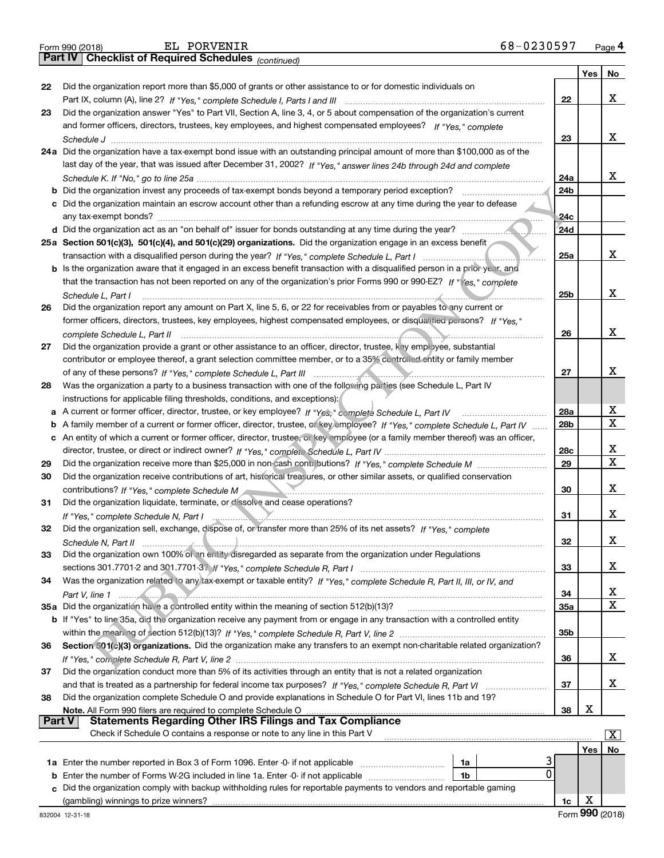|  | Form 990 (2018) |
|--|-----------------|
|  |                 |

|               | Parl IV  <br>Criecklist of Required Scriedules (continued)                                                                                                    |     |            |              |
|---------------|---------------------------------------------------------------------------------------------------------------------------------------------------------------|-----|------------|--------------|
|               |                                                                                                                                                               |     | Yes        | No           |
| 22            | Did the organization report more than \$5,000 of grants or other assistance to or for domestic individuals on                                                 |     |            |              |
|               |                                                                                                                                                               | 22  |            | X            |
| 23            | Did the organization answer "Yes" to Part VII, Section A, line 3, 4, or 5 about compensation of the organization's current                                    |     |            |              |
|               | and former officers, directors, trustees, key employees, and highest compensated employees? If "Yes," complete                                                |     |            |              |
|               |                                                                                                                                                               | 23  |            | x            |
|               | 24a Did the organization have a tax-exempt bond issue with an outstanding principal amount of more than \$100,000 as of the                                   |     |            |              |
|               | last day of the year, that was issued after December 31, 2002? If "Yes," answer lines 24b through 24d and complete                                            |     |            |              |
|               |                                                                                                                                                               | 24a |            | x            |
|               | <b>b</b> Did the organization invest any proceeds of tax-exempt bonds beyond a temporary period exception?<br>the contract of the contract of the contract of | 24b |            |              |
|               | c Did the organization maintain an escrow account other than a refunding escrow at any time during the year to defease                                        |     |            |              |
|               | any tax-exempt bonds?                                                                                                                                         | 24c |            |              |
|               |                                                                                                                                                               | 24d |            |              |
|               | 25a Section 501(c)(3), 501(c)(4), and 501(c)(29) organizations. Did the organization engage in an excess benefit                                              |     |            |              |
|               |                                                                                                                                                               | 25a |            | х            |
|               | b Is the organization aware that it engaged in an excess benefit transaction with a disqualified person in a prior year, and                                  |     |            |              |
|               | that the transaction has not been reported on any of the organization's prior Forms 990 or 990-EZ? If "Yes," complete                                         |     |            | х            |
|               | Schedule L, Part I                                                                                                                                            | 25b |            |              |
| 26            | Did the organization report any amount on Part X, line 5, 6, or 22 for receivables from or payables to any current or                                         |     |            |              |
|               | former officers, directors, trustees, key employees, highest compensated employees, or disqualified persons? If "Yes."                                        |     |            | X            |
|               | Did the organization provide a grant or other assistance to an officer, director, trustee, key employee, substantial                                          | 26  |            |              |
| 27            |                                                                                                                                                               |     |            |              |
|               | contributor or employee thereof, a grant selection committee member, or to a 35% controlled entity or family member                                           | 27  |            | X            |
| 28            | Was the organization a party to a business transaction with one of the following parties (see Schedule L, Part IV                                             |     |            |              |
|               | instructions for applicable filing thresholds, conditions, and exceptions):                                                                                   |     |            |              |
|               | a A current or former officer, director, trustee, or key employee? If "Yes," complete Schedule L, Part IV                                                     | 28a |            | X            |
|               | b A family member of a current or former officer, director, trustee, or key employee? If "Yes," complete Schedule L, Part IV                                  | 28b |            | Х            |
|               | c An entity of which a current or former officer, director, trustee, or key employee (or a family member thereof) was an officer,                             |     |            |              |
|               |                                                                                                                                                               | 28c |            | х            |
| 29            |                                                                                                                                                               | 29  |            | Х            |
| 30            | Did the organization receive contributions of art, historical treasures, or other similar assets, or qualified conservation                                   |     |            |              |
|               | contributions? If "Yes," complete Schedule M                                                                                                                  | 30  |            | Х            |
| 31            | Did the organization liquidate, terminate, or dissolve and cease operations?                                                                                  |     |            |              |
|               |                                                                                                                                                               | 31  |            | x            |
| 32            | Did the organization sell, exchange, dispose of, or transfer more than 25% of its net assets? If "Yes," complete                                              |     |            |              |
|               | Schedule N, Part II                                                                                                                                           | 32  |            | х            |
| 33            | Did the organization own 100% of an entity disregarded as separate from the organization under Regulations                                                    |     |            |              |
|               |                                                                                                                                                               | 33  |            | X            |
| 34            | Was the organization related to any tax-exempt or taxable entity? If "Yes," complete Schedule R, Part II, III, or IV, and                                     |     |            |              |
|               |                                                                                                                                                               | 34  |            | х            |
|               | 35a Did the organization have a controlled entity within the meaning of section 512(b)(13)?                                                                   | 35a |            | x            |
|               | <b>b</b> If "Yes" to line 35a, did the organization receive any payment from or engage in any transaction with a controlled entity                            |     |            |              |
|               |                                                                                                                                                               | 35b |            |              |
| 36            | Section 501(c)(3) organizations. Did the organization make any transfers to an exempt non-charitable related organization?                                    |     |            |              |
|               |                                                                                                                                                               | 36  |            | X            |
| 37            | Did the organization conduct more than 5% of its activities through an entity that is not a related organization                                              |     |            |              |
|               |                                                                                                                                                               | 37  |            | х            |
| 38            | Did the organization complete Schedule O and provide explanations in Schedule O for Part VI, lines 11b and 19?                                                |     |            |              |
|               | Note. All Form 990 filers are required to complete Schedule O                                                                                                 | 38  | X          |              |
| <b>Part V</b> | <b>Statements Regarding Other IRS Filings and Tax Compliance</b>                                                                                              |     |            |              |
|               | Check if Schedule O contains a response or note to any line in this Part V                                                                                    |     |            | $\mathbf{X}$ |
|               |                                                                                                                                                               |     | <b>Yes</b> | No           |
|               | 1a                                                                                                                                                            |     |            |              |
|               | 0<br><b>b</b> Enter the number of Forms W-2G included in line 1a. Enter -0- if not applicable<br>1b                                                           |     |            |              |
|               | c Did the organization comply with backup withholding rules for reportable payments to vendors and reportable gaming                                          |     |            |              |
|               | (gambling) winnings to prize winners?                                                                                                                         | 1c  | X          |              |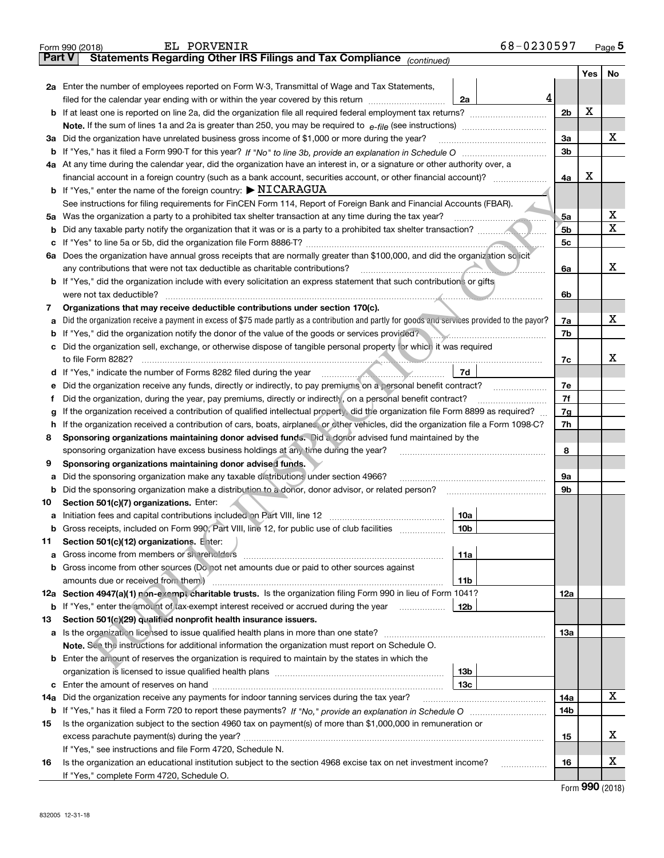|               | 68-0230597<br>EL PORVENIR<br>Form 990 (2018)                                                                                                                                             |                |     | <u>Page 5</u> |
|---------------|------------------------------------------------------------------------------------------------------------------------------------------------------------------------------------------|----------------|-----|---------------|
| <b>Part V</b> | Statements Regarding Other IRS Filings and Tax Compliance (continued)                                                                                                                    |                |     |               |
|               |                                                                                                                                                                                          |                | Yes | No            |
|               | 2a Enter the number of employees reported on Form W-3, Transmittal of Wage and Tax Statements,                                                                                           |                |     |               |
|               | 4<br>filed for the calendar year ending with or within the year covered by this return [11] [11] filed for the calendar year ending with or within the year covered by this return<br>2a |                |     |               |
|               |                                                                                                                                                                                          | 2 <sub>b</sub> | X   |               |
|               |                                                                                                                                                                                          |                |     |               |
| за            | Did the organization have unrelated business gross income of \$1,000 or more during the year?                                                                                            | 3a             |     | х             |
|               |                                                                                                                                                                                          | 3b             |     |               |
|               | 4a At any time during the calendar year, did the organization have an interest in, or a signature or other authority over, a                                                             |                |     |               |
|               | financial account in a foreign country (such as a bank account, securities account, or other financial account)?                                                                         | 4a             | х   |               |
|               | <b>b</b> If "Yes," enter the name of the foreign country: $\triangleright$ NICARAGUA                                                                                                     |                |     |               |
|               | See instructions for filing requirements for FinCEN Form 114, Report of Foreign Bank and Financial Accounts (FBAR).                                                                      |                |     |               |
|               | 5a Was the organization a party to a prohibited tax shelter transaction at any time during the tax year?                                                                                 | 5a             |     | х             |
| b             | Did any taxable party notify the organization that it was or is a party to a prohibited tax shelter transaction?                                                                         | 5b             |     | х             |
|               |                                                                                                                                                                                          | 5с             |     |               |
|               | 6a Does the organization have annual gross receipts that are normally greater than \$100,000, and did the organization solicit                                                           |                |     |               |
|               |                                                                                                                                                                                          | 6a             |     | х             |
|               | <b>b</b> If "Yes," did the organization include with every solicitation an express statement that such contributions or gifts                                                            |                |     |               |
|               | were not tax deductible?                                                                                                                                                                 | 6b             |     |               |
| 7             | Organizations that may receive deductible contributions under section 170(c).                                                                                                            |                |     |               |
| а             | Did the organization receive a payment in excess of \$75 made partly as a contribution and partly for goods and services provided to the payor?                                          | 7a             |     | х             |
|               | b If "Yes," did the organization notify the donor of the value of the goods or services provided?                                                                                        | 7b             |     |               |
|               | c Did the organization sell, exchange, or otherwise dispose of tangible personal property for which it was required                                                                      |                |     |               |
|               |                                                                                                                                                                                          | 7с             |     | х             |
|               | 7d                                                                                                                                                                                       |                |     |               |
| е             | Did the organization receive any funds, directly or indirectly, to pay premiums on a personal benefit contract?                                                                          | 7e             |     |               |
| Ť             | Did the organization, during the year, pay premiums, directly or indirectly, on a personal benefit contract?                                                                             | 7f             |     |               |
| g             | If the organization received a contribution of qualified intellectual property) did the organization file Form 8899 as required?                                                         | 7g             |     |               |
| h             | If the organization received a contribution of cars, boats, airplanes or other vehicles, did the organization file a Form 1098-C?                                                        | 7h             |     |               |
| 8             | Sponsoring organizations maintaining donor advised funds. Did a donor advised fund maintained by the                                                                                     |                |     |               |
|               | sponsoring organization have excess business holdings at any time during the year?                                                                                                       | 8              |     |               |
| 9             | Sponsoring organizations maintaining donor advised funds.                                                                                                                                |                |     |               |
| а             | Did the sponsoring organization make any taxable distributions under section 4966?                                                                                                       | 9а             |     |               |
| b             | Did the sponsoring organization make a distribution to a donor, donor advisor, or related person?                                                                                        | 9b             |     |               |
| 10            | Section 501(c)(7) organizations. Enter:                                                                                                                                                  |                |     |               |
|               | 10a                                                                                                                                                                                      |                |     |               |
|               | 10b <br>Gross receipts, included on Form 990, Part VIII, line 12, for public use of club facilities                                                                                      |                |     |               |
| 11            | Section 501(c)(12) organizations. Enter:                                                                                                                                                 |                |     |               |
|               | a Gross income from members or shareholders<br>11a<br>b Gross income from other sources (Do not net amounts due or paid to other sources against                                         |                |     |               |
|               | amounts due or received from them.)                                                                                                                                                      |                |     |               |
|               | 11b<br>12a Section 4947(a)(1) non-exempt charitable trusts. Is the organization filing Form 990 in lieu of Form 1041?                                                                    | 12a            |     |               |
|               | <b>b</b> If "Yes," enter the amount of tax-exempt interest received or accrued during the year<br>12b                                                                                    |                |     |               |
| 13            | Section 501(c)(29) qualified nonprofit health insurance issuers.                                                                                                                         |                |     |               |
|               |                                                                                                                                                                                          | 13а            |     |               |
|               | Note. See the instructions for additional information the organization must report on Schedule O.                                                                                        |                |     |               |
|               | <b>b</b> Enter the amount of reserves the organization is required to maintain by the states in which the                                                                                |                |     |               |
|               | 13b                                                                                                                                                                                      |                |     |               |
|               | 13с                                                                                                                                                                                      |                |     |               |
| 14a           | Did the organization receive any payments for indoor tanning services during the tax year?                                                                                               | 14a            |     | x             |
|               |                                                                                                                                                                                          | 14b            |     |               |
| 15            | Is the organization subject to the section 4960 tax on payment(s) of more than \$1,000,000 in remuneration or                                                                            |                |     |               |
|               |                                                                                                                                                                                          | 15             |     | X.            |
|               | If "Yes," see instructions and file Form 4720, Schedule N.                                                                                                                               |                |     |               |
| 16            | Is the organization an educational institution subject to the section 4968 excise tax on net investment income?                                                                          | 16             |     | х             |
|               | If "Yes," complete Form 4720, Schedule O.                                                                                                                                                |                |     |               |
|               |                                                                                                                                                                                          |                |     |               |

Form (2018) **990**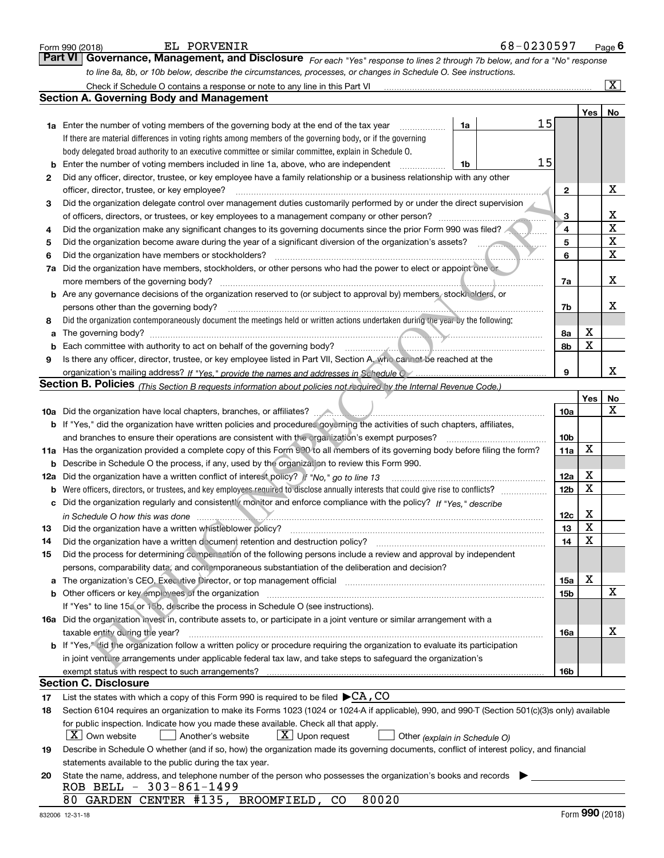|     | EL PORVENIR<br>Form 990 (2018)                                                                                                                                                   |    | 68-0230597 |                 |                         | $_{\text{Page}}$ 6      |
|-----|----------------------------------------------------------------------------------------------------------------------------------------------------------------------------------|----|------------|-----------------|-------------------------|-------------------------|
|     | <b>Part VI</b><br>Governance, Management, and Disclosure For each "Yes" response to lines 2 through 7b below, and for a "No" response                                            |    |            |                 |                         |                         |
|     | to line 8a, 8b, or 10b below, describe the circumstances, processes, or changes in Schedule O. See instructions.                                                                 |    |            |                 |                         |                         |
|     | Check if Schedule O contains a response or note to any line in this Part VI                                                                                                      |    |            |                 |                         | $\overline{\mathbf{x}}$ |
|     | <b>Section A. Governing Body and Management</b>                                                                                                                                  |    |            |                 |                         |                         |
|     |                                                                                                                                                                                  |    |            |                 | Yes                     | No                      |
|     | <b>1a</b> Enter the number of voting members of the governing body at the end of the tax year<br>.                                                                               | 1a | 15         |                 |                         |                         |
|     | If there are material differences in voting rights among members of the governing body, or if the governing                                                                      |    |            |                 |                         |                         |
|     | body delegated broad authority to an executive committee or similar committee, explain in Schedule O.                                                                            |    |            |                 |                         |                         |
| b   | Enter the number of voting members included in line 1a, above, who are independent                                                                                               | 1b | 15         |                 |                         |                         |
| 2   | Did any officer, director, trustee, or key employee have a family relationship or a business relationship with any other                                                         |    |            |                 |                         |                         |
|     | officer, director, trustee, or key employee?                                                                                                                                     |    |            | $\mathbf{2}$    |                         | х                       |
| 3   | Did the organization delegate control over management duties customarily performed by or under the direct supervision                                                            |    |            |                 |                         |                         |
|     |                                                                                                                                                                                  |    |            | 3               |                         | x                       |
| 4   | Did the organization make any significant changes to its governing documents since the prior Form 990 was filed?                                                                 |    |            | 4               |                         | X                       |
| 5   | Did the organization become aware during the year of a significant diversion of the organization's assets?                                                                       |    |            | 5               |                         | X                       |
| 6   | Did the organization have members or stockholders?                                                                                                                               |    |            | 6               |                         | X                       |
| 7a  | Did the organization have members, stockholders, or other persons who had the power to elect or appoint one or                                                                   |    |            |                 |                         |                         |
|     | more members of the governing body?                                                                                                                                              |    |            | 7a              |                         | x                       |
| b   | Are any governance decisions of the organization reserved to (or subject to approval by) members, stockholders, or                                                               |    |            |                 |                         |                         |
|     | persons other than the governing body?                                                                                                                                           |    |            | 7b              |                         | x                       |
|     | Did the organization contemporaneously document the meetings held or written actions undertaken during the year by the following:                                                |    |            |                 |                         |                         |
| 8   |                                                                                                                                                                                  |    |            |                 | х                       |                         |
| a   |                                                                                                                                                                                  |    |            | 8а<br>8b        | X                       |                         |
| b   |                                                                                                                                                                                  |    |            |                 |                         |                         |
| 9   | Is there any officer, director, trustee, or key employee listed in Part VII, Section A, who cannot be reached at the                                                             |    |            | 9               |                         | x                       |
|     | organization's mailing address? If "Yes." provide the names and addresses in Schedule O communication's mailing address? If "Yes." provide the names and addresses in Schedule O |    |            |                 |                         |                         |
|     | Section B. Policies <sub>(This</sub> Section B requests information about policies not required by the Internal Revenue Code.)                                                   |    |            |                 | Yes                     |                         |
|     |                                                                                                                                                                                  |    |            | 10a             |                         | No<br>x                 |
|     | <b>b</b> If "Yes," did the organization have written policies and procedures governing the activities of such chapters, affiliates,                                              |    |            |                 |                         |                         |
|     | and branches to ensure their operations are consistent with the organization's exempt purposes?                                                                                  |    |            | 10 <sub>b</sub> |                         |                         |
| 11a | Has the organization provided a complete copy of this Form 990 to all members of its governing body before filing the form?                                                      |    |            | 11a             | X                       |                         |
| b   | Describe in Schedule O the process, if any, used by the organization to review this Form 990.                                                                                    |    |            |                 |                         |                         |
| 12a | Did the organization have a written conflict of interest policy? If "No," go to line 13                                                                                          |    |            | 12a             | х                       |                         |
| b   |                                                                                                                                                                                  |    |            | 12 <sub>b</sub> | X                       |                         |
|     | Did the organization regularly and consistently monitor and enforce compliance with the policy? If "Yes." describe                                                               |    |            |                 |                         |                         |
|     |                                                                                                                                                                                  |    |            | 12c             | х                       |                         |
|     |                                                                                                                                                                                  |    |            | 13              | $\overline{\mathbf{x}}$ |                         |
| 14  | Did the organization have a written document retention and destruction policy?                                                                                                   |    |            | 14              | X                       |                         |
| 15  | Did the process for determining compensation of the following persons include a review and approval by independent                                                               |    |            |                 |                         |                         |
|     | persons, comparability data, and contemporaneous substantiation of the deliberation and decision?                                                                                |    |            |                 |                         |                         |
| a   | The organization's CEO, Executive Director, or top management official manufactured content of the organization's CEO, Executive Director, or top management official            |    |            | 15a             | х                       |                         |
|     | Other officers or key employees of the organization                                                                                                                              |    |            | 15b             |                         | X                       |
|     | If "Yes" to line 15a or 15b, describe the process in Schedule O (see instructions).                                                                                              |    |            |                 |                         |                         |
|     | 16a Did the organization invest in, contribute assets to, or participate in a joint venture or similar arrangement with a                                                        |    |            |                 |                         |                         |
|     | taxable entity during the year?                                                                                                                                                  |    |            | 16a             |                         | х                       |
|     | b If "Yes," did the organization follow a written policy or procedure requiring the organization to evaluate its participation                                                   |    |            |                 |                         |                         |
|     | in joint venture arrangements under applicable federal tax law, and take steps to safequard the organization's                                                                   |    |            |                 |                         |                         |
|     |                                                                                                                                                                                  |    |            | 16b             |                         |                         |
|     | <b>Section C. Disclosure</b>                                                                                                                                                     |    |            |                 |                         |                         |
| 17  | List the states with which a copy of this Form 990 is required to be filed $\blacktriangleright$ CA, CO                                                                          |    |            |                 |                         |                         |
| 18  | Section 6104 requires an organization to make its Forms 1023 (1024 or 1024 A if applicable), 990, and 990-T (Section 501(c)(3)s only) available                                  |    |            |                 |                         |                         |
|     | for public inspection. Indicate how you made these available. Check all that apply.                                                                                              |    |            |                 |                         |                         |
|     | $\lfloor X \rfloor$ Own website<br>$X$ Upon request<br>Another's website<br>Other (explain in Schedule O)                                                                        |    |            |                 |                         |                         |
| 19  | Describe in Schedule O whether (and if so, how) the organization made its governing documents, conflict of interest policy, and financial                                        |    |            |                 |                         |                         |
|     | statements available to the public during the tax year.                                                                                                                          |    |            |                 |                         |                         |
| 20  | State the name, address, and telephone number of the person who possesses the organization's books and records                                                                   |    |            |                 |                         |                         |
|     | ROB BELL - 303-861-1499                                                                                                                                                          |    |            |                 |                         |                         |
|     | 80020<br>80 GARDEN CENTER #135, BROOMFIELD, CO                                                                                                                                   |    |            |                 |                         |                         |
|     |                                                                                                                                                                                  |    |            |                 |                         | Form 990 (2018)         |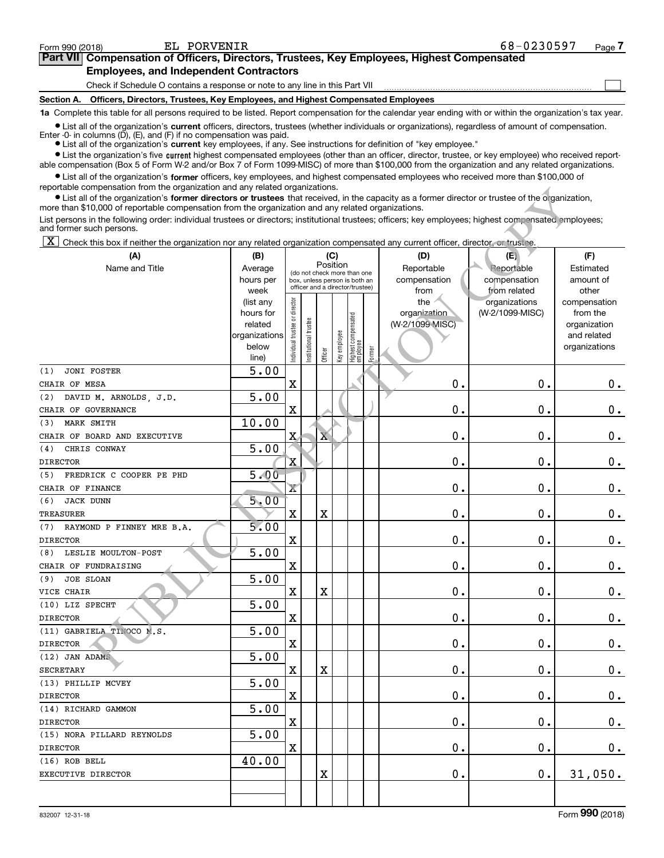$\mathcal{L}^{\text{max}}$ 

# **7Part VII Compensation of Officers, Directors, Trustees, Key Employees, Highest Compensated Employees, and Independent Contractors**

Check if Schedule O contains a response or note to any line in this Part VII

**Section A. Officers, Directors, Trustees, Key Employees, and Highest Compensated Employees**

**1a**  Complete this table for all persons required to be listed. Report compensation for the calendar year ending with or within the organization's tax year.

**•** List all of the organization's current officers, directors, trustees (whether individuals or organizations), regardless of amount of compensation. Enter -0- in columns (D), (E), and (F) if no compensation was paid.

● List all of the organization's **current** key employees, if any. See instructions for definition of "key employee."

**In List the organization's five current highest compensated employees (other than an officer, director, trustee, or key employee) who received report-**■ List the organization's five current highest compensated employees (other than an officer, director, trustee, or key employee) who received report-<br>able compensation (Box 5 of Form W-2 and/or Box 7 of Form 1099-MISC) of

 $\bullet$  List all of the organization's **former** officers, key employees, and highest compensated employees who received more than \$100,000 of reportable compensation from the organization and any related organizations.

| reportable compensation from the organization and any related organizations.<br>• List all of the organization's former directors or trustees that received, in the capacity as a former director or trustee of the organization,                                                        |                                        |                                |                      |             |              |                                                              |        |                 |                 |               |  |  |  |  |
|------------------------------------------------------------------------------------------------------------------------------------------------------------------------------------------------------------------------------------------------------------------------------------------|----------------------------------------|--------------------------------|----------------------|-------------|--------------|--------------------------------------------------------------|--------|-----------------|-----------------|---------------|--|--|--|--|
| more than \$10,000 of reportable compensation from the organization and any related organizations.<br>List persons in the following order: individual trustees or directors; institutional trustees; officers; key employees; highest compensated employees;<br>and former such persons. |                                        |                                |                      |             |              |                                                              |        |                 |                 |               |  |  |  |  |
| X<br>Check this box if neither the organization nor any related organization compensated any current officer, director, or trustee.                                                                                                                                                      |                                        |                                |                      |             |              |                                                              |        |                 |                 |               |  |  |  |  |
|                                                                                                                                                                                                                                                                                          | (A)<br>(E)<br>(F)<br>(B)<br>(C)<br>(D) |                                |                      |             |              |                                                              |        |                 |                 |               |  |  |  |  |
| Name and Title                                                                                                                                                                                                                                                                           | Average                                |                                |                      | Position    |              |                                                              |        | Reportable      | Reportable      | Estimated     |  |  |  |  |
|                                                                                                                                                                                                                                                                                          | hours per                              |                                |                      |             |              | (do not check more than one<br>box, unless person is both an |        | compensation    | compensation    | amount of     |  |  |  |  |
|                                                                                                                                                                                                                                                                                          | week                                   |                                |                      |             |              | officer and a director/trustee)                              |        | from            | from related    | other         |  |  |  |  |
|                                                                                                                                                                                                                                                                                          | (list any                              |                                |                      |             |              |                                                              |        | the             | organizations   | compensation  |  |  |  |  |
|                                                                                                                                                                                                                                                                                          | hours for                              |                                |                      |             |              |                                                              |        | organization    | (W-2/1099-MISC) | from the      |  |  |  |  |
|                                                                                                                                                                                                                                                                                          | related                                | Individual trustee or director | nstitutional trustee |             |              | Highest compensated<br>  employee                            |        | (W-2/1099-MISC) |                 | organization  |  |  |  |  |
|                                                                                                                                                                                                                                                                                          | organizations                          |                                |                      |             |              |                                                              |        |                 |                 | and related   |  |  |  |  |
|                                                                                                                                                                                                                                                                                          | below<br>line)                         |                                |                      | Officer     | Key employee |                                                              | Former |                 |                 | organizations |  |  |  |  |
| <b>JONI FOSTER</b><br>(1)                                                                                                                                                                                                                                                                | $\overline{5.00}$                      |                                |                      |             |              |                                                              |        |                 |                 |               |  |  |  |  |
| CHAIR OF MESA                                                                                                                                                                                                                                                                            |                                        | $\overline{\mathbf{X}}$        |                      |             |              |                                                              |        | $\mathbf 0$ .   | 0.              | О.            |  |  |  |  |
| DAVID M. ARNOLDS, J.D.<br>(2)                                                                                                                                                                                                                                                            | $\overline{5.00}$                      |                                |                      |             |              |                                                              |        |                 |                 |               |  |  |  |  |
| CHAIR OF GOVERNANCE                                                                                                                                                                                                                                                                      |                                        | $\overline{\mathbf{X}}$        |                      |             |              |                                                              |        | $\mathbf 0$ .   | 0.              | $0\,.$        |  |  |  |  |
| MARK SMITH<br>(3)                                                                                                                                                                                                                                                                        | 10.00                                  |                                |                      |             |              |                                                              |        |                 |                 |               |  |  |  |  |
| CHAIR OF BOARD AND EXECUTIVE                                                                                                                                                                                                                                                             |                                        | $\mathbf x$                    |                      | Χ           |              |                                                              |        | О.              | 0.              | $0\,.$        |  |  |  |  |
| CHRIS CONWAY<br>(4)                                                                                                                                                                                                                                                                      | 5.00                                   |                                |                      |             |              |                                                              |        |                 |                 |               |  |  |  |  |
| <b>DIRECTOR</b>                                                                                                                                                                                                                                                                          |                                        | X                              |                      |             |              |                                                              |        | О.              | $\mathbf 0$ .   | $0\,.$        |  |  |  |  |
| FREDRICK C COOPER PE PHD<br>(5)                                                                                                                                                                                                                                                          | 5.00                                   |                                |                      |             |              |                                                              |        |                 |                 |               |  |  |  |  |
| CHAIR OF FINANCE                                                                                                                                                                                                                                                                         |                                        | $\mathbb X$                    |                      |             |              |                                                              |        | $\mathbf 0$ .   | $\mathbf 0$ .   | $0\,.$        |  |  |  |  |
| <b>JACK DUNN</b><br>(6)                                                                                                                                                                                                                                                                  | 5.00                                   |                                |                      |             |              |                                                              |        |                 |                 |               |  |  |  |  |
| <b>TREASURER</b>                                                                                                                                                                                                                                                                         |                                        | $\mathbf X$                    |                      | X           |              |                                                              |        | $\mathbf 0$ .   | $\mathbf 0$ .   | $0\,.$        |  |  |  |  |
| RAYMOND P FINNEY MRE B.A.<br>(7)                                                                                                                                                                                                                                                         | 5.00                                   |                                |                      |             |              |                                                              |        |                 |                 |               |  |  |  |  |
| <b>DIRECTOR</b>                                                                                                                                                                                                                                                                          |                                        | $\overline{\mathbf{X}}$        |                      |             |              |                                                              |        | $\mathbf 0$ .   | $\mathbf 0$ .   | $\mathbf 0$ . |  |  |  |  |
| LESLIE MOULTON-POST<br>(8)                                                                                                                                                                                                                                                               | 5.00                                   |                                |                      |             |              |                                                              |        |                 |                 |               |  |  |  |  |
| CHAIR OF FUNDRAISING                                                                                                                                                                                                                                                                     |                                        | $\overline{\mathbf{X}}$        |                      |             |              |                                                              |        | $\mathbf 0$ .   | $\mathbf 0$ .   | $\mathbf 0$ . |  |  |  |  |
| <b>JOE SLOAN</b><br>(9)                                                                                                                                                                                                                                                                  | $\overline{5.00}$                      |                                |                      |             |              |                                                              |        |                 |                 |               |  |  |  |  |
| VICE CHAIR                                                                                                                                                                                                                                                                               |                                        | $\mathbf X$                    |                      | X           |              |                                                              |        | $\mathbf 0$ .   | $\mathbf 0$ .   | $\mathbf 0$ . |  |  |  |  |
| (10) LIZ SPECHT                                                                                                                                                                                                                                                                          | 5.00                                   |                                |                      |             |              |                                                              |        |                 |                 |               |  |  |  |  |
| <b>DIRECTOR</b>                                                                                                                                                                                                                                                                          |                                        | $\overline{\mathbf{X}}$        |                      |             |              |                                                              |        | О.              | $\mathbf 0$ .   | 0.            |  |  |  |  |
| (11) GABRIELA TINOCO M.S.                                                                                                                                                                                                                                                                | 5.00                                   |                                |                      |             |              |                                                              |        |                 |                 |               |  |  |  |  |
| <b>DIRECTOR</b><br>(12) JAN ADAMS                                                                                                                                                                                                                                                        |                                        | $\overline{\mathbf{X}}$        |                      |             |              |                                                              |        | О.              | 0.              | $0$ .         |  |  |  |  |
| ${\tt SECRETARY}$                                                                                                                                                                                                                                                                        | 5.00                                   | X                              |                      | $\mathbf X$ |              |                                                              |        | $\mathbf 0$ .   | 0               | $0$ .         |  |  |  |  |
| (13) PHILLIP MCVEY                                                                                                                                                                                                                                                                       | 5.00                                   |                                |                      |             |              |                                                              |        |                 |                 |               |  |  |  |  |
| <b>DIRECTOR</b>                                                                                                                                                                                                                                                                          |                                        | $\overline{\mathbf{X}}$        |                      |             |              |                                                              |        | $\mathbf 0$ .   | 0.              | $0\cdot$      |  |  |  |  |
| (14) RICHARD GAMMON                                                                                                                                                                                                                                                                      | 5.00                                   |                                |                      |             |              |                                                              |        |                 |                 |               |  |  |  |  |
| <b>DIRECTOR</b>                                                                                                                                                                                                                                                                          |                                        | $\mathbf X$                    |                      |             |              |                                                              |        | 0.              | $\mathbf 0$ .   | $0\,.$        |  |  |  |  |
| (15) NORA PILLARD REYNOLDS                                                                                                                                                                                                                                                               | 5.00                                   |                                |                      |             |              |                                                              |        |                 |                 |               |  |  |  |  |
| <b>DIRECTOR</b>                                                                                                                                                                                                                                                                          |                                        | $\mathbf X$                    |                      |             |              |                                                              |        | 0.              | $\mathbf 0$ .   | $0_{.}$       |  |  |  |  |
| (16) ROB BELL                                                                                                                                                                                                                                                                            | 40.00                                  |                                |                      |             |              |                                                              |        |                 |                 |               |  |  |  |  |
| EXECUTIVE DIRECTOR                                                                                                                                                                                                                                                                       |                                        |                                |                      | X           |              |                                                              |        | 0.              | $\mathbf 0$ .   | 31,050.       |  |  |  |  |
|                                                                                                                                                                                                                                                                                          |                                        |                                |                      |             |              |                                                              |        |                 |                 |               |  |  |  |  |
|                                                                                                                                                                                                                                                                                          |                                        |                                |                      |             |              |                                                              |        |                 |                 |               |  |  |  |  |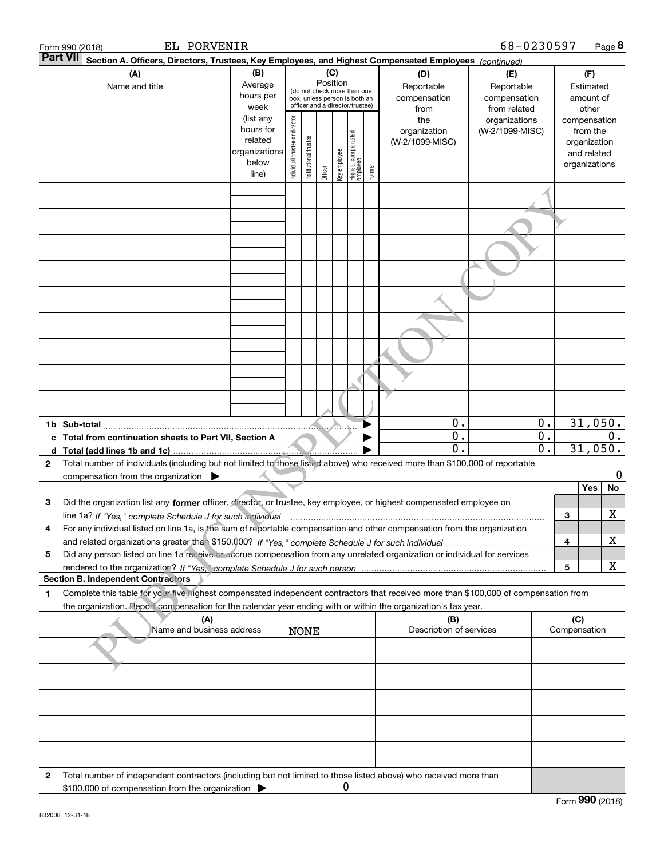| EL PORVENIR<br>Form 990 (2018)                                                                                                                                                                                                                              |                                                                      |                                |                        |          |              |                                                                                                 |        |                                                                                                | 68-0230597                       |                      |                               |                                                                          | Page 8 |
|-------------------------------------------------------------------------------------------------------------------------------------------------------------------------------------------------------------------------------------------------------------|----------------------------------------------------------------------|--------------------------------|------------------------|----------|--------------|-------------------------------------------------------------------------------------------------|--------|------------------------------------------------------------------------------------------------|----------------------------------|----------------------|-------------------------------|--------------------------------------------------------------------------|--------|
| <b>Part VII</b><br>Section A. Officers, Directors, Trustees, Key Employees, and Highest Compensated Employees (continued)                                                                                                                                   |                                                                      |                                |                        |          |              |                                                                                                 |        |                                                                                                |                                  |                      |                               |                                                                          |        |
| Name and title                                                                                                                                                                                                                                              | (B)<br>(A)<br>Average<br>hours per<br>week                           |                                |                        | Position | (C)          | (do not check more than one<br>box, unless person is both an<br>officer and a director/trustee) |        | (D)<br>(E)<br>Reportable<br>Reportable<br>compensation<br>compensation<br>from related<br>from |                                  |                      |                               | (F)<br>Estimated<br>amount of<br>other                                   |        |
|                                                                                                                                                                                                                                                             | (list any<br>hours for<br>related<br>organizations<br>below<br>line) | Individual trustee or director | In stitutional trustee | Officer  | Key employee | Highest compensated<br>  employee                                                               | Former | the<br>organization<br>(W-2/1099-MISC)                                                         | organizations<br>(W-2/1099-MISC) |                      |                               | compensation<br>from the<br>organization<br>and related<br>organizations |        |
|                                                                                                                                                                                                                                                             |                                                                      |                                |                        |          |              |                                                                                                 |        |                                                                                                |                                  |                      |                               |                                                                          |        |
|                                                                                                                                                                                                                                                             |                                                                      |                                |                        |          |              |                                                                                                 |        |                                                                                                |                                  |                      |                               |                                                                          |        |
|                                                                                                                                                                                                                                                             |                                                                      |                                |                        |          |              |                                                                                                 |        |                                                                                                |                                  |                      |                               |                                                                          |        |
|                                                                                                                                                                                                                                                             |                                                                      |                                |                        |          |              |                                                                                                 |        |                                                                                                |                                  |                      |                               |                                                                          |        |
|                                                                                                                                                                                                                                                             |                                                                      |                                |                        |          |              |                                                                                                 |        |                                                                                                |                                  |                      |                               |                                                                          |        |
|                                                                                                                                                                                                                                                             |                                                                      |                                |                        |          |              |                                                                                                 |        |                                                                                                |                                  |                      |                               |                                                                          |        |
|                                                                                                                                                                                                                                                             |                                                                      |                                |                        |          |              |                                                                                                 |        |                                                                                                |                                  |                      |                               |                                                                          |        |
|                                                                                                                                                                                                                                                             |                                                                      |                                |                        |          |              |                                                                                                 |        |                                                                                                |                                  |                      |                               |                                                                          |        |
| 1b Sub-total<br>c Total from continuation sheets to Part VII, Section A                                                                                                                                                                                     |                                                                      |                                |                        |          |              |                                                                                                 |        | 0.<br>О.                                                                                       |                                  | 0.<br>$\mathbf{0}$ . |                               | 31,050.                                                                  | 0.     |
|                                                                                                                                                                                                                                                             |                                                                      |                                |                        |          |              |                                                                                                 |        | $\mathbf 0$ .                                                                                  |                                  | $\overline{0}$ .     |                               | 31,050.                                                                  |        |
| Total number of individuals (including but not limited to those listed above) who received more than \$100,000 of reportable<br>2<br>compensation from the organization $\blacktriangleright$                                                               |                                                                      |                                |                        |          |              |                                                                                                 |        |                                                                                                |                                  |                      |                               |                                                                          |        |
| Did the organization list any former officer, director, or trustee, key employee, or highest compensated employee on                                                                                                                                        |                                                                      |                                |                        |          |              |                                                                                                 |        |                                                                                                |                                  |                      |                               | Yes                                                                      | No     |
| з<br>line 1a? If "Yes," complete Schedule J for such individual                                                                                                                                                                                             |                                                                      |                                |                        |          |              |                                                                                                 |        |                                                                                                |                                  |                      | З                             |                                                                          | x      |
| For any individual listed on line 1a, is the sum of reportable compensation and other compensation from the organization<br>4                                                                                                                               |                                                                      |                                |                        |          |              |                                                                                                 |        |                                                                                                |                                  |                      |                               |                                                                          |        |
|                                                                                                                                                                                                                                                             |                                                                      |                                |                        |          |              |                                                                                                 |        |                                                                                                |                                  |                      | 4                             |                                                                          | x      |
| Did any person listed on line 1a receive or accrue compensation from any unrelated organization or individual for services<br>5                                                                                                                             |                                                                      |                                |                        |          |              |                                                                                                 |        |                                                                                                |                                  |                      | 5                             |                                                                          | x      |
| <b>Section B. Independent Contractors</b>                                                                                                                                                                                                                   |                                                                      |                                |                        |          |              |                                                                                                 |        |                                                                                                |                                  |                      |                               |                                                                          |        |
| Complete this table for your five highest compensated independent contractors that received more than \$100,000 of compensation from<br>1<br>the organization. Report compensation for the calendar year ending with or within the organization's tax year. |                                                                      |                                |                        |          |              |                                                                                                 |        |                                                                                                |                                  |                      |                               |                                                                          |        |
| (A)<br>Name and business address                                                                                                                                                                                                                            |                                                                      |                                | <b>NONE</b>            |          |              |                                                                                                 |        | (B)<br>Description of services                                                                 |                                  |                      | (C)<br>Compensation           |                                                                          |        |
|                                                                                                                                                                                                                                                             |                                                                      |                                |                        |          |              |                                                                                                 |        |                                                                                                |                                  |                      |                               |                                                                          |        |
|                                                                                                                                                                                                                                                             |                                                                      |                                |                        |          |              |                                                                                                 |        |                                                                                                |                                  |                      |                               |                                                                          |        |
|                                                                                                                                                                                                                                                             |                                                                      |                                |                        |          |              |                                                                                                 |        |                                                                                                |                                  |                      |                               |                                                                          |        |
|                                                                                                                                                                                                                                                             |                                                                      |                                |                        |          |              |                                                                                                 |        |                                                                                                |                                  |                      |                               |                                                                          |        |
| Total number of independent contractors (including but not limited to those listed above) who received more than<br>2<br>\$100,000 of compensation from the organization                                                                                    |                                                                      |                                |                        |          |              |                                                                                                 |        |                                                                                                |                                  |                      |                               |                                                                          |        |
|                                                                                                                                                                                                                                                             |                                                                      |                                |                        |          |              |                                                                                                 |        |                                                                                                |                                  |                      | $F_{\text{arm}}$ 990 $(2019)$ |                                                                          |        |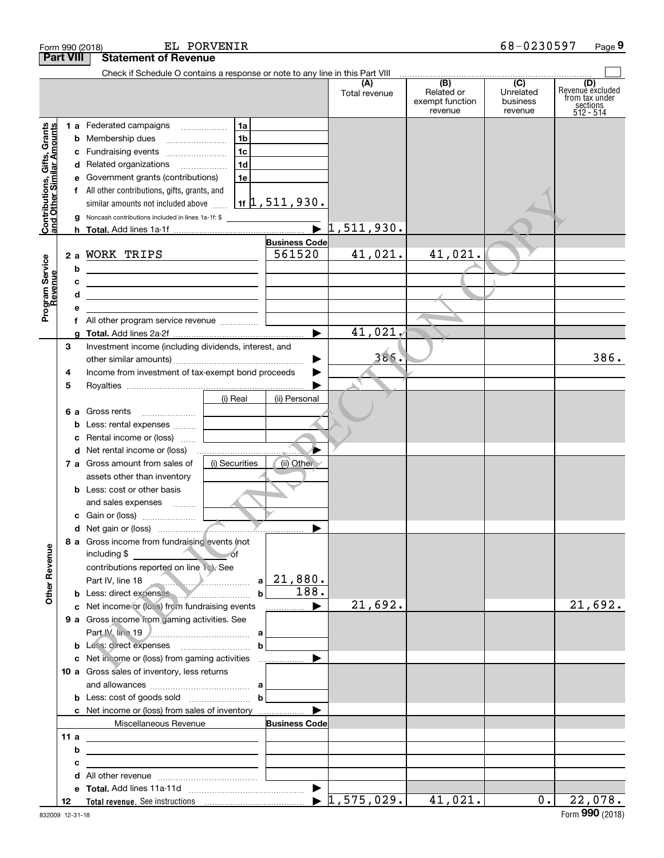|                                                           | Form 990 (2018)  |                                                                                                                        | EL PORVENIR    |                                |                                  |                                                 | 68-0230597                              | Page 9                                                             |
|-----------------------------------------------------------|------------------|------------------------------------------------------------------------------------------------------------------------|----------------|--------------------------------|----------------------------------|-------------------------------------------------|-----------------------------------------|--------------------------------------------------------------------|
|                                                           | <b>Part VIII</b> | <b>Statement of Revenue</b>                                                                                            |                |                                |                                  |                                                 |                                         |                                                                    |
|                                                           |                  | Check if Schedule O contains a response or note to any line in this Part VIII                                          |                |                                |                                  |                                                 |                                         |                                                                    |
|                                                           |                  |                                                                                                                        |                |                                | (A)<br>Total revenue             | (B)<br>Related or<br>exempt function<br>revenue | (C)<br>Unrelated<br>business<br>revenue | (D)<br>Revenuè excluded<br>from tax under<br>sections<br>512 - 514 |
|                                                           |                  | 1 a Federated campaigns                                                                                                | 1a             |                                |                                  |                                                 |                                         |                                                                    |
|                                                           |                  |                                                                                                                        | 1 <sub>b</sub> |                                |                                  |                                                 |                                         |                                                                    |
| Contributions, Gifts, Grants<br>and Other Similar Amounts |                  | c Fundraising events                                                                                                   | 1 <sub>c</sub> |                                |                                  |                                                 |                                         |                                                                    |
|                                                           |                  | d Related organizations                                                                                                | 1d             |                                |                                  |                                                 |                                         |                                                                    |
|                                                           |                  | e Government grants (contributions)                                                                                    | 1e             |                                |                                  |                                                 |                                         |                                                                    |
|                                                           |                  | f All other contributions, gifts, grants, and                                                                          |                |                                |                                  |                                                 |                                         |                                                                    |
|                                                           |                  | similar amounts not included above                                                                                     |                | $1$ if $\uparrow$ , 511, 930.  |                                  |                                                 |                                         |                                                                    |
|                                                           |                  | g Noncash contributions included in lines 1a-1f: \$                                                                    |                |                                |                                  |                                                 |                                         |                                                                    |
|                                                           |                  |                                                                                                                        |                |                                |                                  |                                                 |                                         |                                                                    |
|                                                           |                  |                                                                                                                        |                | <b>Business Code</b><br>561520 | 41,021.                          |                                                 |                                         |                                                                    |
|                                                           |                  | 2 a WORK TRIPS                                                                                                         |                |                                |                                  | 41,021.                                         |                                         |                                                                    |
|                                                           | b                |                                                                                                                        |                |                                |                                  |                                                 |                                         |                                                                    |
|                                                           | c                | <u> 1989 - Johann John Stone, mars et al. 1989 - John Stone, mars et al. 1989 - John Stone, mars et al. 1989 - Joh</u> |                |                                |                                  |                                                 |                                         |                                                                    |
| Program Service<br>Revenue                                | d<br>е           | <u> 1989 - Johann Barn, mars and de Brasilian (b. 1989)</u>                                                            |                |                                |                                  |                                                 |                                         |                                                                    |
|                                                           | f                | All other program service revenue                                                                                      |                |                                |                                  |                                                 |                                         |                                                                    |
|                                                           | a                |                                                                                                                        |                | $\blacktriangleright$          | 41,021,                          |                                                 |                                         |                                                                    |
|                                                           | з                | Investment income (including dividends, interest, and                                                                  |                |                                |                                  |                                                 |                                         |                                                                    |
|                                                           |                  |                                                                                                                        |                | ▶                              | 386.                             |                                                 |                                         | 386.                                                               |
|                                                           | 4                | Income from investment of tax-exempt bond proceeds                                                                     |                |                                |                                  |                                                 |                                         |                                                                    |
|                                                           | 5                |                                                                                                                        |                |                                |                                  |                                                 |                                         |                                                                    |
|                                                           |                  |                                                                                                                        | (i) Real       | (ii) Personal                  |                                  |                                                 |                                         |                                                                    |
|                                                           |                  | 6 a Gross rents                                                                                                        |                |                                |                                  |                                                 |                                         |                                                                    |
|                                                           |                  | <b>b</b> Less: rental expenses                                                                                         |                |                                |                                  |                                                 |                                         |                                                                    |
|                                                           |                  | c Rental income or (loss)                                                                                              |                |                                |                                  |                                                 |                                         |                                                                    |
|                                                           |                  | d Net rental income or (loss)                                                                                          |                |                                |                                  |                                                 |                                         |                                                                    |
|                                                           |                  | 7 a Gross amount from sales of                                                                                         | (i) Securities | (ii) Other                     |                                  |                                                 |                                         |                                                                    |
|                                                           |                  | assets other than inventory                                                                                            |                |                                |                                  |                                                 |                                         |                                                                    |
|                                                           |                  | <b>b</b> Less: cost or other basis                                                                                     |                |                                |                                  |                                                 |                                         |                                                                    |
|                                                           |                  | and sales expenses                                                                                                     |                |                                |                                  |                                                 |                                         |                                                                    |
|                                                           |                  | c Gain or (loss)                                                                                                       |                |                                |                                  |                                                 |                                         |                                                                    |
|                                                           |                  | 8 a Gross income from fundraising events (not                                                                          |                |                                |                                  |                                                 |                                         |                                                                    |
|                                                           |                  | including \$                                                                                                           | $\bigcirc$ of  |                                |                                  |                                                 |                                         |                                                                    |
| <b>Other Revenue</b>                                      |                  | contributions reported on line 1c). See                                                                                |                |                                |                                  |                                                 |                                         |                                                                    |
|                                                           |                  | Part IV, line 18                                                                                                       | al             | 21,880.                        |                                  |                                                 |                                         |                                                                    |
|                                                           |                  | b Less: direct expenses                                                                                                | b              | 188.                           |                                  |                                                 |                                         |                                                                    |
|                                                           |                  | c Net income or (loss) from fundraising events                                                                         |                | .                              | 21,692.                          |                                                 |                                         | 21,692.                                                            |
|                                                           |                  | 9 a Gross income from gaming activities. See                                                                           |                |                                |                                  |                                                 |                                         |                                                                    |
|                                                           |                  |                                                                                                                        | a              |                                |                                  |                                                 |                                         |                                                                    |
|                                                           |                  |                                                                                                                        | $\mathbf b$    |                                |                                  |                                                 |                                         |                                                                    |
|                                                           |                  |                                                                                                                        |                |                                |                                  |                                                 |                                         |                                                                    |
|                                                           |                  | 10 a Gross sales of inventory, less returns                                                                            |                |                                |                                  |                                                 |                                         |                                                                    |
|                                                           |                  |                                                                                                                        |                |                                |                                  |                                                 |                                         |                                                                    |
|                                                           |                  |                                                                                                                        | $\mathbf b$    |                                |                                  |                                                 |                                         |                                                                    |
|                                                           |                  | c Net income or (loss) from sales of inventory                                                                         |                |                                |                                  |                                                 |                                         |                                                                    |
|                                                           |                  | Miscellaneous Revenue                                                                                                  |                | <b>Business Code</b>           |                                  |                                                 |                                         |                                                                    |
|                                                           | 11 a             | <u> 1989 - Johann Stein, mars an de Brazilian (b. 1989)</u>                                                            |                |                                |                                  |                                                 |                                         |                                                                    |
|                                                           | b<br>с           | <u> 1989 - John Stein, mars and de Brazilia (b. 1989)</u>                                                              |                |                                |                                  |                                                 |                                         |                                                                    |
|                                                           | d                |                                                                                                                        |                |                                |                                  |                                                 |                                         |                                                                    |
|                                                           |                  |                                                                                                                        |                | ▶                              |                                  |                                                 |                                         |                                                                    |
|                                                           | 12               |                                                                                                                        |                |                                | $\blacktriangleright$ 1,575,029. | 41,021.                                         | 0.1                                     | 22,078.                                                            |
|                                                           |                  |                                                                                                                        |                |                                |                                  |                                                 |                                         |                                                                    |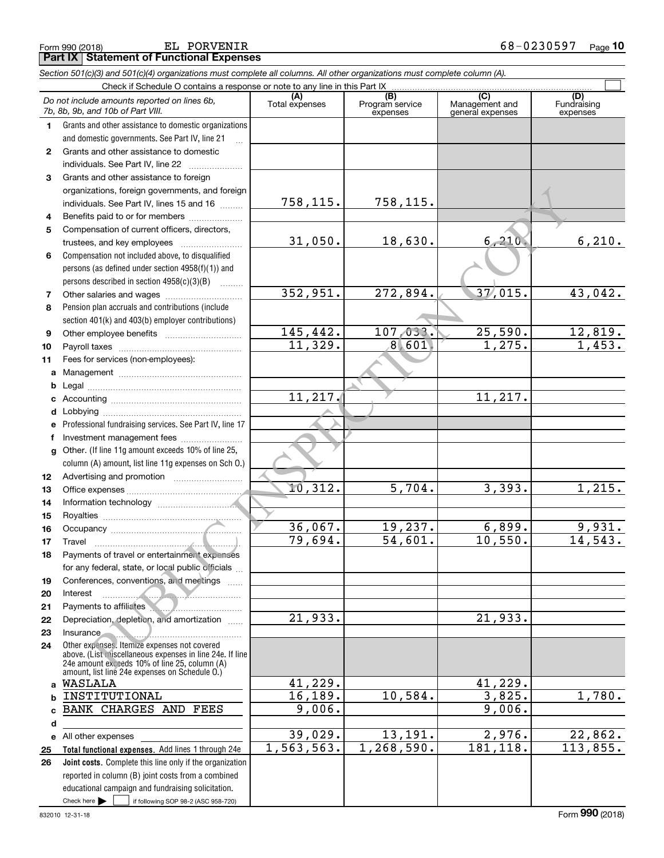**Part IX Statement of Functional Expenses**

|              | Section 501(c)(3) and 501(c)(4) organizations must complete all columns. All other organizations must complete column (A).                                                                                                                                          |                       |                                    |                                           |                                |
|--------------|---------------------------------------------------------------------------------------------------------------------------------------------------------------------------------------------------------------------------------------------------------------------|-----------------------|------------------------------------|-------------------------------------------|--------------------------------|
|              | Check if Schedule O contains a response or note to any line in this Part IX                                                                                                                                                                                         |                       |                                    |                                           |                                |
|              | Do not include amounts reported on lines 6b,<br>7b, 8b, 9b, and 10b of Part VIII.                                                                                                                                                                                   | Total expenses        | (B)<br>Program service<br>expenses | (C)<br>Management and<br>general expenses | (D)<br>Fundraising<br>expenses |
| 1.           | Grants and other assistance to domestic organizations                                                                                                                                                                                                               |                       |                                    |                                           |                                |
|              | and domestic governments. See Part IV, line 21                                                                                                                                                                                                                      |                       |                                    |                                           |                                |
| $\mathbf{2}$ | Grants and other assistance to domestic                                                                                                                                                                                                                             |                       |                                    |                                           |                                |
|              | individuals. See Part IV, line 22<br>and a complete the complete state of the state of the state of the state of the state of the state of the state of the state of the state of the state of the state of the state of the state of the state of the state of the |                       |                                    |                                           |                                |
| 3            | Grants and other assistance to foreign                                                                                                                                                                                                                              |                       |                                    |                                           |                                |
|              | organizations, foreign governments, and foreign                                                                                                                                                                                                                     |                       |                                    |                                           |                                |
|              | individuals. See Part IV, lines 15 and 16                                                                                                                                                                                                                           | 758, 115.             | 758,115.                           |                                           |                                |
| 4            | Benefits paid to or for members                                                                                                                                                                                                                                     |                       |                                    |                                           |                                |
| 5            | Compensation of current officers, directors,                                                                                                                                                                                                                        |                       |                                    |                                           |                                |
|              |                                                                                                                                                                                                                                                                     | 31,050.               | 18,630.                            | 6,210.                                    | 6,210.                         |
| 6            | Compensation not included above, to disqualified                                                                                                                                                                                                                    |                       |                                    |                                           |                                |
|              | persons (as defined under section 4958(f)(1)) and                                                                                                                                                                                                                   |                       |                                    |                                           |                                |
|              | persons described in section 4958(c)(3)(B)                                                                                                                                                                                                                          |                       |                                    |                                           |                                |
| 7            |                                                                                                                                                                                                                                                                     | 352,951.              | 272,894.                           | 37,015.                                   | 43,042.                        |
| 8            | Pension plan accruals and contributions (include                                                                                                                                                                                                                    |                       |                                    |                                           |                                |
|              | section 401(k) and 403(b) employer contributions)                                                                                                                                                                                                                   |                       |                                    |                                           |                                |
| 9            |                                                                                                                                                                                                                                                                     | 145, 442.             | 107,033.                           | 25,590.                                   | $\frac{12,819.}{1,453.}$       |
| 10           |                                                                                                                                                                                                                                                                     | $\overline{11,329}$ . | 8,601                              | 1,275.                                    |                                |
| 11           | Fees for services (non-employees):                                                                                                                                                                                                                                  |                       |                                    |                                           |                                |
| a            |                                                                                                                                                                                                                                                                     |                       |                                    |                                           |                                |
| b            |                                                                                                                                                                                                                                                                     | 11, 217.              |                                    | 11, 217.                                  |                                |
|              |                                                                                                                                                                                                                                                                     |                       |                                    |                                           |                                |
| d            | Lobbying                                                                                                                                                                                                                                                            |                       |                                    |                                           |                                |
|              | Professional fundraising services. See Part IV, line 17                                                                                                                                                                                                             |                       |                                    |                                           |                                |
|              | Investment management fees                                                                                                                                                                                                                                          |                       |                                    |                                           |                                |
| g            | Other. (If line 11g amount exceeds 10% of line 25,<br>column (A) amount, list line 11g expenses on Sch O.)                                                                                                                                                          |                       |                                    |                                           |                                |
| 12           |                                                                                                                                                                                                                                                                     |                       |                                    |                                           |                                |
| 13           |                                                                                                                                                                                                                                                                     | 10,312.               | 5,704.                             | 3,393.                                    | 1,215.                         |
| 14           |                                                                                                                                                                                                                                                                     |                       |                                    |                                           |                                |
| 15           |                                                                                                                                                                                                                                                                     | 36,067.               | 19,237.                            | 6,899.                                    | 9,931.                         |
| 16           |                                                                                                                                                                                                                                                                     | 79,694.               | 54,601.                            | 10,550.                                   | 14,543.                        |
| 17           | Payments of travel or entertainment expenses                                                                                                                                                                                                                        |                       |                                    |                                           |                                |
| 18           |                                                                                                                                                                                                                                                                     |                       |                                    |                                           |                                |
| 19           | for any federal, state, or local public officials<br>Conferences, conventions, and meetings                                                                                                                                                                         |                       |                                    |                                           |                                |
| 20           | Interest                                                                                                                                                                                                                                                            |                       |                                    |                                           |                                |
| 21           | Payments to affiliates                                                                                                                                                                                                                                              |                       |                                    |                                           |                                |
| 22           | Depreciation, depletion, and amortization                                                                                                                                                                                                                           | $\overline{21,933}$ . |                                    | 21,933.                                   |                                |
| 23           | Insurance                                                                                                                                                                                                                                                           |                       |                                    |                                           |                                |
| 24           | Other expenses. Itemize expenses not covered<br>above. (List miscellaneous expenses in line 24e. If line<br>24e amount exceeds 10% of line 25, column (A)<br>amount, list line 24e expenses on Schedule O.)                                                         |                       |                                    |                                           |                                |
| a            | WASLALA                                                                                                                                                                                                                                                             | 41,229.               |                                    | 41,229.                                   |                                |
| b            | INSTITUTIONAL                                                                                                                                                                                                                                                       | 16, 189.              | 10,584.                            | 3,825.                                    | 1,780.                         |
|              | BANK CHARGES AND FEES                                                                                                                                                                                                                                               | 9,006.                |                                    | 9,006.                                    |                                |
| d            |                                                                                                                                                                                                                                                                     |                       |                                    |                                           |                                |
|              | e All other expenses                                                                                                                                                                                                                                                | 39,029.               | 13,191.                            | 2,976.                                    | 22,862.                        |
| 25           | Total functional expenses. Add lines 1 through 24e                                                                                                                                                                                                                  | 1,563,563.            | 1, 268, 590.                       | 181, 118.                                 | 113,855.                       |
| 26           | Joint costs. Complete this line only if the organization                                                                                                                                                                                                            |                       |                                    |                                           |                                |
|              | reported in column (B) joint costs from a combined                                                                                                                                                                                                                  |                       |                                    |                                           |                                |
|              | educational campaign and fundraising solicitation.                                                                                                                                                                                                                  |                       |                                    |                                           |                                |
|              | Check here $\blacktriangleright$<br>if following SOP 98-2 (ASC 958-720)                                                                                                                                                                                             |                       |                                    |                                           |                                |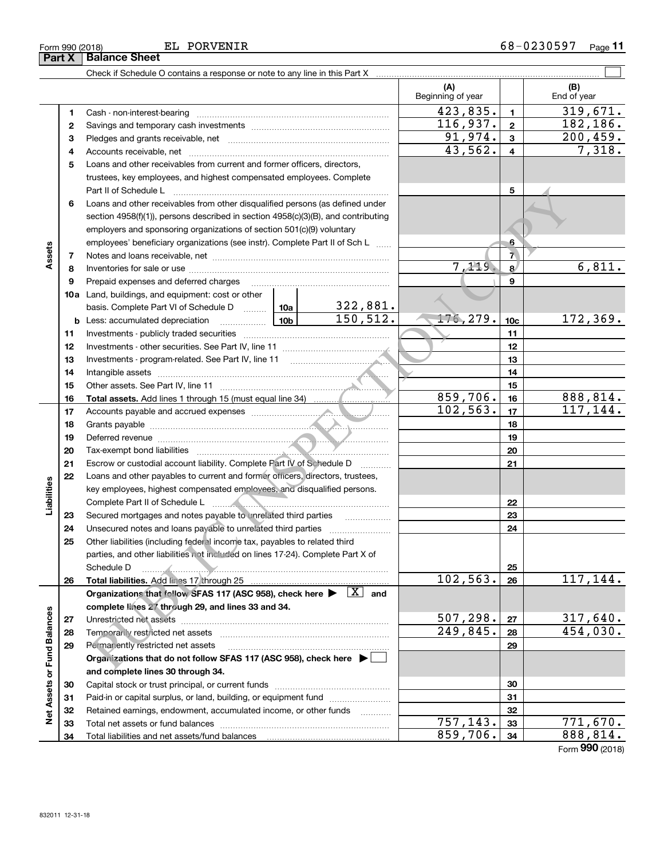$\mathcal{L}^{\text{max}}$ 

EL PORVENIR

|                             |    |                                                                                                                                                                                                                                      |           |                      | (A)<br>Beginning of year |                | (B)<br>End of year          |
|-----------------------------|----|--------------------------------------------------------------------------------------------------------------------------------------------------------------------------------------------------------------------------------------|-----------|----------------------|--------------------------|----------------|-----------------------------|
|                             | 1  | Cash - non-interest-bearing                                                                                                                                                                                                          |           |                      | 423,835.                 | $\mathbf{1}$   | 319,671.                    |
|                             | 2  |                                                                                                                                                                                                                                      |           |                      | 116,937.                 | $\mathbf{2}$   | 182,186.                    |
|                             | 3  |                                                                                                                                                                                                                                      | 91,974.   | 3                    | 200, 459.                |                |                             |
|                             | 4  |                                                                                                                                                                                                                                      |           |                      | 43,562.                  | 4              | 7,318.                      |
|                             | 5  | Loans and other receivables from current and former officers, directors,                                                                                                                                                             |           |                      |                          |                |                             |
|                             |    | trustees, key employees, and highest compensated employees. Complete                                                                                                                                                                 |           |                      |                          |                |                             |
|                             |    | Part II of Schedule L                                                                                                                                                                                                                |           |                      |                          | 5              |                             |
|                             | 6  | Loans and other receivables from other disqualified persons (as defined under                                                                                                                                                        |           |                      |                          |                |                             |
|                             |    | section 4958(f)(1)), persons described in section 4958(c)(3)(B), and contributing                                                                                                                                                    |           |                      |                          |                |                             |
|                             |    | employers and sponsoring organizations of section 501(c)(9) voluntary                                                                                                                                                                |           |                      |                          |                |                             |
|                             |    | employees' beneficiary organizations (see instr). Complete Part II of Sch L                                                                                                                                                          |           |                      |                          | 6              |                             |
| Assets                      | 7  |                                                                                                                                                                                                                                      |           |                      |                          | $\bar{z}$      |                             |
|                             | 8  |                                                                                                                                                                                                                                      |           |                      | 7,119.                   | 8 <sup>′</sup> | 6,811.                      |
|                             | 9  | Prepaid expenses and deferred charges                                                                                                                                                                                                |           |                      |                          | 9              |                             |
|                             |    | <b>10a</b> Land, buildings, and equipment: cost or other                                                                                                                                                                             |           |                      |                          |                |                             |
|                             |    | basis. Complete Part VI of Schedule D  10a                                                                                                                                                                                           |           | 322,881.             |                          |                |                             |
|                             |    | <u> 10b</u><br><b>b</b> Less: accumulated depreciation                                                                                                                                                                               |           | 150, 512.            | 176, 279.                | 10c            | 172,369.                    |
|                             | 11 |                                                                                                                                                                                                                                      |           |                      |                          | 11             |                             |
|                             | 12 |                                                                                                                                                                                                                                      |           |                      |                          | 12             |                             |
|                             | 13 |                                                                                                                                                                                                                                      |           |                      |                          | 13             |                             |
|                             | 14 |                                                                                                                                                                                                                                      |           |                      |                          | 14             |                             |
|                             | 15 |                                                                                                                                                                                                                                      |           | 15                   |                          |                |                             |
|                             | 16 |                                                                                                                                                                                                                                      |           |                      | 859,706.                 | 16             | 888,814.                    |
|                             | 17 |                                                                                                                                                                                                                                      | 102, 563. | 17                   | 117,144.                 |                |                             |
|                             | 18 |                                                                                                                                                                                                                                      |           | 18                   |                          |                |                             |
|                             | 19 | Deferred revenue <b>contract and the contract of the contract of the contract of the contract of the contract of the contract of the contract of the contract of the contract of the contract of the contract of the contract of</b> |           |                      |                          | 19             |                             |
|                             | 20 |                                                                                                                                                                                                                                      |           |                      |                          | 20             |                             |
|                             | 21 | Escrow or custodial account liability. Complete Part IV of Schedule D                                                                                                                                                                |           |                      |                          | 21             |                             |
|                             | 22 | Loans and other payables to current and former officers, directors, trustees,                                                                                                                                                        |           |                      |                          |                |                             |
| abilities                   |    | key employees, highest compensated employees, and disqualified persons.                                                                                                                                                              |           |                      |                          |                |                             |
|                             |    |                                                                                                                                                                                                                                      |           |                      |                          | 22             |                             |
|                             | 23 | Secured mortgages and notes payable to unrelated third parties                                                                                                                                                                       |           |                      |                          | 23             |                             |
|                             | 24 |                                                                                                                                                                                                                                      |           |                      |                          | 24             |                             |
|                             | 25 | Other liabilities (including federal income tax, payables to related third                                                                                                                                                           |           |                      |                          |                |                             |
|                             |    | parties, and other liabilities not included on lines 17-24). Complete Part X of                                                                                                                                                      |           |                      |                          |                |                             |
|                             |    | Schedule D                                                                                                                                                                                                                           |           |                      |                          | 25             |                             |
|                             | 26 |                                                                                                                                                                                                                                      |           |                      | 102, 563.                | 26             | 117,144.                    |
|                             |    | Organizations that follow SFAS 117 (ASC 958), check here $\blacktriangleright \begin{array}{c} X \\ \hline \end{array}$ and                                                                                                          |           |                      |                          |                |                             |
|                             |    | complete lines 27 through 29, and lines 33 and 34.                                                                                                                                                                                   |           |                      |                          |                |                             |
|                             | 27 |                                                                                                                                                                                                                                      |           |                      | 507,298.                 | 27             | 317,640.                    |
|                             | 28 |                                                                                                                                                                                                                                      |           |                      | 249,845.                 | 28             | 454,030.                    |
|                             | 29 | Permanently restricted net assets                                                                                                                                                                                                    |           | 29                   |                          |                |                             |
|                             |    | Organizations that do not follow SFAS 117 (ASC 958), check here $\blacktriangleright$                                                                                                                                                |           |                      |                          |                |                             |
|                             |    | and complete lines 30 through 34.                                                                                                                                                                                                    |           |                      |                          |                |                             |
|                             | 30 |                                                                                                                                                                                                                                      |           |                      |                          | 30             |                             |
|                             | 31 | Paid-in or capital surplus, or land, building, or equipment fund                                                                                                                                                                     |           |                      |                          | 31             |                             |
|                             | 32 | Retained earnings, endowment, accumulated income, or other funds                                                                                                                                                                     |           | 1.1.1.1.1.1.1.1.1.1  |                          | 32             |                             |
|                             | 33 |                                                                                                                                                                                                                                      |           |                      |                          | 33             | 771,670.                    |
|                             | 34 |                                                                                                                                                                                                                                      |           |                      |                          | 34             | 888,814.<br>Form 990 (2018) |
| Net Assets or Fund Balances |    | Total liabilities and net assets/fund balances                                                                                                                                                                                       |           | 757,143.<br>859,706. |                          |                |                             |

Check if Schedule O contains a response or note to any line in this Part X

 $\overline{\phantom{0}}$ 

**Part X Balance Sheet**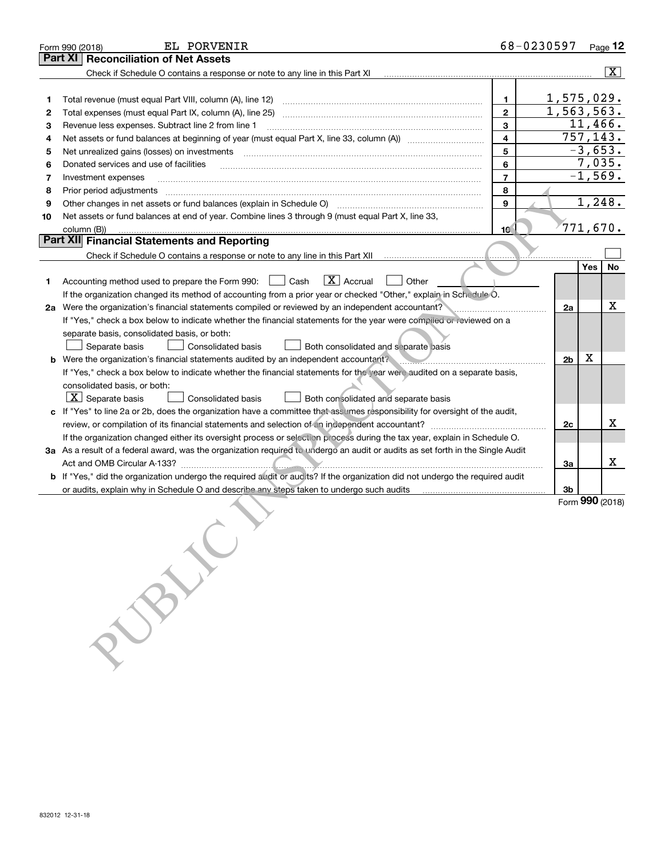|    | Form 990 (2018)                                       | EL PORVENIR                                                                                                                                                                                                                                                                                                                                                                                                                                 | 68-0230597     |                   |                 | Page $12$               |
|----|-------------------------------------------------------|---------------------------------------------------------------------------------------------------------------------------------------------------------------------------------------------------------------------------------------------------------------------------------------------------------------------------------------------------------------------------------------------------------------------------------------------|----------------|-------------------|-----------------|-------------------------|
|    | <b>Part XI</b><br><b>Reconciliation of Net Assets</b> |                                                                                                                                                                                                                                                                                                                                                                                                                                             |                |                   |                 |                         |
|    |                                                       | Check if Schedule O contains a response or note to any line in this Part XI [11] [12] [2] [2] [2] [2] [2] [2] [                                                                                                                                                                                                                                                                                                                             |                |                   |                 | $\overline{\mathbf{x}}$ |
|    |                                                       |                                                                                                                                                                                                                                                                                                                                                                                                                                             |                |                   |                 |                         |
| 1  |                                                       | Total revenue (must equal Part VIII, column (A), line 12)                                                                                                                                                                                                                                                                                                                                                                                   | $\mathbf{1}$   | <u>1,575,029.</u> |                 |                         |
| 2  |                                                       |                                                                                                                                                                                                                                                                                                                                                                                                                                             | $\overline{2}$ | 1, 563, 563.      |                 |                         |
| з  | Revenue less expenses. Subtract line 2 from line 1    |                                                                                                                                                                                                                                                                                                                                                                                                                                             | 3              |                   | 11,466.         |                         |
| 4  |                                                       |                                                                                                                                                                                                                                                                                                                                                                                                                                             | $\overline{4}$ |                   | 757, 143.       |                         |
| 5  |                                                       | Net unrealized gains (losses) on investments [11] matter continuum matter and all the set of the set of the set of the set of the set of the set of the set of the set of the set of the set of the set of the set of the set                                                                                                                                                                                                               | 5              |                   | $-3,653.$       |                         |
| 6  | Donated services and use of facilities                |                                                                                                                                                                                                                                                                                                                                                                                                                                             | 6              |                   | 7,035.          |                         |
| 7  | Investment expenses                                   |                                                                                                                                                                                                                                                                                                                                                                                                                                             | $\overline{7}$ |                   | $-1,569.$       |                         |
| 8  | Prior period adjustments                              | $\begin{minipage}{0.5\textwidth} \begin{tabular}{ l l l } \hline \multicolumn{1}{ l l l } \hline \multicolumn{1}{ l l } \multicolumn{1}{ l } \multicolumn{1}{ l } \multicolumn{1}{ l } \multicolumn{1}{ l } \multicolumn{1}{ l } \multicolumn{1}{ l } \multicolumn{1}{ l } \multicolumn{1}{ l } \multicolumn{1}{ l } \multicolumn{1}{ l } \multicolumn{1}{ l } \multicolumn{1}{ l } \multicolumn{1}{ l } \multicolumn{1}{ l } \multicolumn$ | 8              |                   |                 |                         |
| 9  |                                                       |                                                                                                                                                                                                                                                                                                                                                                                                                                             | 9              |                   | 1,248.          |                         |
| 10 |                                                       | Net assets or fund balances at end of year. Combine lines 3 through 9 (must equal Part X, line 33,                                                                                                                                                                                                                                                                                                                                          |                |                   |                 |                         |
|    | column (B))                                           |                                                                                                                                                                                                                                                                                                                                                                                                                                             | 10             |                   | 771,670.        |                         |
|    |                                                       | <b>Part XII</b> Financial Statements and Reporting                                                                                                                                                                                                                                                                                                                                                                                          |                |                   |                 |                         |
|    |                                                       |                                                                                                                                                                                                                                                                                                                                                                                                                                             |                |                   |                 |                         |
|    |                                                       |                                                                                                                                                                                                                                                                                                                                                                                                                                             |                |                   | Yes             | No.                     |
| 1. |                                                       | $\boxed{\text{X}}$ Accrual<br>Accounting method used to prepare the Form 990: <u>[</u> Cash<br>Other                                                                                                                                                                                                                                                                                                                                        |                |                   |                 |                         |
|    |                                                       | If the organization changed its method of accounting from a prior year or checked "Other," explain in Schedule O.                                                                                                                                                                                                                                                                                                                           |                |                   |                 |                         |
|    |                                                       | 2a Were the organization's financial statements compiled or reviewed by an independent accountant?                                                                                                                                                                                                                                                                                                                                          |                | 2a                |                 | x                       |
|    |                                                       | If "Yes," check a box below to indicate whether the financial statements for the year were compiled or reviewed on a                                                                                                                                                                                                                                                                                                                        |                |                   |                 |                         |
|    | separate basis, consolidated basis, or both:          |                                                                                                                                                                                                                                                                                                                                                                                                                                             |                |                   |                 |                         |
|    | Separate basis                                        | Consolidated basis<br>Both consolidated and separate basis                                                                                                                                                                                                                                                                                                                                                                                  |                |                   |                 |                         |
| b  |                                                       | Were the organization's financial statements audited by an independent accountant?<br>and the contract of the contract of                                                                                                                                                                                                                                                                                                                   |                | 2 <sub>b</sub>    | Х               |                         |
|    |                                                       | If "Yes," check a box below to indicate whether the financial statements for the year were audited on a separate basis,                                                                                                                                                                                                                                                                                                                     |                |                   |                 |                         |
|    | consolidated basis, or both:                          |                                                                                                                                                                                                                                                                                                                                                                                                                                             |                |                   |                 |                         |
|    | $\boxed{\textbf{X}}$ Separate basis                   | Consolidated basis<br>Both consolidated and separate basis                                                                                                                                                                                                                                                                                                                                                                                  |                |                   |                 |                         |
|    |                                                       | c If "Yes" to line 2a or 2b, does the organization have a committee that assumes responsibility for oversight of the audit,                                                                                                                                                                                                                                                                                                                 |                |                   |                 |                         |
|    |                                                       |                                                                                                                                                                                                                                                                                                                                                                                                                                             |                | 2c                |                 | х                       |
|    |                                                       | If the organization changed either its oversight process or selection process during the tax year, explain in Schedule O.                                                                                                                                                                                                                                                                                                                   |                |                   |                 |                         |
|    |                                                       | 3a As a result of a federal award, was the organization required to undergo an audit or audits as set forth in the Single Audit                                                                                                                                                                                                                                                                                                             |                |                   |                 |                         |
|    |                                                       |                                                                                                                                                                                                                                                                                                                                                                                                                                             |                | За                |                 | х                       |
|    |                                                       | b If "Yes," did the organization undergo the required audit or audits? If the organization did not undergo the required audit                                                                                                                                                                                                                                                                                                               |                |                   |                 |                         |
|    |                                                       | or audits, explain why in Schedule O and describe any steps taken to undergo such audits                                                                                                                                                                                                                                                                                                                                                    |                | 3b                |                 |                         |
|    |                                                       |                                                                                                                                                                                                                                                                                                                                                                                                                                             |                |                   | Form 990 (2018) |                         |
|    |                                                       |                                                                                                                                                                                                                                                                                                                                                                                                                                             |                |                   |                 |                         |
|    |                                                       |                                                                                                                                                                                                                                                                                                                                                                                                                                             |                |                   |                 |                         |
|    |                                                       |                                                                                                                                                                                                                                                                                                                                                                                                                                             |                |                   |                 |                         |
|    |                                                       |                                                                                                                                                                                                                                                                                                                                                                                                                                             |                |                   |                 |                         |
|    |                                                       |                                                                                                                                                                                                                                                                                                                                                                                                                                             |                |                   |                 |                         |
|    |                                                       |                                                                                                                                                                                                                                                                                                                                                                                                                                             |                |                   |                 |                         |
|    |                                                       |                                                                                                                                                                                                                                                                                                                                                                                                                                             |                |                   |                 |                         |
|    |                                                       |                                                                                                                                                                                                                                                                                                                                                                                                                                             |                |                   |                 |                         |
|    |                                                       |                                                                                                                                                                                                                                                                                                                                                                                                                                             |                |                   |                 |                         |
|    |                                                       |                                                                                                                                                                                                                                                                                                                                                                                                                                             |                |                   |                 |                         |
|    |                                                       | 2 By C                                                                                                                                                                                                                                                                                                                                                                                                                                      |                |                   |                 |                         |
|    |                                                       |                                                                                                                                                                                                                                                                                                                                                                                                                                             |                |                   |                 |                         |
|    |                                                       |                                                                                                                                                                                                                                                                                                                                                                                                                                             |                |                   |                 |                         |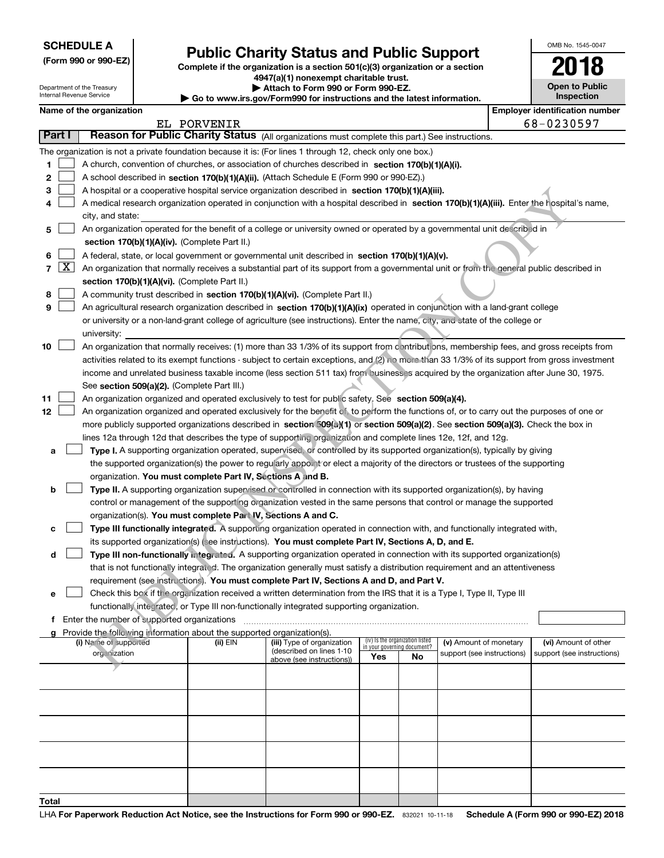**(Form 990 or 990-EZ)**

# **Public Charity Status and Public Support**

**Complete if the organization is a section 501(c)(3) organization or a section 4947(a)(1) nonexempt charitable trust. | Attach to Form 990 or Form 990-EZ.** 

|  |  |  | Go to www.irs.gov/Form990 for instructions and the latest information. |
|--|--|--|------------------------------------------------------------------------|
|  |  |  |                                                                        |

| OMB No. 1545-0047          |
|----------------------------|
| 2018                       |
| <b>Open to Public</b><br>. |

| Department of the Treasury<br>Internal Revenue Service |                 |                                             |  | ▶ Attach to Form 990 or Form 990-EZ.<br>Go to www.irs.gov/Form990 for instructions and the latest information. |                                                                                                                                                                                                                          |                             |                                 |                                       |  | <b>Open to Public</b><br><b>Inspection</b> |  |  |
|--------------------------------------------------------|-----------------|---------------------------------------------|--|----------------------------------------------------------------------------------------------------------------|--------------------------------------------------------------------------------------------------------------------------------------------------------------------------------------------------------------------------|-----------------------------|---------------------------------|---------------------------------------|--|--------------------------------------------|--|--|
| Name of the organization                               |                 |                                             |  |                                                                                                                |                                                                                                                                                                                                                          |                             |                                 | <b>Employer identification number</b> |  |                                            |  |  |
|                                                        |                 | 68-0230597<br>EL PORVENIR                   |  |                                                                                                                |                                                                                                                                                                                                                          |                             |                                 |                                       |  |                                            |  |  |
|                                                        | Part I          |                                             |  |                                                                                                                | Reason for Public Charity Status (All organizations must complete this part.) See instructions.                                                                                                                          |                             |                                 |                                       |  |                                            |  |  |
|                                                        |                 |                                             |  |                                                                                                                | The organization is not a private foundation because it is: (For lines 1 through 12, check only one box.)                                                                                                                |                             |                                 |                                       |  |                                            |  |  |
| 1                                                      |                 |                                             |  |                                                                                                                | A church, convention of churches, or association of churches described in section 170(b)(1)(A)(i).                                                                                                                       |                             |                                 |                                       |  |                                            |  |  |
| 2                                                      |                 |                                             |  |                                                                                                                | A school described in section 170(b)(1)(A)(ii). (Attach Schedule E (Form 990 or 990-EZ).)                                                                                                                                |                             |                                 |                                       |  |                                            |  |  |
| з                                                      |                 |                                             |  |                                                                                                                | A hospital or a cooperative hospital service organization described in section 170(b)(1)(A)(iii).                                                                                                                        |                             |                                 |                                       |  |                                            |  |  |
| 4                                                      |                 |                                             |  |                                                                                                                | A medical research organization operated in conjunction with a hospital described in section 170(b)(1)(A)(iii). Enter the hospital's name,                                                                               |                             |                                 |                                       |  |                                            |  |  |
|                                                        |                 | city, and state:                            |  |                                                                                                                |                                                                                                                                                                                                                          |                             |                                 |                                       |  |                                            |  |  |
| 5.                                                     |                 |                                             |  |                                                                                                                | An organization operated for the benefit of a college or university owned or operated by a governmental unit described in                                                                                                |                             |                                 |                                       |  |                                            |  |  |
|                                                        |                 |                                             |  | section 170(b)(1)(A)(iv). (Complete Part II.)                                                                  |                                                                                                                                                                                                                          |                             |                                 |                                       |  |                                            |  |  |
| 6                                                      |                 |                                             |  |                                                                                                                | A federal, state, or local government or governmental unit described in section 170(b)(1)(A)(v).                                                                                                                         |                             |                                 |                                       |  |                                            |  |  |
|                                                        | $7 \mid X \mid$ |                                             |  |                                                                                                                | An organization that normally receives a substantial part of its support from a governmental unit or from the general public described in                                                                                |                             |                                 |                                       |  |                                            |  |  |
|                                                        |                 |                                             |  | section 170(b)(1)(A)(vi). (Complete Part II.)                                                                  |                                                                                                                                                                                                                          |                             |                                 |                                       |  |                                            |  |  |
| 8                                                      |                 |                                             |  |                                                                                                                | A community trust described in section 170(b)(1)(A)(vi). (Complete Part II.)                                                                                                                                             |                             |                                 |                                       |  |                                            |  |  |
| 9                                                      |                 |                                             |  |                                                                                                                | An agricultural research organization described in section 170(b)(1)(A)(ix) operated in conjunction with a land-grant college                                                                                            |                             |                                 |                                       |  |                                            |  |  |
|                                                        |                 |                                             |  |                                                                                                                | or university or a non-land-grant college of agriculture (see instructions). Enter the name, city, and state of the college or                                                                                           |                             |                                 |                                       |  |                                            |  |  |
| 10                                                     |                 | university:                                 |  |                                                                                                                | An organization that normally receives: (1) more than 33 1/3% of its support from contribut ons, membership fees, and gross receipts from                                                                                |                             |                                 |                                       |  |                                            |  |  |
|                                                        |                 |                                             |  |                                                                                                                | activities related to its exempt functions - subject to certain exceptions, and (2) no more than 33 1/3% of its support from gross investment                                                                            |                             |                                 |                                       |  |                                            |  |  |
|                                                        |                 |                                             |  |                                                                                                                | income and unrelated business taxable income (less section 511 tax) from businesses acquired by the organization after June 30, 1975.                                                                                    |                             |                                 |                                       |  |                                            |  |  |
|                                                        |                 |                                             |  | See section 509(a)(2). (Complete Part III.)                                                                    |                                                                                                                                                                                                                          |                             |                                 |                                       |  |                                            |  |  |
| 11                                                     |                 |                                             |  |                                                                                                                | An organization organized and operated exclusively to test for public safety. See section 509(a)(4).                                                                                                                     |                             |                                 |                                       |  |                                            |  |  |
| 12                                                     |                 |                                             |  |                                                                                                                | An organization organized and operated exclusively for the benefit of, to perform the functions of, or to carry out the purposes of one or                                                                               |                             |                                 |                                       |  |                                            |  |  |
|                                                        |                 |                                             |  |                                                                                                                | more publicly supported organizations described in section 509(a)(1) or section 509(a)(2). See section 509(a)(3). Check the box in                                                                                       |                             |                                 |                                       |  |                                            |  |  |
|                                                        |                 |                                             |  |                                                                                                                | lines 12a through 12d that describes the type of supporting organization and complete lines 12e, 12f, and 12g.                                                                                                           |                             |                                 |                                       |  |                                            |  |  |
| а                                                      |                 |                                             |  |                                                                                                                | Type I. A supporting organization operated, supervised, or controlled by its supported organization(s), typically by giving                                                                                              |                             |                                 |                                       |  |                                            |  |  |
|                                                        |                 |                                             |  |                                                                                                                | the supported organization(s) the power to regularly appoint or elect a majority of the directors or trustees of the supporting                                                                                          |                             |                                 |                                       |  |                                            |  |  |
|                                                        |                 |                                             |  | organization. You must complete Part IV, Sections A and B.                                                     |                                                                                                                                                                                                                          |                             |                                 |                                       |  |                                            |  |  |
| b                                                      |                 |                                             |  |                                                                                                                | Type II. A supporting organization supervised or controlled in connection with its supported organization(s), by having                                                                                                  |                             |                                 |                                       |  |                                            |  |  |
|                                                        |                 |                                             |  |                                                                                                                | control or management of the supporting organization vested in the same persons that control or manage the supported                                                                                                     |                             |                                 |                                       |  |                                            |  |  |
|                                                        |                 |                                             |  | organization(s). You must complete Part IV, Sections A and C.                                                  |                                                                                                                                                                                                                          |                             |                                 |                                       |  |                                            |  |  |
| c                                                      |                 |                                             |  |                                                                                                                | Type III functionally integrated. A supporting organization operated in connection with, and functionally integrated with,                                                                                               |                             |                                 |                                       |  |                                            |  |  |
|                                                        |                 |                                             |  |                                                                                                                | its supported organization(s) (see instructions). You must complete Part IV, Sections A, D, and E.                                                                                                                       |                             |                                 |                                       |  |                                            |  |  |
| d                                                      |                 |                                             |  |                                                                                                                | Type III non-functionally integrated. A supporting organization operated in connection with its supported organization(s)                                                                                                |                             |                                 |                                       |  |                                            |  |  |
|                                                        |                 |                                             |  |                                                                                                                | that is not functionally integrated. The organization generally must satisfy a distribution requirement and an attentiveness<br>requirement (see instructions). You must complete Part IV, Sections A and D, and Part V. |                             |                                 |                                       |  |                                            |  |  |
| е                                                      |                 |                                             |  |                                                                                                                | Check this box if the organization received a written determination from the IRS that it is a Type I, Type II, Type III                                                                                                  |                             |                                 |                                       |  |                                            |  |  |
|                                                        |                 |                                             |  |                                                                                                                | functionally integrated, or Type III non-functionally integrated supporting organization.                                                                                                                                |                             |                                 |                                       |  |                                            |  |  |
|                                                        |                 | Enter the number of supported organizations |  |                                                                                                                |                                                                                                                                                                                                                          |                             |                                 |                                       |  |                                            |  |  |
|                                                        |                 |                                             |  | Provide the following information about the supported organization(s).                                         |                                                                                                                                                                                                                          |                             |                                 |                                       |  |                                            |  |  |
|                                                        |                 | (i) Name of supported                       |  | (ii) EIN                                                                                                       | (iii) Type of organization<br>(described on lines 1-10                                                                                                                                                                   | in your governing document? | (iv) Is the organization listed | (v) Amount of monetary                |  | (vi) Amount of other                       |  |  |
|                                                        |                 | organization                                |  |                                                                                                                | above (see instructions))                                                                                                                                                                                                | Yes                         | No                              | support (see instructions)            |  | support (see instructions)                 |  |  |
|                                                        |                 |                                             |  |                                                                                                                |                                                                                                                                                                                                                          |                             |                                 |                                       |  |                                            |  |  |
|                                                        |                 |                                             |  |                                                                                                                |                                                                                                                                                                                                                          |                             |                                 |                                       |  |                                            |  |  |
|                                                        |                 |                                             |  |                                                                                                                |                                                                                                                                                                                                                          |                             |                                 |                                       |  |                                            |  |  |
|                                                        |                 |                                             |  |                                                                                                                |                                                                                                                                                                                                                          |                             |                                 |                                       |  |                                            |  |  |
|                                                        |                 |                                             |  |                                                                                                                |                                                                                                                                                                                                                          |                             |                                 |                                       |  |                                            |  |  |
|                                                        |                 |                                             |  |                                                                                                                |                                                                                                                                                                                                                          |                             |                                 |                                       |  |                                            |  |  |
|                                                        |                 |                                             |  |                                                                                                                |                                                                                                                                                                                                                          |                             |                                 |                                       |  |                                            |  |  |
|                                                        |                 |                                             |  |                                                                                                                |                                                                                                                                                                                                                          |                             |                                 |                                       |  |                                            |  |  |
|                                                        |                 |                                             |  |                                                                                                                |                                                                                                                                                                                                                          |                             |                                 |                                       |  |                                            |  |  |
| Total                                                  |                 |                                             |  |                                                                                                                |                                                                                                                                                                                                                          |                             |                                 |                                       |  |                                            |  |  |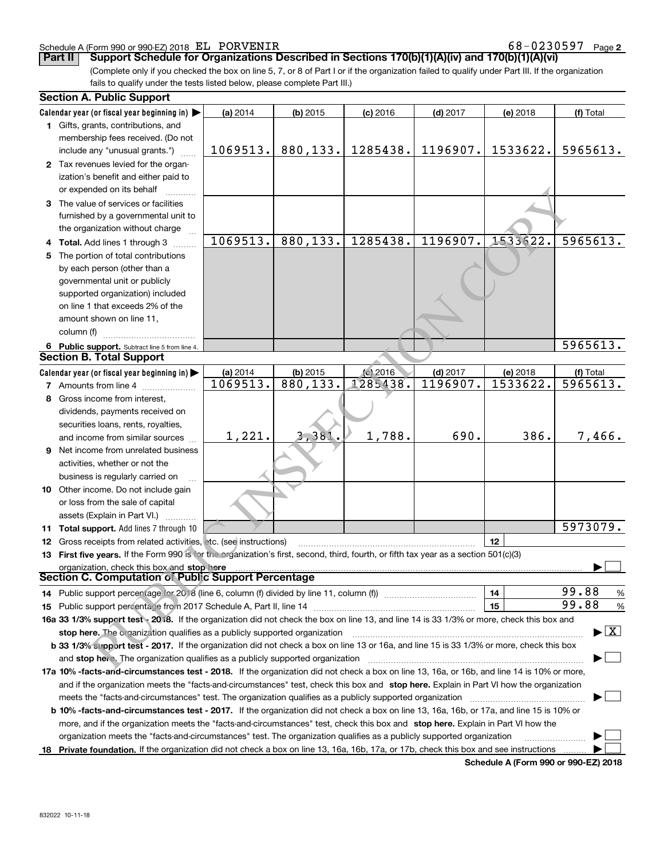## Schedule A (Form 990 or 990-EZ) 2018 Page EL PORVENIR 68-0230597

(Complete only if you checked the box on line 5, 7, or 8 of Part I or if the organization failed to qualify under Part III. If the organization **Part II COPPORT Schedule for Organizations Described in Sections 170(b)(1)(A)(iv) and 170(b)(1)(A)(vi)** 

fails to qualify under the tests listed below, please complete Part III.)

|     | <b>Section A. Public Support</b>                                                                                                           |          |            |            |                                 |                                             |                                         |
|-----|--------------------------------------------------------------------------------------------------------------------------------------------|----------|------------|------------|---------------------------------|---------------------------------------------|-----------------------------------------|
|     | Calendar year (or fiscal year beginning in)                                                                                                | (a) 2014 | $(b)$ 2015 | $(c)$ 2016 | $(d)$ 2017                      | (e) 2018                                    | (f) Total                               |
|     | 1 Gifts, grants, contributions, and                                                                                                        |          |            |            |                                 |                                             |                                         |
|     | membership fees received. (Do not                                                                                                          |          |            |            |                                 |                                             |                                         |
|     | include any "unusual grants.")                                                                                                             | 1069513. | 880, 133.  |            | $1285438.$   1196907.  1533622. |                                             | 5965613.                                |
|     | 2 Tax revenues levied for the organ-                                                                                                       |          |            |            |                                 |                                             |                                         |
|     | ization's benefit and either paid to                                                                                                       |          |            |            |                                 |                                             |                                         |
|     | or expended on its behalf                                                                                                                  |          |            |            |                                 |                                             |                                         |
|     | 3 The value of services or facilities                                                                                                      |          |            |            |                                 |                                             |                                         |
|     | furnished by a governmental unit to                                                                                                        |          |            |            |                                 |                                             |                                         |
|     | the organization without charge                                                                                                            |          |            |            |                                 |                                             |                                         |
|     | Total. Add lines 1 through 3                                                                                                               | 1069513. | 880, 133.  | 1285438.   | 1196907.                        | 1533622.                                    | 5965613.                                |
| 5   | The portion of total contributions                                                                                                         |          |            |            |                                 |                                             |                                         |
|     | by each person (other than a                                                                                                               |          |            |            |                                 |                                             |                                         |
|     | governmental unit or publicly                                                                                                              |          |            |            |                                 |                                             |                                         |
|     | supported organization) included                                                                                                           |          |            |            |                                 |                                             |                                         |
|     | on line 1 that exceeds 2% of the                                                                                                           |          |            |            |                                 |                                             |                                         |
|     | amount shown on line 11,                                                                                                                   |          |            |            |                                 |                                             |                                         |
|     | column (f)                                                                                                                                 |          |            |            |                                 |                                             |                                         |
|     |                                                                                                                                            |          |            |            |                                 |                                             | 5965613.                                |
|     | 6 Public support. Subtract line 5 from line 4.<br><b>Section B. Total Support</b>                                                          |          |            |            |                                 |                                             |                                         |
|     | Calendar year (or fiscal year beginning in)                                                                                                | (a) 2014 | $(b)$ 2015 | $(c)$ 2016 | $(d)$ 2017                      | (e) 2018                                    | (f) Total                               |
|     | <b>7</b> Amounts from line 4                                                                                                               | 1069513. | 880,133.   | 1285438.   | 1196907.                        | 1533622.                                    | 5965613.                                |
|     | 8 Gross income from interest,                                                                                                              |          |            |            |                                 |                                             |                                         |
|     |                                                                                                                                            |          |            |            |                                 |                                             |                                         |
|     | dividends, payments received on                                                                                                            |          |            |            |                                 |                                             |                                         |
|     | securities loans, rents, royalties,                                                                                                        | 1,221.   | 3,381.     | 1,788.     | 690.                            | 386.                                        | 7,466.                                  |
|     | and income from similar sources                                                                                                            |          |            |            |                                 |                                             |                                         |
| 9   | Net income from unrelated business                                                                                                         |          |            |            |                                 |                                             |                                         |
|     | activities, whether or not the                                                                                                             |          |            |            |                                 |                                             |                                         |
|     | business is regularly carried on                                                                                                           |          |            |            |                                 |                                             |                                         |
|     | 10 Other income. Do not include gain                                                                                                       |          |            |            |                                 |                                             |                                         |
|     | or loss from the sale of capital                                                                                                           |          |            |            |                                 |                                             |                                         |
|     | assets (Explain in Part VI.)                                                                                                               |          |            |            |                                 |                                             |                                         |
|     | 11 Total support. Add lines 7 through 10                                                                                                   |          |            |            |                                 |                                             | 5973079.                                |
| 12  | Gross receipts from related activities, etc. (see instructions)                                                                            |          |            |            |                                 | 12                                          |                                         |
| 13. | First five years. If the Form 990 is for the organization's first, second, third, fourth, or fifth tax year as a section 501(c)(3)         |          |            |            |                                 |                                             |                                         |
|     | organization, check this box and stop here<br>Section C. Computation of Public Support Percentage                                          |          |            |            |                                 |                                             |                                         |
|     |                                                                                                                                            |          |            |            |                                 |                                             |                                         |
|     |                                                                                                                                            |          |            |            |                                 | 14                                          | 99.88<br>%                              |
|     |                                                                                                                                            |          |            |            |                                 | 15                                          | 99.88<br>$\frac{9}{6}$                  |
|     | 16a 33 1/3% support test 20.18. If the organization did not check the box on line 13, and line 14 is 33 1/3% or more, check this box and   |          |            |            |                                 |                                             |                                         |
|     | stop here. The organization qualifies as a publicly supported organization                                                                 |          |            |            |                                 |                                             | $\blacktriangleright$ $\vert$ X $\vert$ |
|     | b 33 1/3% support test - 2017. If the organization did not check a box on line 13 or 16a, and line 15 is 33 1/3% or more, check this box   |          |            |            |                                 |                                             |                                         |
|     |                                                                                                                                            |          |            |            |                                 |                                             |                                         |
|     | 17a 10% -facts-and-circumstances test - 2018. If the organization did not check a box on line 13, 16a, or 16b, and line 14 is 10% or more, |          |            |            |                                 |                                             |                                         |
|     | and if the organization meets the "facts-and-circumstances" test, check this box and stop here. Explain in Part VI how the organization    |          |            |            |                                 |                                             |                                         |
|     | meets the "facts-and-circumstances" test. The organization qualifies as a publicly supported organization                                  |          |            |            |                                 |                                             |                                         |
|     | b 10% -facts-and-circumstances test - 2017. If the organization did not check a box on line 13, 16a, 16b, or 17a, and line 15 is 10% or    |          |            |            |                                 |                                             |                                         |
|     | more, and if the organization meets the "facts-and-circumstances" test, check this box and stop here. Explain in Part VI how the           |          |            |            |                                 |                                             |                                         |
|     | organization meets the "facts-and-circumstances" test. The organization qualifies as a publicly supported organization                     |          |            |            |                                 |                                             |                                         |
| 18. | Private foundation. If the organization did not check a box on line 13, 16a, 16b, 17a, or 17b, check this box and see instructions         |          |            |            |                                 | <b>Cohodulo A (Form 000 or 000 EZ) 2010</b> |                                         |

**Schedule A (Form 990 or 990-EZ) 2018**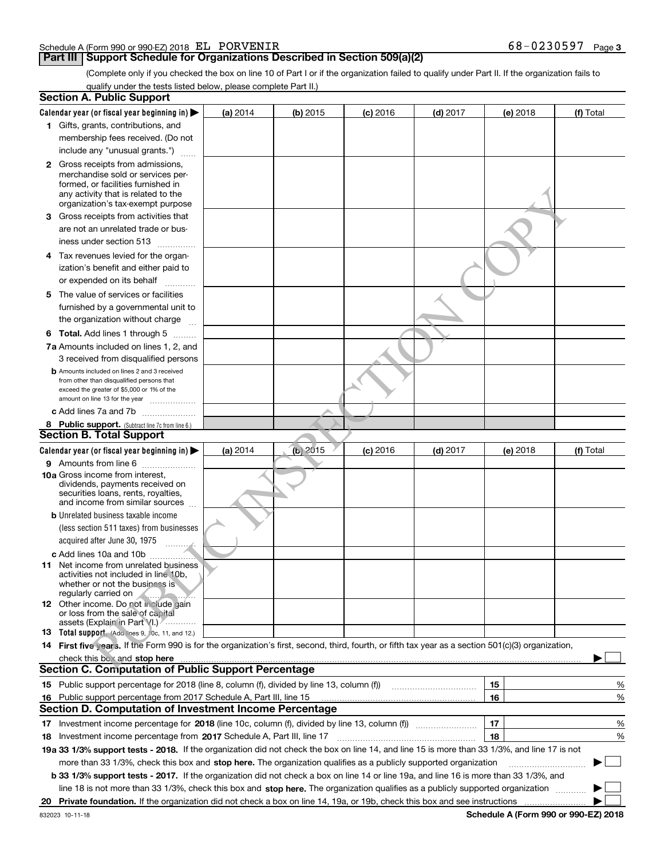|  |  | Schedule A (Form 990 or 990-EZ) 2018 $\,$ EL $\,$ PORVENIR | 68-0230597 | Page 3 |
|--|--|------------------------------------------------------------|------------|--------|
|  |  |                                                            |            |        |

## **Part III** | Support Schedule for Organizations Described in Section 509(a)(2)

(Complete only if you checked the box on line 10 of Part I or if the organization failed to qualify under Part II. If the organization fails to qualify under the tests listed below, please complete Part II.)

|     | <b>Section A. Public Support</b>                                                                                                                                                                                                                                                                           |          |          |            |            |          |                                      |
|-----|------------------------------------------------------------------------------------------------------------------------------------------------------------------------------------------------------------------------------------------------------------------------------------------------------------|----------|----------|------------|------------|----------|--------------------------------------|
|     | Calendar year (or fiscal year beginning in) $\blacktriangleright$                                                                                                                                                                                                                                          | (a) 2014 | (b) 2015 | $(c)$ 2016 | $(d)$ 2017 | (e) 2018 | (f) Total                            |
|     | 1 Gifts, grants, contributions, and                                                                                                                                                                                                                                                                        |          |          |            |            |          |                                      |
|     | membership fees received. (Do not                                                                                                                                                                                                                                                                          |          |          |            |            |          |                                      |
|     | include any "unusual grants.")                                                                                                                                                                                                                                                                             |          |          |            |            |          |                                      |
|     | <b>2</b> Gross receipts from admissions,<br>merchandise sold or services per-<br>formed, or facilities furnished in<br>any activity that is related to the<br>organization's tax-exempt purpose                                                                                                            |          |          |            |            |          |                                      |
|     | 3 Gross receipts from activities that<br>are not an unrelated trade or bus-                                                                                                                                                                                                                                |          |          |            |            |          |                                      |
|     | iness under section 513                                                                                                                                                                                                                                                                                    |          |          |            |            |          |                                      |
|     | 4 Tax revenues levied for the organ-<br>ization's benefit and either paid to<br>or expended on its behalf                                                                                                                                                                                                  |          |          |            |            |          |                                      |
|     | 5 The value of services or facilities                                                                                                                                                                                                                                                                      |          |          |            |            |          |                                      |
|     | furnished by a governmental unit to<br>the organization without charge                                                                                                                                                                                                                                     |          |          |            |            |          |                                      |
|     | <b>6 Total.</b> Add lines 1 through 5                                                                                                                                                                                                                                                                      |          |          |            |            |          |                                      |
|     | 7a Amounts included on lines 1, 2, and                                                                                                                                                                                                                                                                     |          |          |            |            |          |                                      |
|     | 3 received from disqualified persons                                                                                                                                                                                                                                                                       |          |          |            |            |          |                                      |
|     | <b>b</b> Amounts included on lines 2 and 3 received                                                                                                                                                                                                                                                        |          |          |            |            |          |                                      |
|     | from other than disqualified persons that<br>exceed the greater of \$5,000 or 1% of the<br>amount on line 13 for the year                                                                                                                                                                                  |          |          |            |            |          |                                      |
|     | c Add lines 7a and 7b                                                                                                                                                                                                                                                                                      |          |          |            |            |          |                                      |
|     | 8 Public support. (Subtract line 7c from line 6.)                                                                                                                                                                                                                                                          |          |          |            |            |          |                                      |
|     | <b>Section B. Total Support</b>                                                                                                                                                                                                                                                                            |          |          |            |            |          |                                      |
|     | Calendar year (or fiscal year beginning in)                                                                                                                                                                                                                                                                | (a) 2014 | (b) 2015 | $(c)$ 2016 | $(d)$ 2017 | (e) 2018 | (f) Total                            |
|     | 9 Amounts from line 6                                                                                                                                                                                                                                                                                      |          |          |            |            |          |                                      |
|     | <b>10a</b> Gross income from interest,<br>dividends, payments received on<br>securities loans, rents, royalties,<br>and income from similar sources                                                                                                                                                        |          |          |            |            |          |                                      |
|     | <b>b</b> Unrelated business taxable income                                                                                                                                                                                                                                                                 |          |          |            |            |          |                                      |
|     | (less section 511 taxes) from businesses                                                                                                                                                                                                                                                                   |          |          |            |            |          |                                      |
|     | acquired after June 30, 1975<br>$\ldots \ldots \ldots$                                                                                                                                                                                                                                                     |          |          |            |            |          |                                      |
|     | c Add lines 10a and 10b                                                                                                                                                                                                                                                                                    |          |          |            |            |          |                                      |
|     | <b>11</b> Net income from unrelated business<br>activities not included in line 10b.<br>whether or not the business is<br>regularly carried on                                                                                                                                                             |          |          |            |            |          |                                      |
|     | 12 Other income. Do not include gain<br>or loss from the sale of capital<br>assets (Explain in Part VI.) And Suppose the Suppose of the Suppose of the Suppose of the Suppose of the Suppose of the Suppose of the Suppose of the Suppose of the Suppose of the Suppose of the Suppose of the Suppose of t |          |          |            |            |          |                                      |
|     | 13 Total support. (Add lines 9, 10c, 11, and 12.)                                                                                                                                                                                                                                                          |          |          |            |            |          |                                      |
|     | 14 First five years. If the Form 990 is for the organization's first, second, third, fourth, or fifth tax year as a section 501(c)(3) organization,                                                                                                                                                        |          |          |            |            |          |                                      |
|     |                                                                                                                                                                                                                                                                                                            |          |          |            |            |          |                                      |
|     | <b>Section C. Computation of Public Support Percentage</b>                                                                                                                                                                                                                                                 |          |          |            |            |          |                                      |
|     | 15 Public support percentage for 2018 (line 8, column (f), divided by line 13, column (f))                                                                                                                                                                                                                 |          |          |            |            | 15       | %                                    |
| 16. | Public support percentage from 2017 Schedule A, Part III, line 15                                                                                                                                                                                                                                          |          |          |            |            | 16       | %                                    |
|     | <b>Section D. Computation of Investment Income Percentage</b>                                                                                                                                                                                                                                              |          |          |            |            |          |                                      |
|     | 17 Investment income percentage for 2018 (line 10c, column (f), divided by line 13, column (f))                                                                                                                                                                                                            |          |          |            |            | 17       | %                                    |
|     | 18 Investment income percentage from 2017 Schedule A, Part III, line 17                                                                                                                                                                                                                                    |          |          |            |            | 18       | %                                    |
|     | 19a 33 1/3% support tests - 2018. If the organization did not check the box on line 14, and line 15 is more than 33 1/3%, and line 17 is not                                                                                                                                                               |          |          |            |            |          |                                      |
|     | more than 33 1/3%, check this box and stop here. The organization qualifies as a publicly supported organization                                                                                                                                                                                           |          |          |            |            |          | $\sim$<br>▶                          |
|     | b 33 1/3% support tests - 2017. If the organization did not check a box on line 14 or line 19a, and line 16 is more than 33 1/3%, and                                                                                                                                                                      |          |          |            |            |          |                                      |
|     | line 18 is not more than 33 1/3%, check this box and stop here. The organization qualifies as a publicly supported organization                                                                                                                                                                            |          |          |            |            |          |                                      |
| 20  | Private foundation. If the organization did not check a box on line 14, 19a, or 19b, check this box and see instructions                                                                                                                                                                                   |          |          |            |            |          |                                      |
|     | 832023 10-11-18                                                                                                                                                                                                                                                                                            |          |          |            |            |          | Schedule A (Form 990 or 990-EZ) 2018 |
|     |                                                                                                                                                                                                                                                                                                            |          |          |            |            |          |                                      |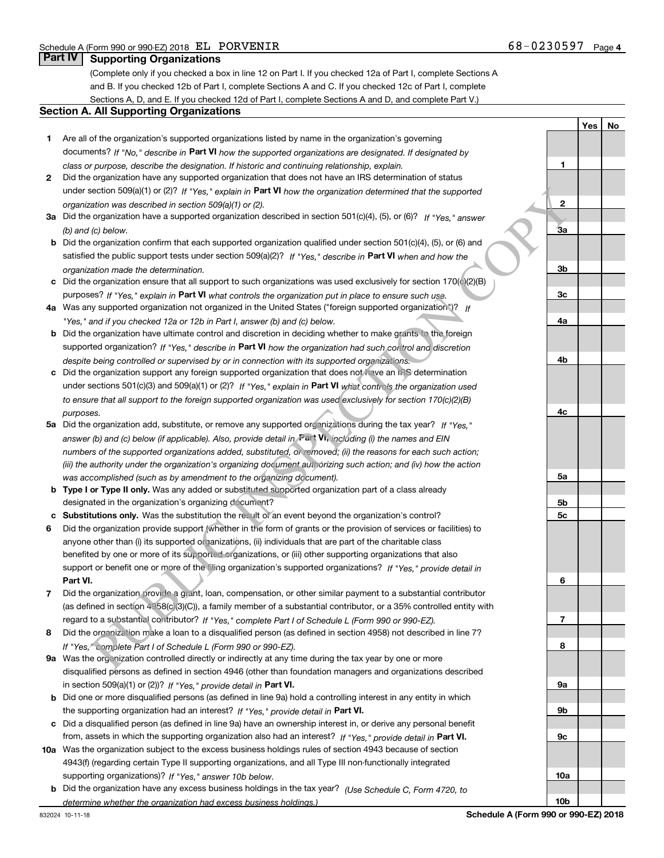**1**

**2**

**3a**

**3b**

**3c**

**4a**

**4b**

**4c**

**5a**

**5b5c**

**6**

**7**

**8**

**9a**

**9b**

**9c**

**10a**

**10b**

**Yes No**

## **Part IV Supporting Organizations**

(Complete only if you checked a box in line 12 on Part I. If you checked 12a of Part I, complete Sections A and B. If you checked 12b of Part I, complete Sections A and C. If you checked 12c of Part I, complete Sections A, D, and E. If you checked 12d of Part I, complete Sections A and D, and complete Part V.)

## **Section A. All Supporting Organizations**

- **1** Are all of the organization's supported organizations listed by name in the organization's governing documents? If "No," describe in **Part VI** how the supported organizations are designated. If designated by *class or purpose, describe the designation. If historic and continuing relationship, explain.*
- **2** Did the organization have any supported organization that does not have an IRS determination of status under section 509(a)(1) or (2)? If "Yes," explain in Part VI how the organization determined that the supported *organization was described in section 509(a)(1) or (2).*
- **3a** Did the organization have a supported organization described in section 501(c)(4), (5), or (6)? If "Yes," answer *(b) and (c) below.*
- **b** Did the organization confirm that each supported organization qualified under section 501(c)(4), (5), or (6) and satisfied the public support tests under section 509(a)(2)? If "Yes," describe in **Part VI** when and how the *organization made the determination.*
- **c** Did the organization ensure that all support to such organizations was used exclusively for section 170(c)(2)(B) purposes? If "Yes," explain in **Part VI** what controls the organization put in place to ensure such use.
- **4a** *If* Was any supported organization not organized in the United States ("foreign supported organization")? *"Yes," and if you checked 12a or 12b in Part I, answer (b) and (c) below.*
- **b** Did the organization have ultimate control and discretion in deciding whether to make grants to the foreign supported organization? If "Yes," describe in **Part VI** how the organization had such control and discretion *despite being controlled or supervised by or in connection with its supported organizations.*
- **c**Did the organization support any foreign supported organization that does not have an IRS determination under sections 501(c)(3) and 509(a)(1) or (2)? If "Yes," explain in **Part VI** what controls the organization used *to ensure that all support to the foreign supported organization was used exclusively for section 170(c)(2)(B) purposes.*
- **5a***If "Yes,"* Did the organization add, substitute, or remove any supported organizations during the tax year? answer (b) and (c) below (if applicable). Also, provide detail in **Part VI,** including (i) the names and EIN *numbers of the supported organizations added, substituted, or removed; (ii) the reasons for each such action; (iii) the authority under the organization's organizing document authorizing such action; and (iv) how the action was accomplished (such as by amendment to the organizing document).*
- **b** Type I or Type II only. Was any added or substituted supported organization part of a class already designated in the organization's organizing document?
- **cSubstitutions only.**  Was the substitution the result of an event beyond the organization's control?
- **6** Did the organization provide support (whether in the form of grants or the provision of services or facilities) to **Part VI.** *If "Yes," provide detail in* support or benefit one or more of the filing organization's supported organizations? anyone other than (i) its supported organizations, (ii) individuals that are part of the charitable class benefited by one or more of its supported organizations, or (iii) other supporting organizations that also section 500(a) for *CP* are responsed by or *K* are **C** and the distribution of the main of the subsection in the subsection of the subsection of the subsection of the subsection of the subsection of the subsection of the
- **7**Did the organization provide a grant, loan, compensation, or other similar payment to a substantial contributor *If "Yes," complete Part I of Schedule L (Form 990 or 990-EZ).* regard to a substantial contributor? (as defined in section 4958(c)(3)(C)), a family member of a substantial contributor, or a 35% controlled entity with
- **8** Did the organization make a loan to a disqualified person (as defined in section 4958) not described in line 7? *If "Yes," complete Part I of Schedule L (Form 990 or 990-EZ).*
- **9a** Was the organization controlled directly or indirectly at any time during the tax year by one or more in section 509(a)(1) or (2))? If "Yes," *provide detail in* <code>Part VI.</code> disqualified persons as defined in section 4946 (other than foundation managers and organizations described
- **b** Did one or more disqualified persons (as defined in line 9a) hold a controlling interest in any entity in which the supporting organization had an interest? If "Yes," provide detail in P**art VI**.
- **c**Did a disqualified person (as defined in line 9a) have an ownership interest in, or derive any personal benefit from, assets in which the supporting organization also had an interest? If "Yes," provide detail in P**art VI.**
- **10a** Was the organization subject to the excess business holdings rules of section 4943 because of section supporting organizations)? If "Yes," answer 10b below. 4943(f) (regarding certain Type II supporting organizations, and all Type III non-functionally integrated
- **b** Did the organization have any excess business holdings in the tax year? (Use Schedule C, Form 4720, to *determine whether the organization had excess business holdings.)*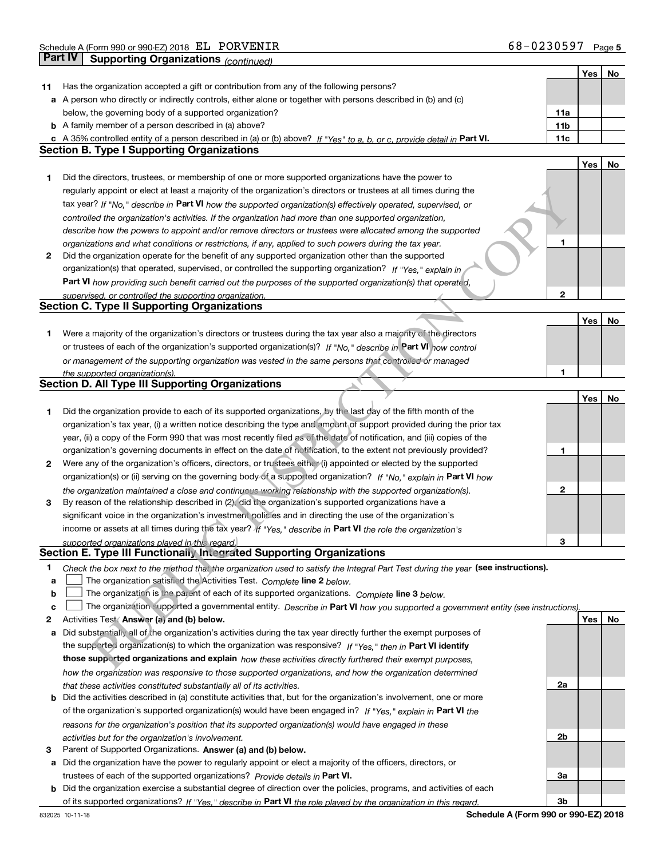|    |                                                                                                                                   |                 | Yes | No |
|----|-----------------------------------------------------------------------------------------------------------------------------------|-----------------|-----|----|
| 11 | Has the organization accepted a gift or contribution from any of the following persons?                                           |                 |     |    |
|    | a A person who directly or indirectly controls, either alone or together with persons described in (b) and (c)                    |                 |     |    |
|    | below, the governing body of a supported organization?                                                                            | 11a             |     |    |
|    | <b>b</b> A family member of a person described in (a) above?                                                                      | 11 <sub>b</sub> |     |    |
| c  | A 35% controlled entity of a person described in (a) or (b) above? If "Yes" to a, b, or c, provide detail in Part VI.             | 11c             |     |    |
|    | <b>Section B. Type I Supporting Organizations</b>                                                                                 |                 |     |    |
|    |                                                                                                                                   |                 | Yes | No |
| 1  | Did the directors, trustees, or membership of one or more supported organizations have the power to                               |                 |     |    |
|    | regularly appoint or elect at least a majority of the organization's directors or trustees at all times during the                |                 |     |    |
|    | tax year? If "No," describe in Part VI how the supported organization(s) effectively operated, supervised, or                     |                 |     |    |
|    | controlled the organization's activities. If the organization had more than one supported organization,                           |                 |     |    |
|    | describe how the powers to appoint and/or remove directors or trustees were allocated among the supported                         |                 |     |    |
|    | organizations and what conditions or restrictions, if any, applied to such powers during the tax year.                            | 1               |     |    |
| 2  | Did the organization operate for the benefit of any supported organization other than the supported                               |                 |     |    |
|    | organization(s) that operated, supervised, or controlled the supporting organization? If "Yes," explain in                        |                 |     |    |
|    | Part VI how providing such benefit carried out the purposes of the supported organization(s) that operated,                       |                 |     |    |
|    | supervised, or controlled the supporting organization.                                                                            | $\overline{2}$  |     |    |
|    | <b>Section C. Type II Supporting Organizations</b>                                                                                |                 |     |    |
|    |                                                                                                                                   |                 | Yes | No |
| 1  | Were a majority of the organization's directors or trustees during the tax year also a majority of the directors                  |                 |     |    |
|    | or trustees of each of the organization's supported organization(s)? If "No." describe in Part VI how control                     |                 |     |    |
|    | or management of the supporting organization was vested in the same persons that controlled or managed                            |                 |     |    |
|    | the supported organization(s).                                                                                                    | 1               |     |    |
|    | <b>Section D. All Type III Supporting Organizations</b>                                                                           |                 |     |    |
|    |                                                                                                                                   |                 | Yes | No |
| 1  | Did the organization provide to each of its supported organizations, by the last day of the fifth month of the                    |                 |     |    |
|    | organization's tax year, (i) a written notice describing the type and amount of support provided during the prior tax             |                 |     |    |
|    | year, (ii) a copy of the Form 990 that was most recently filed as of the date of notification, and (iii) copies of the            |                 |     |    |
|    | organization's governing documents in effect on the date of notification, to the extent not previously provided?                  | 1               |     |    |
| 2  | Were any of the organization's officers, directors, or trustees either (i) appointed or elected by the supported                  |                 |     |    |
|    | organization(s) or (ii) serving on the governing body of a supported organization? If "No," explain in Part VI how                |                 |     |    |
|    | the organization maintained a close and continuous working relationship with the supported organization(s).                       | $\mathbf{2}$    |     |    |
| 3  | By reason of the relationship described in (2), did the organization's supported organizations have a                             |                 |     |    |
|    | significant voice in the organization's investment policies and in directing the use of the organization's                        |                 |     |    |
|    | income or assets at all times during the tax year? If "Yes," describe in Part VI the role the organization's                      |                 |     |    |
|    | supported organizations played in this regard.                                                                                    | 3               |     |    |
|    | Section E. Type III Functionally Integrated Supporting Organizations                                                              |                 |     |    |
| 1  | Check the box next to the method that the organization used to satisfy the Integral Part Test during the year (see instructions). |                 |     |    |
| a  | The organization satisfied the Activities Test. Complete line 2 below.                                                            |                 |     |    |
| b  | The organization is the parent of each of its supported organizations. Complete line 3 below.                                     |                 |     |    |
| c  | The organization supported a governmental entity. Describe in Part VI how you supported a government entity (see instructions),   |                 |     |    |
| 2  | Activities Test Answer (a) and (b) below.                                                                                         |                 | Yes | No |
| а  | Did substantially all of the organization's activities during the tax year directly further the exempt purposes of                |                 |     |    |
|    | the supported organization(s) to which the organization was responsive? If "Yes," then in Part VI identify                        |                 |     |    |
|    | those supported organizations and explain how these activities directly furthered their exempt purposes,                          |                 |     |    |
|    | how the organization was responsive to those supported organizations, and how the organization determined                         |                 |     |    |
|    | that these activities constituted substantially all of its activities.                                                            | 2a              |     |    |
|    | <b>b</b> Did the activities described in (a) constitute activities that, but for the organization's involvement, one or more      |                 |     |    |
|    | of the organization's supported organization(s) would have been engaged in? If "Yes," explain in Part VI the                      |                 |     |    |
|    | reasons for the organization's position that its supported organization(s) would have engaged in these                            |                 |     |    |
|    | activities but for the organization's involvement.                                                                                | 2b              |     |    |
| з  | Parent of Supported Organizations. Answer (a) and (b) below.                                                                      |                 |     |    |
| а  | Did the organization have the power to regularly appoint or elect a majority of the officers, directors, or                       |                 |     |    |
|    | trustees of each of the supported organizations? Provide details in Part VI.                                                      | За              |     |    |
|    | <b>b</b> Did the organization exercise a substantial degree of direction over the policies, programs, and activities of each      |                 |     |    |
|    | of its supported organizations? If "Yes." describe in Part VI the role played by the organization in this regard.                 | 3b              |     |    |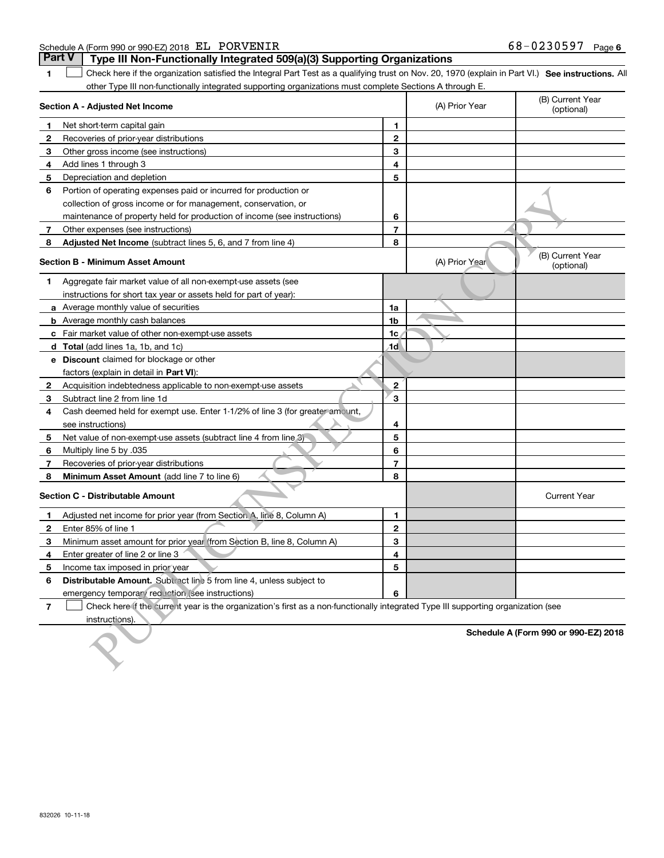| Schedule A (Form 990 or 990-EZ) 2018 EL PORVENIR                                  | $68 - 0230597$ Page 6 |  |
|-----------------------------------------------------------------------------------|-----------------------|--|
| Part V<br>Type III Non-Functionally Integrated 509(a)(3) Supporting Organizations |                       |  |

|                | Check here if the organization satisfied the Integral Part Test as a qualifying trust on Nov. 20, 1970 (explain in Part VI.) See instructions. Al |                |                |                                      |
|----------------|---------------------------------------------------------------------------------------------------------------------------------------------------|----------------|----------------|--------------------------------------|
|                | other Type III non-functionally integrated supporting organizations must complete Sections A through E.<br>Section A - Adjusted Net Income        |                | (A) Prior Year | (B) Current Year<br>(optional)       |
| 1              | Net short-term capital gain                                                                                                                       | 1              |                |                                      |
| 2              | Recoveries of prior-year distributions                                                                                                            | $\mathbf{2}$   |                |                                      |
| З              | Other gross income (see instructions)                                                                                                             | 3              |                |                                      |
| 4              | Add lines 1 through 3                                                                                                                             | 4              |                |                                      |
| 5              | Depreciation and depletion                                                                                                                        | 5              |                |                                      |
| 6              | Portion of operating expenses paid or incurred for production or                                                                                  |                |                |                                      |
|                | collection of gross income or for management, conservation, or                                                                                    |                |                |                                      |
|                | maintenance of property held for production of income (see instructions)                                                                          | 6              |                |                                      |
| 7              | Other expenses (see instructions)                                                                                                                 | $\overline{7}$ |                |                                      |
| 8              | Adjusted Net Income (subtract lines 5, 6, and 7 from line 4)                                                                                      | 8              |                |                                      |
|                | Section B - Minimum Asset Amount                                                                                                                  |                | (A) Prior Year | (B) Current Year<br>(optional)       |
| 1              | Aggregate fair market value of all non-exempt-use assets (see                                                                                     |                |                |                                      |
|                | instructions for short tax year or assets held for part of year):                                                                                 |                |                |                                      |
|                | a Average monthly value of securities                                                                                                             | 1a             |                |                                      |
|                | <b>b</b> Average monthly cash balances                                                                                                            | 1b             |                |                                      |
|                | c Fair market value of other non-exempt-use assets                                                                                                | 1c             |                |                                      |
|                | <b>d</b> Total (add lines 1a, 1b, and 1c)                                                                                                         | .1d            |                |                                      |
|                | e Discount claimed for blockage or other                                                                                                          |                |                |                                      |
|                | factors (explain in detail in Part VI):                                                                                                           |                |                |                                      |
| 2              | Acquisition indebtedness applicable to non-exempt-use assets                                                                                      | $\mathbf{2}$   |                |                                      |
| 3              | Subtract line 2 from line 1d                                                                                                                      | 3              |                |                                      |
| 4              | Cash deemed held for exempt use. Enter 1-1/2% of line 3 (for greater amount,                                                                      |                |                |                                      |
|                | see instructions)                                                                                                                                 | 4              |                |                                      |
| 5              | Net value of non-exempt-use assets (subtract line 4 from line 3)                                                                                  | 5              |                |                                      |
| 6              | Multiply line 5 by .035                                                                                                                           | 6              |                |                                      |
| 7              | Recoveries of prior-year distributions                                                                                                            | 7              |                |                                      |
| 8              | Minimum Asset Amount (add line 7 to line 6)                                                                                                       | 8              |                |                                      |
|                | <b>Section C - Distributable Amount</b>                                                                                                           |                |                | <b>Current Year</b>                  |
| 1              | Adjusted net income for prior year (from Section A, line 8, Column A)                                                                             | 1              |                |                                      |
| 2              | Enter 85% of line 1                                                                                                                               | $\mathbf{2}$   |                |                                      |
| З              | Minimum asset amount for prior year (from Section B, line 8, Column A)                                                                            | 3              |                |                                      |
| 4              | Enter greater of line 2 or line 3                                                                                                                 | 4              |                |                                      |
| 5              | Income tax imposed in prior year                                                                                                                  | 5              |                |                                      |
| 6              | Distributable Amount. Subtract line 5 from line 4, unless subject to                                                                              |                |                |                                      |
|                | emergency temporary reduction (see instructions)                                                                                                  | 6              |                |                                      |
| $\overline{7}$ | Check here if the current year is the organization's first as a non-functionally integrated Type III supporting organization (see                 |                |                |                                      |
|                | instructions).                                                                                                                                    |                |                | Schedule A (Form 990 or 990-EZ) 2018 |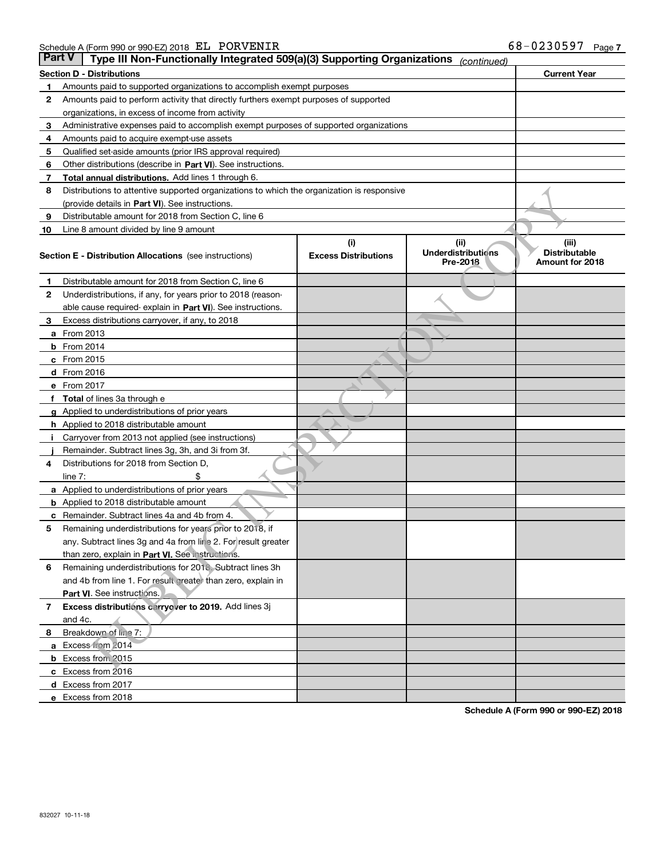| <b>Part V</b> | Type III Non-Functionally Integrated 509(a)(3) Supporting Organizations                    |                                    | (continued)                             |                                                  |
|---------------|--------------------------------------------------------------------------------------------|------------------------------------|-----------------------------------------|--------------------------------------------------|
|               | <b>Section D - Distributions</b>                                                           |                                    |                                         | <b>Current Year</b>                              |
| 1             | Amounts paid to supported organizations to accomplish exempt purposes                      |                                    |                                         |                                                  |
| 2             | Amounts paid to perform activity that directly furthers exempt purposes of supported       |                                    |                                         |                                                  |
|               | organizations, in excess of income from activity                                           |                                    |                                         |                                                  |
| 3             | Administrative expenses paid to accomplish exempt purposes of supported organizations      |                                    |                                         |                                                  |
| 4             | Amounts paid to acquire exempt-use assets                                                  |                                    |                                         |                                                  |
| 5             | Qualified set-aside amounts (prior IRS approval required)                                  |                                    |                                         |                                                  |
| 6             | Other distributions (describe in Part VI). See instructions.                               |                                    |                                         |                                                  |
| 7             | Total annual distributions. Add lines 1 through 6.                                         |                                    |                                         |                                                  |
| 8             | Distributions to attentive supported organizations to which the organization is responsive |                                    |                                         |                                                  |
|               | (provide details in Part VI). See instructions.                                            |                                    |                                         |                                                  |
| 9             | Distributable amount for 2018 from Section C, line 6                                       |                                    |                                         |                                                  |
| 10            | Line 8 amount divided by line 9 amount                                                     |                                    |                                         |                                                  |
|               | <b>Section E - Distribution Allocations</b> (see instructions)                             | (i)<br><b>Excess Distributions</b> | (iii)<br>Underdistributions<br>Pre-2018 | (iii)<br><b>Distributable</b><br>Amount for 2018 |
| 1.            | Distributable amount for 2018 from Section C, line 6                                       |                                    |                                         |                                                  |
| 2             | Underdistributions, if any, for years prior to 2018 (reason-                               |                                    |                                         |                                                  |
|               | able cause required-explain in Part VI). See instructions.                                 |                                    |                                         |                                                  |
| з             | Excess distributions carryover, if any, to 2018                                            |                                    |                                         |                                                  |
|               | <b>a</b> From 2013                                                                         |                                    |                                         |                                                  |
|               | <b>b</b> From 2014                                                                         |                                    |                                         |                                                  |
|               | $c$ From 2015                                                                              |                                    |                                         |                                                  |
|               | d From 2016                                                                                |                                    |                                         |                                                  |
|               | e From 2017                                                                                |                                    |                                         |                                                  |
|               | <b>Total</b> of lines 3a through e                                                         |                                    |                                         |                                                  |
|               | <b>g</b> Applied to underdistributions of prior years                                      |                                    |                                         |                                                  |
|               | h Applied to 2018 distributable amount                                                     |                                    |                                         |                                                  |
|               | Carryover from 2013 not applied (see instructions)                                         |                                    |                                         |                                                  |
|               | Remainder. Subtract lines 3g, 3h, and 3i from 3f.                                          |                                    |                                         |                                                  |
| 4             | Distributions for 2018 from Section D,                                                     |                                    |                                         |                                                  |
|               | line $7:$                                                                                  |                                    |                                         |                                                  |
|               | <b>a</b> Applied to underdistributions of prior years                                      |                                    |                                         |                                                  |
|               | <b>b</b> Applied to 2018 distributable amount                                              |                                    |                                         |                                                  |
| с             | Remainder. Subtract lines 4a and 4b from 4.                                                |                                    |                                         |                                                  |
| 5             | Remaining underdistributions for years prior to 2018, if                                   |                                    |                                         |                                                  |
|               | any. Subtract lines 3g and 4a from line 2. For result greater                              |                                    |                                         |                                                  |
|               | than zero, explain in Part VI. See instructions.                                           |                                    |                                         |                                                  |
| 6             | Remaining underdistributions for 2018. Subtract lines 3h                                   |                                    |                                         |                                                  |
|               | and 4b from line 1. For result greate than zero, explain in                                |                                    |                                         |                                                  |
|               | Part VI. See instructions.                                                                 |                                    |                                         |                                                  |
| 7             | Excess distributions carryover to 2019. Add lines 3j<br>and 4c.                            |                                    |                                         |                                                  |
| 8             | Breakdown of line 7:                                                                       |                                    |                                         |                                                  |
|               | a Excess from 2014                                                                         |                                    |                                         |                                                  |
|               | <b>b</b> Excess from 2015                                                                  |                                    |                                         |                                                  |
|               | c Excess from 2016                                                                         |                                    |                                         |                                                  |
|               | d Excess from 2017                                                                         |                                    |                                         |                                                  |
|               | e Excess from 2018                                                                         |                                    |                                         |                                                  |

**Schedule A (Form 990 or 990-EZ) 2018**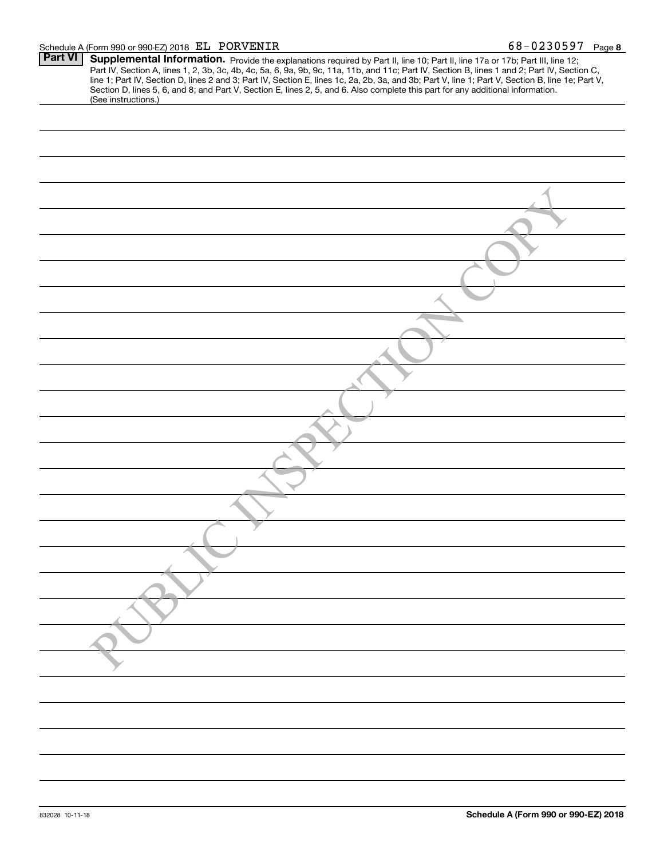## Schedule A (Form 990 or 990-EZ) 2018 Page EL PORVENIR 68-0230597

Part VI | Supplemental Information. Provide the explanations required by Part II, line 10; Part II, line 17a or 17b; Part III, line 12; Part IV, Section A, lines 1, 2, 3b, 3c, 4b, 4c, 5a, 6, 9a, 9b, 9c, 11a, 11b, and 11c; Part IV, Section B, lines 1 and 2; Part IV, Section C, line 1; Part IV, Section D, lines 2 and 3; Part IV, Section E, lines 1c, 2a, 2b, 3a, and 3b; Part V, line 1; Part V, Section B, line 1e; Part V, Section D, lines 5, 6, and 8; and Part V, Section E, lines 2, 5, and 6. Also complete this part for any additional information. (See instructions.)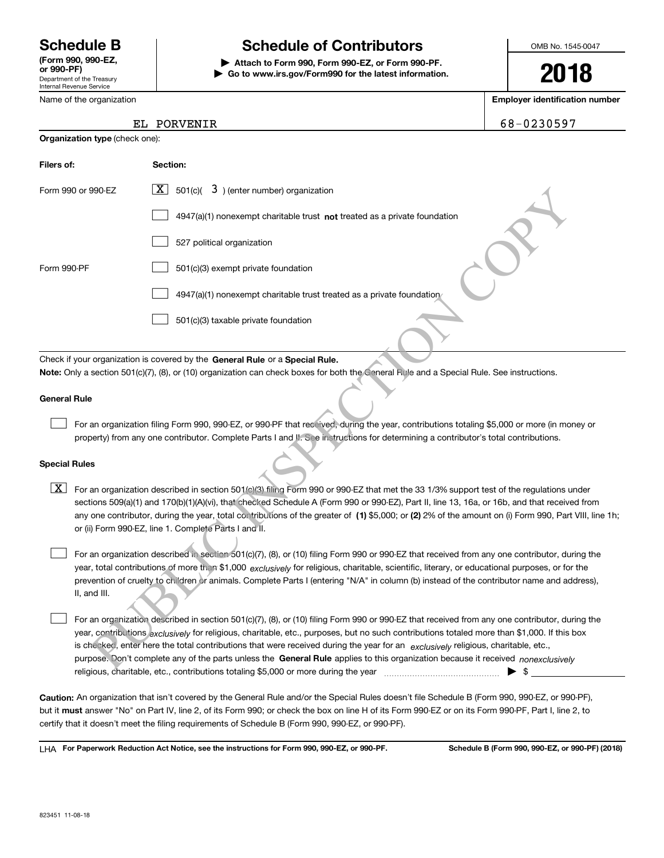Department of the Treasury Internal Revenue Service **(Form 990, 990-EZ, or 990-PF)**

Name of the organization

# **Schedule B Schedule of Contributors**

**| Attach to Form 990, Form 990-EZ, or Form 990-PF. | Go to www.irs.gov/Form990 for the latest information.** OMB No. 1545-0047

**2018**

**Employer identification number**

## EL PORVENIR (68-02305)

| <b>Organization type</b> (check one): |                                                                                                                                                                                                                                                                                   |  |  |  |  |  |  |
|---------------------------------------|-----------------------------------------------------------------------------------------------------------------------------------------------------------------------------------------------------------------------------------------------------------------------------------|--|--|--|--|--|--|
| Filers of:<br>Section:                |                                                                                                                                                                                                                                                                                   |  |  |  |  |  |  |
| Form 990 or 990-EZ                    | 501(c)( $3$ ) (enter number) organization<br>$\mathbf{X}$                                                                                                                                                                                                                         |  |  |  |  |  |  |
|                                       | 4947(a)(1) nonexempt charitable trust not treated as a private foundation                                                                                                                                                                                                         |  |  |  |  |  |  |
|                                       | 527 political organization                                                                                                                                                                                                                                                        |  |  |  |  |  |  |
| Form 990-PF                           | 501(c)(3) exempt private foundation                                                                                                                                                                                                                                               |  |  |  |  |  |  |
|                                       | 4947(a)(1) nonexempt charitable trust treated as a private foundation                                                                                                                                                                                                             |  |  |  |  |  |  |
|                                       | 501(c)(3) taxable private foundation                                                                                                                                                                                                                                              |  |  |  |  |  |  |
|                                       | Check if your organization is covered by the General Rule or a Special Rule.                                                                                                                                                                                                      |  |  |  |  |  |  |
|                                       | Note: Only a section 501(c)(7), (8), or (10) organization can check boxes for both the General Rule and a Special Rule. See instructions.                                                                                                                                         |  |  |  |  |  |  |
| <b>General Rule</b>                   |                                                                                                                                                                                                                                                                                   |  |  |  |  |  |  |
|                                       | For an organization filing Form 990, 990-EZ, or 990-PF that received, during the year, contributions totaling \$5,000 or more (in money or                                                                                                                                        |  |  |  |  |  |  |
|                                       | property) from any one contributor. Complete Parts I and II. See instructions for determining a contributor's total contributions.                                                                                                                                                |  |  |  |  |  |  |
| <b>Special Rules</b>                  |                                                                                                                                                                                                                                                                                   |  |  |  |  |  |  |
| X                                     | For an organization described in section 501/c)(3) filing Form 990 or 990-EZ that met the 33 1/3% support test of the regulations under                                                                                                                                           |  |  |  |  |  |  |
|                                       | sections 509(a)(1) and 170(b)(1)(A)(vi), that checked Schedule A (Form 990 or 990-EZ), Part II, line 13, 16a, or 16b, and that received from                                                                                                                                      |  |  |  |  |  |  |
|                                       | any one contributor, during the year, total contributions of the greater of (1) \$5,000; or (2) 2% of the amount on (i) Form 990, Part VIII, line 1h;<br>or (ii) Form 990-EZ, line 1. Complete Parts I and II.                                                                    |  |  |  |  |  |  |
|                                       |                                                                                                                                                                                                                                                                                   |  |  |  |  |  |  |
|                                       | For an organization described in section 501(c)(7), (8), or (10) filing Form 990 or 990-EZ that received from any one contributor, during the                                                                                                                                     |  |  |  |  |  |  |
|                                       | year, total contributions of more than \$1,000 exclusively for religious, charitable, scientific, literary, or educational purposes, or for the                                                                                                                                   |  |  |  |  |  |  |
| II, and III.                          | prevention of cruelty to children or animals. Complete Parts I (entering "N/A" in column (b) instead of the contributor name and address),                                                                                                                                        |  |  |  |  |  |  |
|                                       |                                                                                                                                                                                                                                                                                   |  |  |  |  |  |  |
|                                       | For an organization described in section 501(c)(7), (8), or (10) filing Form 990 or 990-EZ that received from any one contributor, during the                                                                                                                                     |  |  |  |  |  |  |
|                                       | year, contributions exclusively for religious, charitable, etc., purposes, but no such contributions totaled more than \$1,000. If this box                                                                                                                                       |  |  |  |  |  |  |
|                                       | is checked, enter here the total contributions that were received during the year for an exclusively religious, charitable, etc.,                                                                                                                                                 |  |  |  |  |  |  |
|                                       | purpose. Don't complete any of the parts unless the General Rule applies to this organization because it received nonexclusively<br>$\triangle$ and take the constant of the state of the state of $\triangle$ COO corresponds the state of the state of the state of $\triangle$ |  |  |  |  |  |  |

## **General Rule**

## **Special Rules**

purpose. Don't complete any of the parts unless the **General Rule** applies to this organization because it received *nonexclusively* year, contributions *exclusively* for religious, charitable, etc., purposes, but no such contributions totaled more than \$1,000. If this box is checked, enter here the total contributions that were received during the year for an exclusively religious, charitable, etc., For an organization described in section 501(c)(7), (8), or (10) filing Form 990 or 990-EZ that received from any one contributor, during the religious, charitable, etc., contributions totaling \$5,000 or more during the year  $\Box$ — $\Box$ — $\Box$  $\mathcal{L}^{\text{max}}$ 

**Caution:**  An organization that isn't covered by the General Rule and/or the Special Rules doesn't file Schedule B (Form 990, 990-EZ, or 990-PF), but it **must** answer "No" on Part IV, line 2, of its Form 990; or check the box on line H of its Form 990-EZ or on its Form 990-PF, Part I, line 2, to<br>cortify that it doesn't meet the filipe requirements of Schodule B (Fer certify that it doesn't meet the filing requirements of Schedule B (Form 990, 990-EZ, or 990-PF).

**For Paperwork Reduction Act Notice, see the instructions for Form 990, 990-EZ, or 990-PF. Schedule B (Form 990, 990-EZ, or 990-PF) (2018)** LHA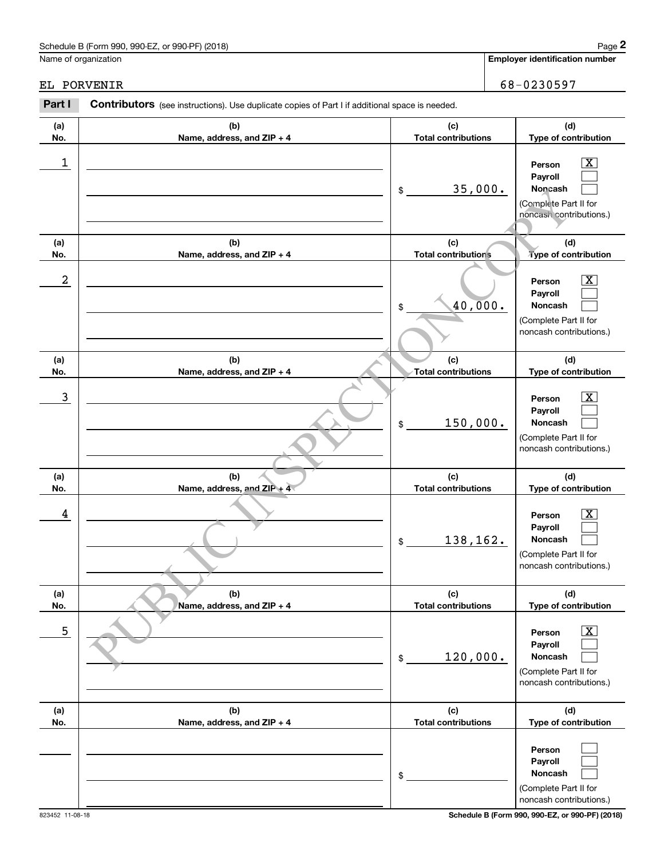## Schedule B (Form 990, 990-EZ, or 990-PF) (2018) **Page 2**

Name of organization

 $\boxed{\text{X}}$  $\mathcal{L}^{\text{max}}$  $\mathcal{L}^{\text{max}}$ 

## EL PORVENIR 68-0230597

**(a) No.**

**(b) Name, address, and ZIP + 4 (c) Total contributions (d) Type of contribution Person PayrollNoncash** Contributors (see instructions). Use duplicate copies of Part I if additional space is needed. \$**2Page 2**<br>
Iame of organization<br> **2Part I**<br> **2Part I**<br> **2Part I**<br> **2Part I**<br> **2Part I**<br> **2Part I**<br> **2Part I**<br> **2Part I**<br> **2Part I**<br> **2Part I**<br> **2Part I**<br> **2Part I**<br> **2Part I**<br> **2Part I**<br> **2Part I**<br> **2Part I**<br> **2Part I**<br> **2**  $\begin{array}{c|c|c|c|c|c} 1 & \hspace{1.5cm} & \hspace{1.5cm} & \hspace{1.5cm} & \hspace{1.5cm} & \hspace{1.5cm} & \hspace{1.5cm} & \hspace{1.5cm} & \hspace{1.5cm} & \hspace{1.5cm} & \hspace{1.5cm} & \hspace{1.5cm} & \hspace{1.5cm} & \hspace{1.5cm} & \hspace{1.5cm} & \hspace{1.5cm} & \hspace{1.5cm} & \hspace{1.5cm} & \hspace{1.5cm} & \hspace{1.5cm} & \hspace{1.5cm} &$ 35,000.

|                  |                                   | \$<br>35,000.                     | <b>Noncash</b>                                                                                            |
|------------------|-----------------------------------|-----------------------------------|-----------------------------------------------------------------------------------------------------------|
|                  |                                   |                                   | (Complete Part II for<br>noncash contributions.)                                                          |
|                  |                                   |                                   |                                                                                                           |
| (a)              | (b)                               | (c)                               | (d)                                                                                                       |
| No.              | Name, address, and ZIP + 4        | <b>Total contributions</b>        | Type of contribution                                                                                      |
| $\boldsymbol{2}$ |                                   | 40,000.<br>\$                     | $\overline{\text{X}}$<br>Person<br>Payroll<br>Noncash<br>(Complete Part II for<br>noncash contributions.) |
| (a)<br>No.       | (b)<br>Name, address, and ZIP + 4 | (c)<br>Total contributions        | (d)<br>Type of contribution                                                                               |
| 3                |                                   | 150,000.<br>\$                    | $\overline{\text{X}}$<br>Person<br>Payroll<br>Noncash<br>(Complete Part II for<br>noncash contributions.) |
| (a)<br>No.       | (b)<br>Name, address, and ZIP + 4 | (c)<br><b>Total contributions</b> | (d)<br>Type of contribution                                                                               |
| 4                |                                   | 138,162.<br>\$                    | X<br>Person<br>Payroll<br>Noncash<br>(Complete Part II for<br>noncash contributions.)                     |
| (a)<br>No.       | (b)<br>Name, address, and ZIP + 4 | (c)<br><b>Total contributions</b> | (d)<br>Type of contribution                                                                               |
| 5                |                                   | 120,000.<br>\$                    | x<br>Person<br>Payroll<br><b>Noncash</b><br>(Complete Part II for<br>noncash contributions.)              |
| (a)<br>No.       | (b)<br>Name, address, and ZIP + 4 | (c)<br><b>Total contributions</b> | (d)<br>Type of contribution                                                                               |
|                  |                                   | \$                                | Person<br>Payroll<br>Noncash<br>(Complete Part II for<br>noncash contributions.)                          |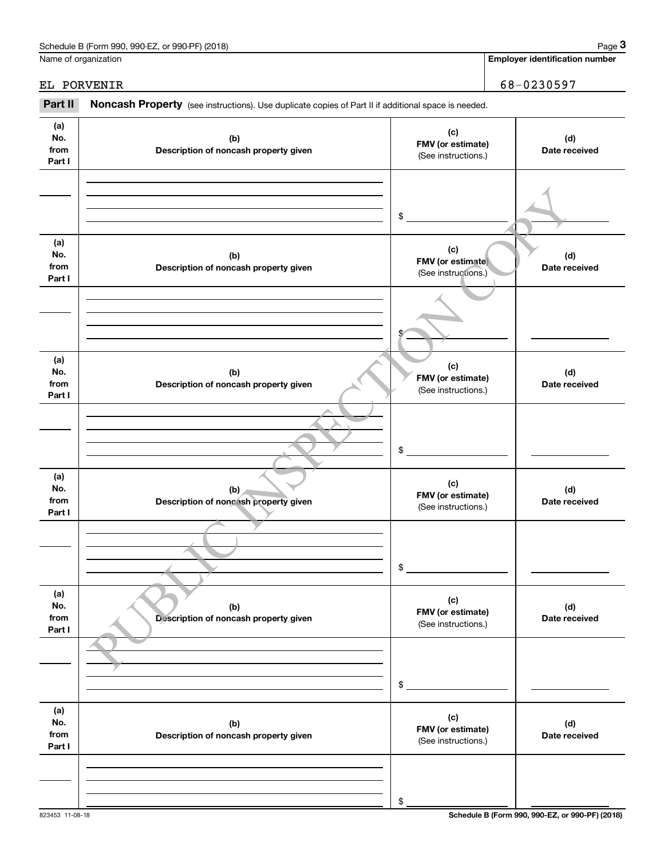|                              | Schedule B (Form 990, 990-EZ, or 990-PF) (2018)                                                     |                                                        | Page 3                                |
|------------------------------|-----------------------------------------------------------------------------------------------------|--------------------------------------------------------|---------------------------------------|
|                              | Name of organization                                                                                |                                                        | <b>Employer identification number</b> |
|                              | EL PORVENIR                                                                                         |                                                        | 68-0230597                            |
| Part II                      | Noncash Property (see instructions). Use duplicate copies of Part II if additional space is needed. |                                                        |                                       |
| (a)<br>No.<br>from<br>Part I | (b)<br>Description of noncash property given                                                        | (c)<br>FMV (or estimate)<br>(See instructions.)        | (d)<br>Date received                  |
|                              |                                                                                                     | \$                                                     |                                       |
| (a)<br>No.<br>from<br>Part I | (b)<br>Description of noncash property given                                                        | (c)<br><b>FMV</b> (or estimate)<br>(See instructions.) | (d)<br>Date received                  |
|                              |                                                                                                     |                                                        |                                       |
| (a)<br>No.<br>from<br>Part I | (b)<br>Description of noncash property given                                                        | (c)<br>FMV (or estimate)<br>(See instructions.)        | (d)<br>Date received                  |
|                              |                                                                                                     | \$                                                     |                                       |
| (a)<br>No.<br>from<br>Part I | (b)<br>Description of noncash property given                                                        | (c)<br>FMV (or estimate)<br>(See instructions.)        | (d)<br>Date received                  |
|                              |                                                                                                     | \$                                                     |                                       |
| (a)<br>No.<br>from<br>Part I | (b)<br>Description of noncash property given                                                        | (c)<br>FMV (or estimate)<br>(See instructions.)        | (d)<br>Date received                  |
|                              |                                                                                                     | \$                                                     |                                       |
| (a)<br>No.<br>from<br>Part I | (b)<br>Description of noncash property given                                                        | (c)<br>FMV (or estimate)<br>(See instructions.)        | (d)<br>Date received                  |
|                              |                                                                                                     | \$                                                     |                                       |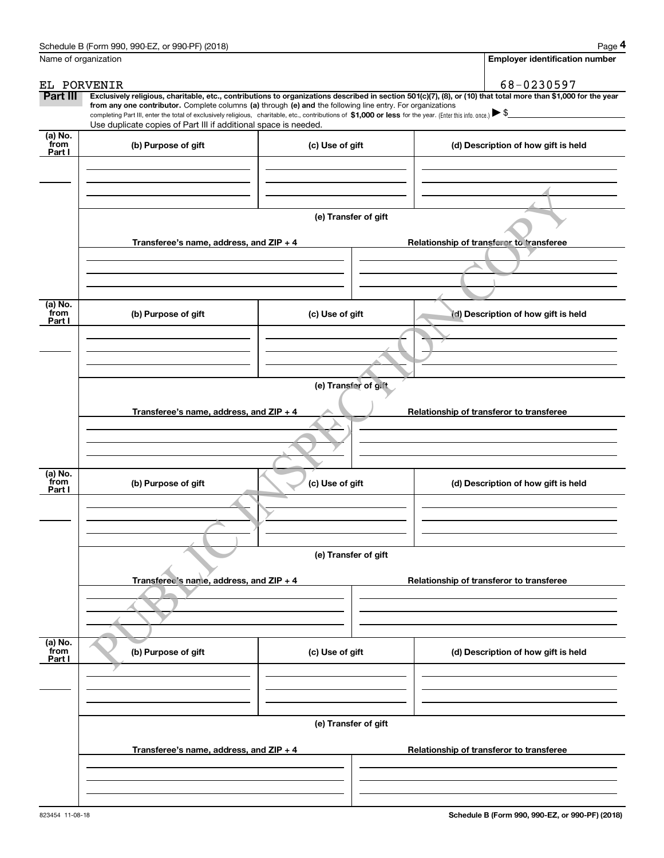|                 | Schedule B (Form 990, 990-EZ, or 990-PF) (2018)                                                                                                              |                      | Page 4                                                                                                                                                         |  |  |
|-----------------|--------------------------------------------------------------------------------------------------------------------------------------------------------------|----------------------|----------------------------------------------------------------------------------------------------------------------------------------------------------------|--|--|
|                 | Name of organization                                                                                                                                         |                      | <b>Employer identification number</b>                                                                                                                          |  |  |
|                 | EL PORVENIR                                                                                                                                                  |                      | 68-0230597                                                                                                                                                     |  |  |
| Part III        | from any one contributor. Complete columns (a) through (e) and the following line entry. For organizations                                                   |                      | Exclusively religious, charitable, etc., contributions to organizations described in section 501(c)(7), (8), or (10) that total more than \$1,000 for the year |  |  |
|                 | completing Part III, enter the total of exclusively religious, charitable, etc., contributions of \$1,000 or less for the year. (Enter this info. once.) \\$ |                      |                                                                                                                                                                |  |  |
| (a) No.         | Use duplicate copies of Part III if additional space is needed.                                                                                              |                      |                                                                                                                                                                |  |  |
| from<br>Part I  | (b) Purpose of gift                                                                                                                                          | (c) Use of gift      | (d) Description of how gift is held                                                                                                                            |  |  |
|                 |                                                                                                                                                              |                      |                                                                                                                                                                |  |  |
|                 |                                                                                                                                                              |                      |                                                                                                                                                                |  |  |
|                 |                                                                                                                                                              |                      |                                                                                                                                                                |  |  |
|                 |                                                                                                                                                              | (e) Transfer of gift |                                                                                                                                                                |  |  |
|                 |                                                                                                                                                              |                      |                                                                                                                                                                |  |  |
|                 | Transferee's name, address, and ZIP + 4                                                                                                                      |                      | Relationship of transferor to transferee                                                                                                                       |  |  |
|                 |                                                                                                                                                              |                      |                                                                                                                                                                |  |  |
|                 |                                                                                                                                                              |                      |                                                                                                                                                                |  |  |
| (a) No.<br>from |                                                                                                                                                              |                      |                                                                                                                                                                |  |  |
| Part I          | (b) Purpose of gift                                                                                                                                          | (c) Use of gift      | (d) Description of how gift is held                                                                                                                            |  |  |
|                 |                                                                                                                                                              |                      |                                                                                                                                                                |  |  |
|                 |                                                                                                                                                              |                      |                                                                                                                                                                |  |  |
|                 |                                                                                                                                                              |                      |                                                                                                                                                                |  |  |
|                 |                                                                                                                                                              | (e) Transfer of gift |                                                                                                                                                                |  |  |
|                 | Transferee's name, address, and ZIP + 4                                                                                                                      |                      | Relationship of transferor to transferee                                                                                                                       |  |  |
|                 |                                                                                                                                                              |                      |                                                                                                                                                                |  |  |
|                 |                                                                                                                                                              |                      |                                                                                                                                                                |  |  |
|                 |                                                                                                                                                              |                      |                                                                                                                                                                |  |  |
| (a) No.<br>from | (b) Purpose of gift                                                                                                                                          | (c) Use of gift      | (d) Description of how gift is held                                                                                                                            |  |  |
| Part I          |                                                                                                                                                              |                      |                                                                                                                                                                |  |  |
|                 |                                                                                                                                                              |                      |                                                                                                                                                                |  |  |
|                 |                                                                                                                                                              |                      |                                                                                                                                                                |  |  |
|                 |                                                                                                                                                              | (e) Transfer of gift |                                                                                                                                                                |  |  |
|                 |                                                                                                                                                              |                      |                                                                                                                                                                |  |  |
|                 | Transferee's name, address, and ZIP + 4                                                                                                                      |                      | Relationship of transferor to transferee                                                                                                                       |  |  |
|                 |                                                                                                                                                              |                      |                                                                                                                                                                |  |  |
|                 |                                                                                                                                                              |                      |                                                                                                                                                                |  |  |
| (a) No.<br>from |                                                                                                                                                              |                      |                                                                                                                                                                |  |  |
| Part I          | (b) Purpose of gift                                                                                                                                          | (c) Use of gift      | (d) Description of how gift is held                                                                                                                            |  |  |
|                 |                                                                                                                                                              |                      |                                                                                                                                                                |  |  |
|                 |                                                                                                                                                              |                      |                                                                                                                                                                |  |  |
|                 |                                                                                                                                                              |                      |                                                                                                                                                                |  |  |
|                 | (e) Transfer of gift                                                                                                                                         |                      |                                                                                                                                                                |  |  |
|                 | Transferee's name, address, and $ZIP + 4$                                                                                                                    |                      | Relationship of transferor to transferee                                                                                                                       |  |  |
|                 |                                                                                                                                                              |                      |                                                                                                                                                                |  |  |
|                 |                                                                                                                                                              |                      |                                                                                                                                                                |  |  |
|                 |                                                                                                                                                              |                      |                                                                                                                                                                |  |  |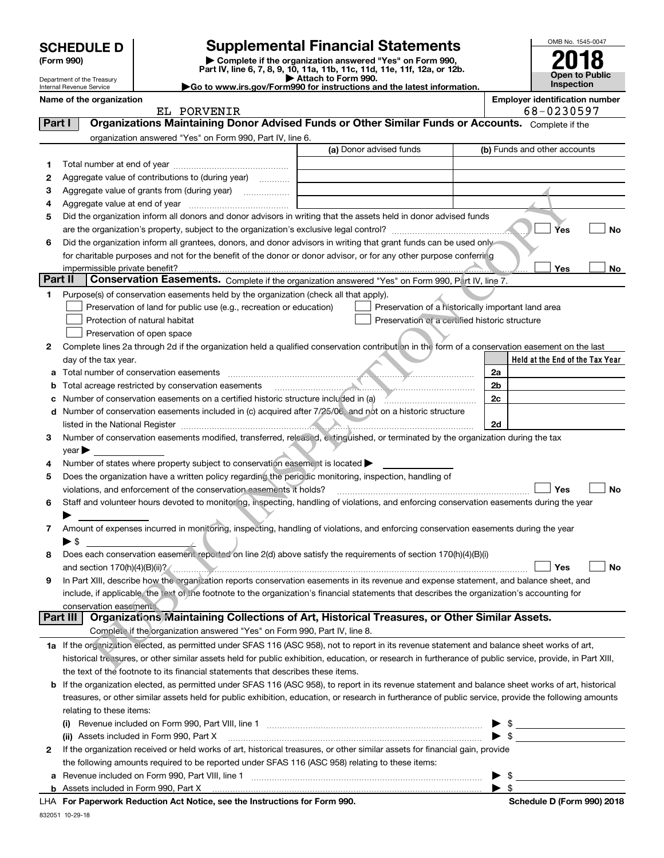Department of the Treasury Internal Revenue Service

# **SCHEDULE D Supplemental Financial Statements**

(Form 990)<br>
Pepartment of the Treasury<br>
Department of the Treasury<br>
Department of the Treasury<br>
Department of the Treasury<br> **Co to www.irs.gov/Form990 for instructions and the latest information.**<br> **Co to www.irs.gov/Form9** 



| lame of the organization |  |
|--------------------------|--|
|--------------------------|--|

EL PORVENIR 68-0230597

| Name of the organization | <b>Emplover identification number</b> |
|--------------------------|---------------------------------------|
| _ _ _ _ _ _ _ _ _ _      | --------                              |

|                | Part I<br>Organizations Maintaining Donor Advised Funds or Other Similar Funds or Accounts. Complete if the                                                              |                         |                                                    |  |  |  |
|----------------|--------------------------------------------------------------------------------------------------------------------------------------------------------------------------|-------------------------|----------------------------------------------------|--|--|--|
|                | organization answered "Yes" on Form 990, Part IV, line 6.                                                                                                                |                         |                                                    |  |  |  |
|                |                                                                                                                                                                          | (a) Donor advised funds | (b) Funds and other accounts                       |  |  |  |
| 1.             |                                                                                                                                                                          |                         |                                                    |  |  |  |
| 2              | Aggregate value of contributions to (during year)                                                                                                                        |                         |                                                    |  |  |  |
| з              | Aggregate value of grants from (during year)<br>.                                                                                                                        |                         |                                                    |  |  |  |
| 4              | Aggregate value at end of year                                                                                                                                           |                         |                                                    |  |  |  |
| 5              | Did the organization inform all donors and donor advisors in writing that the assets held in donor advised funds                                                         |                         |                                                    |  |  |  |
|                |                                                                                                                                                                          |                         | Yes<br>No                                          |  |  |  |
| 6              | Did the organization inform all grantees, donors, and donor advisors in writing that grant funds can be used only                                                        |                         |                                                    |  |  |  |
|                | for charitable purposes and not for the benefit of the donor or donor advisor, or for any other purpose conferring                                                       |                         |                                                    |  |  |  |
|                | impermissible private benefit?                                                                                                                                           |                         | Yes<br>No                                          |  |  |  |
| <b>Part II</b> | Conservation Easements. Complete if the organization answered "Yes" on Form 990, Part IV, line 7.                                                                        |                         |                                                    |  |  |  |
| 1              | Purpose(s) of conservation easements held by the organization (check all that apply).                                                                                    |                         |                                                    |  |  |  |
|                | Preservation of land for public use (e.g., recreation or education)                                                                                                      |                         | Preservation of a historically important land area |  |  |  |
|                | Protection of natural habitat                                                                                                                                            |                         | Preservation of a certified historic structure     |  |  |  |
|                | Preservation of open space                                                                                                                                               |                         |                                                    |  |  |  |
| 2              | Complete lines 2a through 2d if the organization held a qualified conservation contribution in the form of a conservation easement on the last                           |                         |                                                    |  |  |  |
|                | day of the tax year.                                                                                                                                                     |                         | Held at the End of the Tax Year                    |  |  |  |
|                |                                                                                                                                                                          |                         | 2a                                                 |  |  |  |
| b              | Total acreage restricted by conservation easements                                                                                                                       |                         | 2b                                                 |  |  |  |
| c              | Number of conservation easements on a certified historic structure included in (a) __________________________                                                            |                         | 2c                                                 |  |  |  |
| d              | Number of conservation easements included in (c) acquired after 7/25/06, and not on a historic structure                                                                 |                         |                                                    |  |  |  |
|                | listed in the National Register <b>contract and the National Register Contract and the National Register</b>                                                             |                         | 2d                                                 |  |  |  |
| З              | Number of conservation easements modified, transferred, released, extinguished, or terminated by the organization during the tax                                         |                         |                                                    |  |  |  |
|                | $year \triangleright$                                                                                                                                                    |                         |                                                    |  |  |  |
| 4              | Number of states where property subject to conservation easement is located >                                                                                            |                         |                                                    |  |  |  |
| 5              | Does the organization have a written policy regarding the periodic monitoring, inspection, handling of                                                                   |                         |                                                    |  |  |  |
|                | violations, and enforcement of the conservation easements it holds?                                                                                                      |                         | Yes<br>No                                          |  |  |  |
| 6              | Staff and volunteer hours devoted to monitoring, inspecting, handling of violations, and enforcing conservation easements during the year                                |                         |                                                    |  |  |  |
|                |                                                                                                                                                                          |                         |                                                    |  |  |  |
| 7              | Amount of expenses incurred in monitoring, inspecting, handling of violations, and enforcing conservation easements during the year                                      |                         |                                                    |  |  |  |
|                | ▶ \$                                                                                                                                                                     |                         |                                                    |  |  |  |
| 8              | Does each conservation easement reported on line 2(d) above satisfy the requirements of section 170(h)(4)(B)(i)                                                          |                         |                                                    |  |  |  |
|                | and section 170(h)(4)(B)(ii)?<br>In Part XIII, describe how the organization reports conservation easements in its revenue and expense statement, and balance sheet, and |                         | <b>No</b><br>Yes                                   |  |  |  |
| 9              | include, if applicable, the lext of the footnote to the organization's financial statements that describes the organization's accounting for                             |                         |                                                    |  |  |  |
|                | conservation easements                                                                                                                                                   |                         |                                                    |  |  |  |
| Part III       | Organizations Maintaining Collections of Art, Historical Treasures, or Other Similar Assets.                                                                             |                         |                                                    |  |  |  |
|                | Complete if the organization answered "Yes" on Form 990, Part IV, line 8.                                                                                                |                         |                                                    |  |  |  |
|                | 1a If the organization elected, as permitted under SFAS 116 (ASC 958), not to report in its revenue statement and balance sheet works of art,                            |                         |                                                    |  |  |  |
|                | historical treasures, or other similar assets held for public exhibition, education, or research in furtherance of public service, provide, in Part XIII,                |                         |                                                    |  |  |  |
|                | the text of the footnote to its financial statements that describes these items.                                                                                         |                         |                                                    |  |  |  |
| b              | If the organization elected, as permitted under SFAS 116 (ASC 958), to report in its revenue statement and balance sheet works of art, historical                        |                         |                                                    |  |  |  |
|                | treasures, or other similar assets held for public exhibition, education, or research in furtherance of public service, provide the following amounts                    |                         |                                                    |  |  |  |
|                | relating to these items:                                                                                                                                                 |                         |                                                    |  |  |  |
|                | $\left( 1\right)$                                                                                                                                                        |                         | $\sim$                                             |  |  |  |
|                | (ii) Assets included in Form 990, Part X                                                                                                                                 |                         |                                                    |  |  |  |
| 2              | If the organization received or held works of art, historical treasures, or other similar assets for financial gain, provide                                             |                         |                                                    |  |  |  |
|                | the following amounts required to be reported under SFAS 116 (ASC 958) relating to these items:                                                                          |                         |                                                    |  |  |  |
|                |                                                                                                                                                                          |                         | $\triangleright$ \$                                |  |  |  |
|                |                                                                                                                                                                          |                         | $\blacktriangleright$ s                            |  |  |  |
|                | rucer Reduction Act Notice, see the Instructions for Form 000                                                                                                            |                         | Cohodulo D (Form 000) 2010                         |  |  |  |

## **For Paperwork Reduction Act Notice, see the Instructions for Form 990. Schedule D (Form 990) 2018** LHA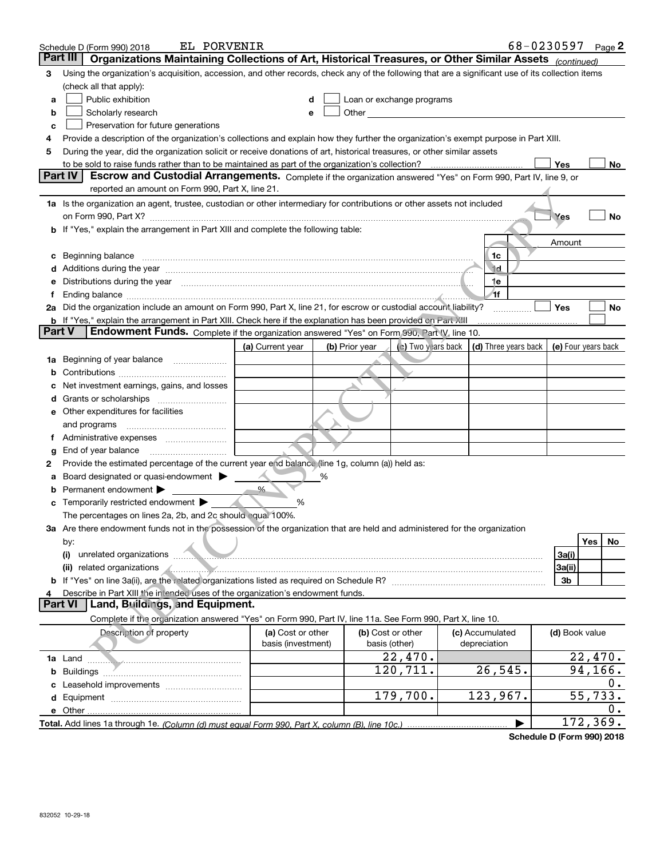|               | EL PORVENIR<br>Schedule D (Form 990) 2018                                                                                                                                                                                            |                    |                |                                                                                                                                                                                                                                      |                                                          | 68-0230597     | Page $2$  |
|---------------|--------------------------------------------------------------------------------------------------------------------------------------------------------------------------------------------------------------------------------------|--------------------|----------------|--------------------------------------------------------------------------------------------------------------------------------------------------------------------------------------------------------------------------------------|----------------------------------------------------------|----------------|-----------|
|               | Part III<br>Organizations Maintaining Collections of Art, Historical Treasures, or Other Similar Assets (continued)                                                                                                                  |                    |                |                                                                                                                                                                                                                                      |                                                          |                |           |
| 3             | Using the organization's acquisition, accession, and other records, check any of the following that are a significant use of its collection items                                                                                    |                    |                |                                                                                                                                                                                                                                      |                                                          |                |           |
|               | (check all that apply):                                                                                                                                                                                                              |                    |                |                                                                                                                                                                                                                                      |                                                          |                |           |
| а             | Public exhibition                                                                                                                                                                                                                    | d                  |                | Loan or exchange programs                                                                                                                                                                                                            |                                                          |                |           |
| b             | Scholarly research                                                                                                                                                                                                                   | e                  |                | Other <b>Communist Communist Communist Communist Communist Communist Communist Communist Communist Communist Communist Communist Communist Communist Communist Communist Communist Communist Communist Communist Communist Commu</b> |                                                          |                |           |
| c             | Preservation for future generations                                                                                                                                                                                                  |                    |                |                                                                                                                                                                                                                                      |                                                          |                |           |
| 4             | Provide a description of the organization's collections and explain how they further the organization's exempt purpose in Part XIII.                                                                                                 |                    |                |                                                                                                                                                                                                                                      |                                                          |                |           |
| 5             | During the year, did the organization solicit or receive donations of art, historical treasures, or other similar assets                                                                                                             |                    |                |                                                                                                                                                                                                                                      |                                                          |                |           |
|               |                                                                                                                                                                                                                                      |                    |                |                                                                                                                                                                                                                                      |                                                          | Yes            | No        |
|               | Part IV<br>Escrow and Custodial Arrangements. Complete if the organization answered "Yes" on Form 990, Part IV, line 9, or<br>reported an amount on Form 990, Part X, line 21.                                                       |                    |                |                                                                                                                                                                                                                                      |                                                          |                |           |
|               | 1a Is the organization an agent, trustee, custodian or other intermediary for contributions or other assets not included                                                                                                             |                    |                |                                                                                                                                                                                                                                      |                                                          |                |           |
|               |                                                                                                                                                                                                                                      |                    |                |                                                                                                                                                                                                                                      |                                                          | Yes            | No        |
| b             | If "Yes," explain the arrangement in Part XIII and complete the following table:                                                                                                                                                     |                    |                |                                                                                                                                                                                                                                      |                                                          |                |           |
|               |                                                                                                                                                                                                                                      |                    |                |                                                                                                                                                                                                                                      |                                                          | Amount         |           |
| c             | Beginning balance <b>contract to the contract of the contract of the contract of the contract of the contract of the contract of the contract of the contract of the contract of the contract of the contract of the contract of</b> |                    |                |                                                                                                                                                                                                                                      | 1c                                                       |                |           |
|               | Additions during the year manufacture contract the year manufacture contract the year manufacture contract the                                                                                                                       |                    |                |                                                                                                                                                                                                                                      | $\mathbf{d}$                                             |                |           |
|               | Distributions during the year manufactured and an architecture of the year manufacture of the year manufacture                                                                                                                       |                    |                |                                                                                                                                                                                                                                      | 1е                                                       |                |           |
| Ť.            |                                                                                                                                                                                                                                      |                    |                |                                                                                                                                                                                                                                      | ʻ1f                                                      |                |           |
|               | 2a Did the organization include an amount on Form 990, Part X, line 21, for escrow or custodial account liability?                                                                                                                   |                    |                |                                                                                                                                                                                                                                      |                                                          | Yes            | No        |
|               | <b>b</b> If "Yes," explain the arrangement in Part XIII. Check here if the explanation has been provided on Part XIII                                                                                                                |                    |                |                                                                                                                                                                                                                                      |                                                          |                |           |
| <b>Part V</b> | Endowment Funds. Complete if the organization answered "Yes" on Form 990, Part IV, line 10.                                                                                                                                          |                    |                |                                                                                                                                                                                                                                      |                                                          |                |           |
|               |                                                                                                                                                                                                                                      | (a) Current year   | (b) Prior year | (c) Two years back                                                                                                                                                                                                                   | $\vert$ (d) Three years back $\vert$ (e) Four years back |                |           |
| 1a            | Beginning of year balance                                                                                                                                                                                                            |                    |                |                                                                                                                                                                                                                                      |                                                          |                |           |
| b             |                                                                                                                                                                                                                                      |                    |                |                                                                                                                                                                                                                                      |                                                          |                |           |
|               | Net investment earnings, gains, and losses                                                                                                                                                                                           |                    |                |                                                                                                                                                                                                                                      |                                                          |                |           |
| d             |                                                                                                                                                                                                                                      |                    |                |                                                                                                                                                                                                                                      |                                                          |                |           |
|               | <b>e</b> Other expenditures for facilities                                                                                                                                                                                           |                    |                |                                                                                                                                                                                                                                      |                                                          |                |           |
|               | and programs                                                                                                                                                                                                                         |                    |                |                                                                                                                                                                                                                                      |                                                          |                |           |
| Ť.            |                                                                                                                                                                                                                                      |                    |                |                                                                                                                                                                                                                                      |                                                          |                |           |
| g             | End of year balance                                                                                                                                                                                                                  |                    |                |                                                                                                                                                                                                                                      |                                                          |                |           |
| 2             | Provide the estimated percentage of the current year end balance (line 1g, column (a)) held as:                                                                                                                                      |                    |                |                                                                                                                                                                                                                                      |                                                          |                |           |
| а             | Board designated or quasi-endowment                                                                                                                                                                                                  |                    | ℅              |                                                                                                                                                                                                                                      |                                                          |                |           |
| b             | Permanent endowment >                                                                                                                                                                                                                | $\frac{0}{6}$      |                |                                                                                                                                                                                                                                      |                                                          |                |           |
| c             | Temporarily restricted endowment                                                                                                                                                                                                     | %                  |                |                                                                                                                                                                                                                                      |                                                          |                |           |
|               | The percentages on lines 2a, 2b, and 2c should equal 100%.                                                                                                                                                                           |                    |                |                                                                                                                                                                                                                                      |                                                          |                |           |
|               | 3a Are there endowment funds not in the possession of the organization that are held and administered for the organization                                                                                                           |                    |                |                                                                                                                                                                                                                                      |                                                          |                |           |
|               | by:                                                                                                                                                                                                                                  |                    |                |                                                                                                                                                                                                                                      |                                                          |                | Yes<br>No |
|               | unrelated organizations<br>(i)                                                                                                                                                                                                       |                    |                |                                                                                                                                                                                                                                      |                                                          | 3a(i)          |           |
|               | (ii) related organizations                                                                                                                                                                                                           |                    |                |                                                                                                                                                                                                                                      |                                                          | 3a(ii)         |           |
|               |                                                                                                                                                                                                                                      |                    |                |                                                                                                                                                                                                                                      |                                                          | 3b             |           |
|               | Describe in Part XIII the intended uses of the organization's endowment funds.                                                                                                                                                       |                    |                |                                                                                                                                                                                                                                      |                                                          |                |           |
|               | Land, Buildings, and Equipment.<br><b>Part VI</b>                                                                                                                                                                                    |                    |                |                                                                                                                                                                                                                                      |                                                          |                |           |
|               | Complete if the organization answered "Yes" on Form 990, Part IV, line 11a. See Form 990, Part X, line 10.                                                                                                                           |                    |                |                                                                                                                                                                                                                                      |                                                          |                |           |
|               | Description of property                                                                                                                                                                                                              | (a) Cost or other  |                | (b) Cost or other                                                                                                                                                                                                                    | (c) Accumulated                                          | (d) Book value |           |
|               |                                                                                                                                                                                                                                      | basis (investment) |                | basis (other)                                                                                                                                                                                                                        | depreciation                                             |                |           |
|               |                                                                                                                                                                                                                                      |                    |                | $\overline{22}$ , 470.                                                                                                                                                                                                               |                                                          |                | 22,470.   |
|               |                                                                                                                                                                                                                                      |                    |                | 120,711.                                                                                                                                                                                                                             | 26, 545.                                                 |                | 94,166.   |
|               |                                                                                                                                                                                                                                      |                    |                |                                                                                                                                                                                                                                      |                                                          |                | 0.        |
|               |                                                                                                                                                                                                                                      |                    |                | 179,700.                                                                                                                                                                                                                             | 123, 967.                                                |                | 55,733.   |
|               |                                                                                                                                                                                                                                      |                    |                |                                                                                                                                                                                                                                      |                                                          |                | О.        |
|               |                                                                                                                                                                                                                                      |                    |                |                                                                                                                                                                                                                                      | ▶                                                        |                | 172, 369. |

**Schedule D (Form 990) 2018**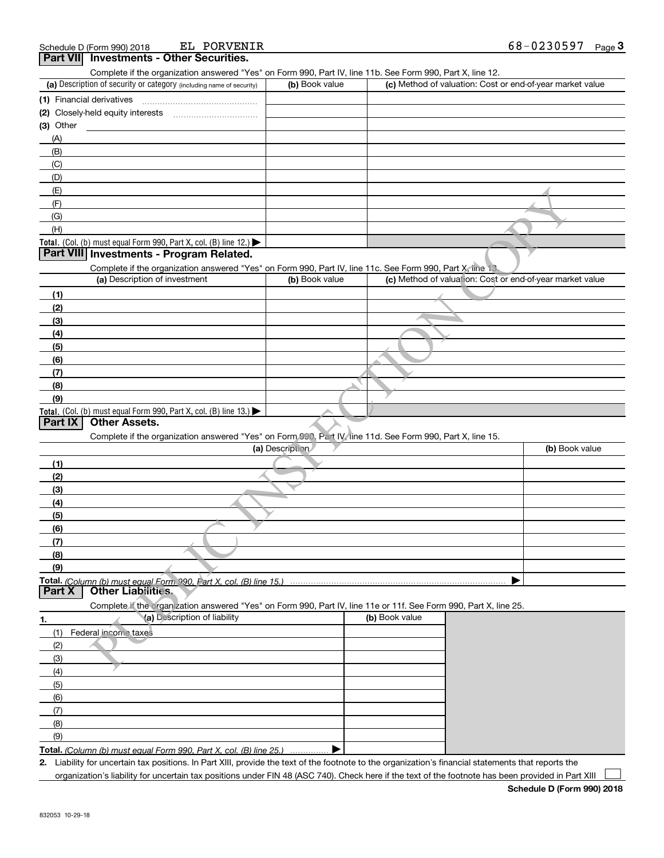| EL PORVENIR<br>Schedule D (Form 990) 2018                                                                                                            |                 |                                                           | 68-0230597<br>Page $3$ |
|------------------------------------------------------------------------------------------------------------------------------------------------------|-----------------|-----------------------------------------------------------|------------------------|
| <b>Part VII</b> Investments - Other Securities.                                                                                                      |                 |                                                           |                        |
| Complete if the organization answered "Yes" on Form 990, Part IV, line 11b. See Form 990, Part X, line 12.                                           |                 |                                                           |                        |
| (a) Description of security or category (including name of security)                                                                                 | (b) Book value  | (c) Method of valuation: Cost or end-of-year market value |                        |
|                                                                                                                                                      |                 |                                                           |                        |
|                                                                                                                                                      |                 |                                                           |                        |
| (3) Other                                                                                                                                            |                 |                                                           |                        |
| (A)                                                                                                                                                  |                 |                                                           |                        |
| (B)                                                                                                                                                  |                 |                                                           |                        |
| (C)                                                                                                                                                  |                 |                                                           |                        |
| (D)                                                                                                                                                  |                 |                                                           |                        |
| (E)                                                                                                                                                  |                 |                                                           |                        |
| (F)                                                                                                                                                  |                 |                                                           |                        |
| (G)                                                                                                                                                  |                 |                                                           |                        |
| (H)                                                                                                                                                  |                 |                                                           |                        |
| Total. (Col. (b) must equal Form 990, Part X, col. (B) line 12.)                                                                                     |                 |                                                           |                        |
| Part VIII Investments - Program Related.                                                                                                             |                 |                                                           |                        |
| Complete if the organization answered "Yes" on Form 990, Part IV, line 11c. See Form 990, Part X, line 13.                                           |                 |                                                           |                        |
| (a) Description of investment                                                                                                                        | (b) Book value  | (c) Method of valuation: Cost or end-of-year market value |                        |
| (1)                                                                                                                                                  |                 |                                                           |                        |
| (2)                                                                                                                                                  |                 |                                                           |                        |
| (3)                                                                                                                                                  |                 |                                                           |                        |
| (4)                                                                                                                                                  |                 |                                                           |                        |
| (5)                                                                                                                                                  |                 |                                                           |                        |
| (6)                                                                                                                                                  |                 |                                                           |                        |
| (7)                                                                                                                                                  |                 |                                                           |                        |
| (8)                                                                                                                                                  |                 |                                                           |                        |
| (9)                                                                                                                                                  |                 |                                                           |                        |
| Total. (Col. (b) must equal Form 990, Part X, col. (B) line 13.)                                                                                     |                 |                                                           |                        |
| <b>Part IX</b><br><b>Other Assets.</b>                                                                                                               |                 |                                                           |                        |
| Complete if the organization answered "Yes" on Form 990, Part IV, line 11d. See Form 990, Part X, line 15.                                           |                 |                                                           |                        |
|                                                                                                                                                      | (a) Description |                                                           | (b) Book value         |
| (1)                                                                                                                                                  |                 |                                                           |                        |
| (2)                                                                                                                                                  |                 |                                                           |                        |
| (3)                                                                                                                                                  |                 |                                                           |                        |
| (4)                                                                                                                                                  |                 |                                                           |                        |
| (5)                                                                                                                                                  |                 |                                                           |                        |
| (6)                                                                                                                                                  |                 |                                                           |                        |
| (7)                                                                                                                                                  |                 |                                                           |                        |
|                                                                                                                                                      |                 |                                                           |                        |
| (8)                                                                                                                                                  |                 |                                                           |                        |
| (9)                                                                                                                                                  |                 |                                                           |                        |
| Total. (Column (b) must equal Form 990, Part X, col. (B) line 15.)<br><b>Other Liabilities.</b><br>  Part X                                          |                 |                                                           |                        |
| Complete if the organization answered "Yes" on Form 990, Part IV, line 11e or 11f. See Form 990, Part X, line 25.                                    |                 |                                                           |                        |
| (a) Description of liability                                                                                                                         |                 | (b) Book value                                            |                        |
| 1.                                                                                                                                                   |                 |                                                           |                        |
| (1)<br>Federal income taxes                                                                                                                          |                 |                                                           |                        |
| (2)                                                                                                                                                  |                 |                                                           |                        |
| (3)                                                                                                                                                  |                 |                                                           |                        |
| (4)                                                                                                                                                  |                 |                                                           |                        |
| (5)                                                                                                                                                  |                 |                                                           |                        |
| (6)                                                                                                                                                  |                 |                                                           |                        |
| (7)                                                                                                                                                  |                 |                                                           |                        |
| (8)                                                                                                                                                  |                 |                                                           |                        |
| (9)                                                                                                                                                  |                 |                                                           |                        |
| Total. (Column (b) must equal Form 990, Part X, col. (B) line 25.)                                                                                   |                 |                                                           |                        |
| 2. Liability for uncertain tax positions. In Part XIII, provide the text of the footnote to the organization's financial statements that reports the |                 |                                                           |                        |

organization's liability for uncertain tax positions under FIN 48 (ASC 740). Check here if the text of the footnote has been provided in Part XIII

 $\mathcal{L}^{\text{max}}$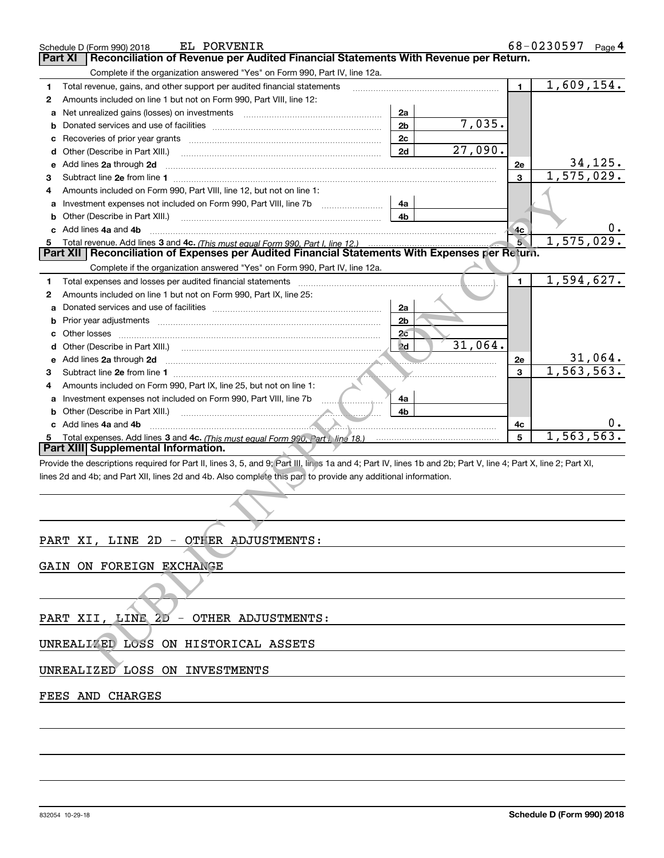|         | EL PORVENIR<br>Schedule D (Form 990) 2018                                                                                                                                                                                      |                |         |                         | 68-0230597<br>Page 4         |
|---------|--------------------------------------------------------------------------------------------------------------------------------------------------------------------------------------------------------------------------------|----------------|---------|-------------------------|------------------------------|
| Part XI | Reconciliation of Revenue per Audited Financial Statements With Revenue per Return.                                                                                                                                            |                |         |                         |                              |
|         | Complete if the organization answered "Yes" on Form 990, Part IV, line 12a.                                                                                                                                                    |                |         |                         |                              |
| 1       | Total revenue, gains, and other support per audited financial statements                                                                                                                                                       |                |         | $\mathbf{1}$            | 1,609,154.                   |
| 2       | Amounts included on line 1 but not on Form 990, Part VIII, line 12:                                                                                                                                                            |                |         |                         |                              |
|         | Net unrealized gains (losses) on investments [11] matter contracts and all of the unrealized gains (losses) on investments [11] matter contracts and all of the unrealized gains (losses) on investments and all of the unreal | 2a             |         |                         |                              |
| b       |                                                                                                                                                                                                                                | 2 <sub>b</sub> | 7,035.  |                         |                              |
|         |                                                                                                                                                                                                                                | 2c             |         |                         |                              |
| d       | Other (Describe in Part XIII.)                                                                                                                                                                                                 | 2d             | 27,090. |                         |                              |
|         | Add lines 2a through 2d                                                                                                                                                                                                        |                |         | 2e                      |                              |
| з       |                                                                                                                                                                                                                                |                |         | $\overline{\mathbf{3}}$ | $\frac{34,125}{1,575,029}$ . |
|         | Amounts included on Form 990, Part VIII, line 12, but not on line 1:                                                                                                                                                           |                |         |                         |                              |
|         | Investment expenses not included on Form 990, Part VIII, line 7b                                                                                                                                                               | 4a             |         |                         |                              |
| b       | Other (Describe in Part XIII.)                                                                                                                                                                                                 | 4b             |         |                         |                              |
|         | Add lines 4a and 4b                                                                                                                                                                                                            |                |         | 4c                      |                              |
|         |                                                                                                                                                                                                                                |                |         |                         | 1,575,029.                   |
|         | Part XII   Reconciliation of Expenses per Audited Financial Statements With Expenses per Return.                                                                                                                               |                |         |                         |                              |
|         | Complete if the organization answered "Yes" on Form 990, Part IV, line 12a.                                                                                                                                                    |                |         |                         |                              |
| 1       | Total expenses and losses per audited financial statements                                                                                                                                                                     |                |         | 1                       | 1,594,627.                   |
| 2       | Amounts included on line 1 but not on Form 990, Part IX, line 25:                                                                                                                                                              |                |         |                         |                              |
|         |                                                                                                                                                                                                                                | 2a             |         |                         |                              |
|         |                                                                                                                                                                                                                                | 2 <sub>b</sub> |         |                         |                              |
|         | Other losses                                                                                                                                                                                                                   | 2c             |         |                         |                              |
|         |                                                                                                                                                                                                                                | 2d             | 31,064. |                         |                              |
|         | Add lines 2a through 2d                                                                                                                                                                                                        |                |         | 2e                      | $\frac{31,064}{1,563,563.}$  |
| з       |                                                                                                                                                                                                                                |                |         | $\overline{\mathbf{3}}$ |                              |
|         | Amounts included on Form 990, Part IX, line 25, but not on line 1:                                                                                                                                                             |                |         |                         |                              |
|         | Investment expenses not included on Form 990, Part VIII, line 7b                                                                                                                                                               | 4a             |         |                         |                              |
| b       | Other (Describe in Part XIII.)                                                                                                                                                                                                 | 4b             |         |                         |                              |
|         | c Add lines 4a and 4b                                                                                                                                                                                                          |                |         | 4c                      |                              |
| 5       |                                                                                                                                                                                                                                |                |         | 5                       | 1, 563, 563.                 |
|         | Part XIII Supplemental Information.                                                                                                                                                                                            |                |         |                         |                              |
|         | Provide the descriptions required for Part II, lines 3, 5, and 9; Part III, lines 1a and 4; Part IV, lines 1b and 2b; Part V, line 4; Part X, line 2; Part XI,                                                                 |                |         |                         |                              |
|         | lines 2d and 4b; and Part XII, lines 2d and 4b. Also complete this part to provide any additional information.                                                                                                                 |                |         |                         |                              |
|         |                                                                                                                                                                                                                                |                |         |                         |                              |
|         |                                                                                                                                                                                                                                |                |         |                         |                              |
|         |                                                                                                                                                                                                                                |                |         |                         |                              |
|         | PART XI, LINE 2D - OTHER ADJUSTMENTS:                                                                                                                                                                                          |                |         |                         |                              |
|         |                                                                                                                                                                                                                                |                |         |                         |                              |
|         | GAIN ON FOREIGN EXCHANGE                                                                                                                                                                                                       |                |         |                         |                              |
|         |                                                                                                                                                                                                                                |                |         |                         |                              |
|         | PART XII, LINE 2D - OTHER ADJUSTMENTS:                                                                                                                                                                                         |                |         |                         |                              |
|         | UNREALIZED LOSS ON HISTORICAL ASSETS                                                                                                                                                                                           |                |         |                         |                              |
|         | INDEALIZED LOCC ON INUECTMENTS                                                                                                                                                                                                 |                |         |                         |                              |

## GAIN ON FOREIGN EXCHANGE

|--|

## UNREALIZED LOSS ON HISTORICAL ASSETS

# UNREALIZED LOSS ON INVESTMENTS

# FEES AND CHARGES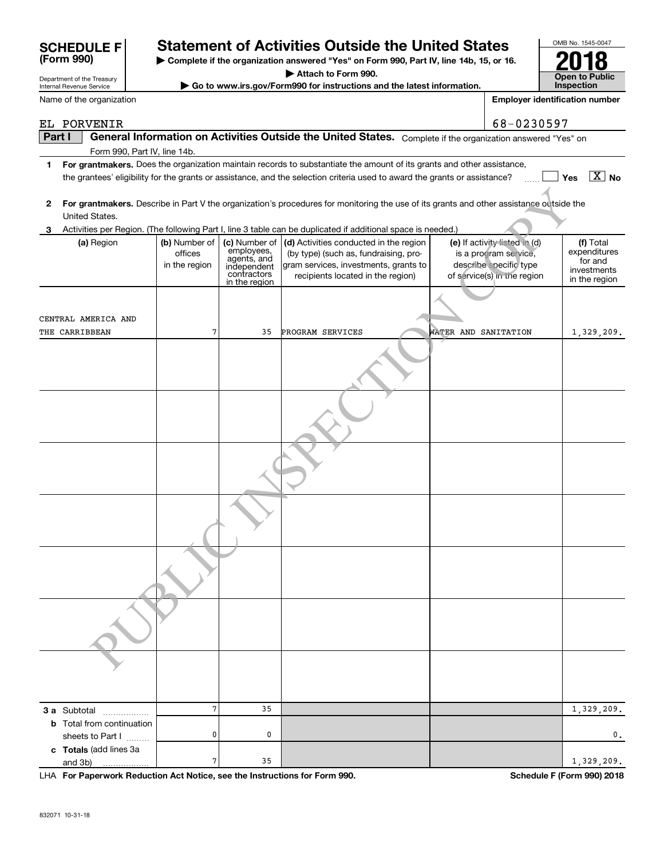| (Form 990)                                           |                              |               |                                           | > Complete if the organization answered "Yes" on Form 990, Part IV, line 14b, 15, or 16.                                                               |                      |                               |                                                     |
|------------------------------------------------------|------------------------------|---------------|-------------------------------------------|--------------------------------------------------------------------------------------------------------------------------------------------------------|----------------------|-------------------------------|-----------------------------------------------------|
| Department of the Treasury                           |                              |               |                                           | Attach to Form 990.                                                                                                                                    |                      |                               | <b>Open to Public</b>                               |
| Internal Revenue Service<br>Name of the organization |                              |               |                                           | Go to www.irs.gov/Form990 for instructions and the latest information.                                                                                 |                      |                               | Inspection<br><b>Employer identification number</b> |
|                                                      |                              |               |                                           |                                                                                                                                                        |                      |                               |                                                     |
| EL PORVENIR                                          |                              |               |                                           |                                                                                                                                                        |                      | 68-0230597                    |                                                     |
| Part I                                               |                              |               |                                           | General Information on Activities Outside the United States. Complete if the organization answered "Yes" on                                            |                      |                               |                                                     |
| 1                                                    | Form 990, Part IV, line 14b. |               |                                           | For grantmakers. Does the organization maintain records to substantiate the amount of its grants and other assistance,                                 |                      |                               |                                                     |
|                                                      |                              |               |                                           | the grantees' eligibility for the grants or assistance, and the selection criteria used to award the grants or assistance?                             |                      |                               | $\boxed{\text{X}}$ No<br>Yes                        |
|                                                      |                              |               |                                           |                                                                                                                                                        |                      |                               |                                                     |
| 2                                                    |                              |               |                                           | For grantmakers. Describe in Part V the organization's procedures for monitoring the use of its grants and other assistance outside the                |                      |                               |                                                     |
| United States.                                       |                              |               |                                           |                                                                                                                                                        |                      |                               |                                                     |
| З<br>(a) Region                                      |                              | (b) Number of | (c) Number of                             | Activities per Region. (The following Part I, line 3 table can be duplicated if additional space is needed.)<br>(d) Activities conducted in the region |                      | (e) If activity listed in (d) | (f) Total                                           |
|                                                      |                              | offices       | employees,                                | (by type) (such as, fundraising, pro-                                                                                                                  |                      | is a program service,         | expenditures                                        |
|                                                      |                              | in the region | agents, and<br>independent<br>contractors | gram services, investments, grants to                                                                                                                  |                      | describe specific type        | for and<br>investments                              |
|                                                      |                              |               | in the region                             | recipients located in the region)                                                                                                                      |                      | of service(s) in the region   | in the region                                       |
|                                                      |                              |               |                                           |                                                                                                                                                        |                      |                               |                                                     |
| CENTRAL AMERICA AND                                  |                              |               |                                           |                                                                                                                                                        |                      |                               |                                                     |
| THE CARRIBBEAN                                       |                              | 7             | 35                                        | PROGRAM SERVICES                                                                                                                                       | WATER AND SANITATION |                               | 1,329,209.                                          |
|                                                      |                              |               |                                           |                                                                                                                                                        |                      |                               |                                                     |
|                                                      |                              |               |                                           |                                                                                                                                                        |                      |                               |                                                     |
|                                                      |                              |               |                                           |                                                                                                                                                        |                      |                               |                                                     |
|                                                      |                              |               |                                           |                                                                                                                                                        |                      |                               |                                                     |
|                                                      |                              |               |                                           |                                                                                                                                                        |                      |                               |                                                     |
|                                                      |                              |               |                                           |                                                                                                                                                        |                      |                               |                                                     |
|                                                      |                              |               |                                           |                                                                                                                                                        |                      |                               |                                                     |
|                                                      |                              |               |                                           |                                                                                                                                                        |                      |                               |                                                     |
|                                                      |                              |               |                                           |                                                                                                                                                        |                      |                               |                                                     |
|                                                      |                              |               |                                           |                                                                                                                                                        |                      |                               |                                                     |
|                                                      |                              |               |                                           |                                                                                                                                                        |                      |                               |                                                     |
|                                                      |                              |               |                                           |                                                                                                                                                        |                      |                               |                                                     |
|                                                      |                              |               |                                           |                                                                                                                                                        |                      |                               |                                                     |
|                                                      |                              |               |                                           |                                                                                                                                                        |                      |                               |                                                     |
|                                                      |                              |               |                                           |                                                                                                                                                        |                      |                               |                                                     |
|                                                      |                              |               |                                           |                                                                                                                                                        |                      |                               |                                                     |
|                                                      |                              |               |                                           |                                                                                                                                                        |                      |                               |                                                     |
|                                                      |                              |               |                                           |                                                                                                                                                        |                      |                               |                                                     |
|                                                      |                              |               |                                           |                                                                                                                                                        |                      |                               |                                                     |
|                                                      |                              |               |                                           |                                                                                                                                                        |                      |                               |                                                     |
|                                                      |                              |               |                                           |                                                                                                                                                        |                      |                               |                                                     |
|                                                      |                              |               |                                           |                                                                                                                                                        |                      |                               |                                                     |
|                                                      |                              |               |                                           |                                                                                                                                                        |                      |                               |                                                     |
| 3 a Subtotal                                         |                              | 7             | 35                                        |                                                                                                                                                        |                      |                               | 1,329,209.                                          |
| <b>b</b> Total from continuation                     |                              |               |                                           |                                                                                                                                                        |                      |                               |                                                     |
| sheets to Part I<br>c Totals (add lines 3a           |                              | 0             | 0                                         |                                                                                                                                                        |                      |                               | 0.                                                  |
| and 3b)                                              |                              | 7             | 35                                        |                                                                                                                                                        |                      |                               | 1,329,209.                                          |

**Statement of Activities Outside the United States** 

**For Paperwork Reduction Act Notice, see the Instructions for Form 990. Schedule F (Form 990) 2018** and 3b) LHA

OMB No. 1545-0047

**SCHEDULE F**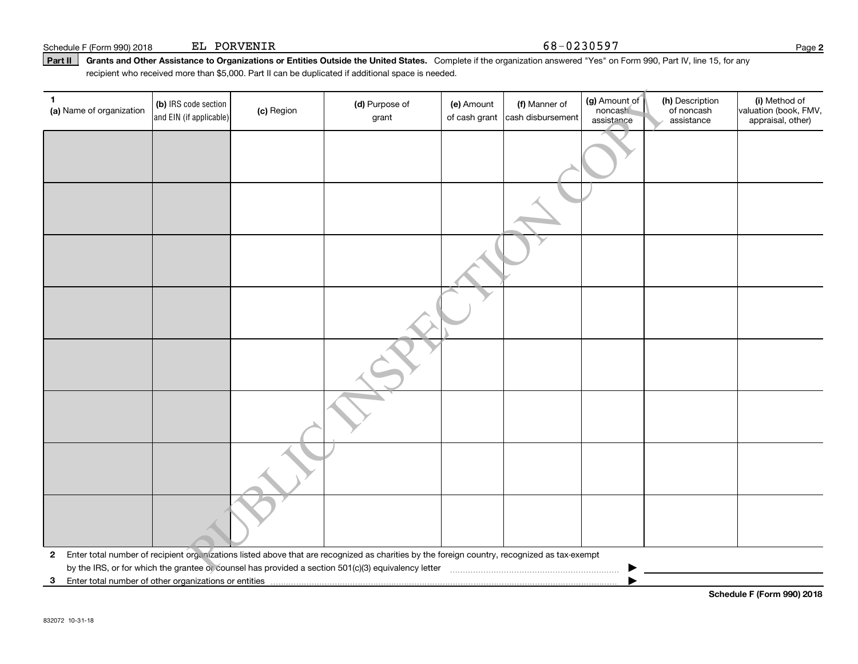| <b>Part II</b> Grants and Other Assistance to Organizations or Entities Outside the United States. Complete if the organization answered "Yes" on Form 990, Part IV, line 15, for any |  |  |
|---------------------------------------------------------------------------------------------------------------------------------------------------------------------------------------|--|--|
| recipient who received more than \$5,000. Part II can be duplicated if additional space is needed.                                                                                    |  |  |

EL PORVENIR 68-0230597

| $\mathbf{1}$<br>(a) Name of organization                | (b) IRS code section<br>and EIN (if applicable) | (c) Region | (d) Purpose of<br>grant                                                                                                                        | (e) Amount | (f) Manner of<br>of cash grant cash disbursement | (g) Amount of<br>noncash<br>assistance | (h) Description<br>of noncash<br>assistance | (i) Method of<br>valuation (book, FMV,<br>appraisal, other) |
|---------------------------------------------------------|-------------------------------------------------|------------|------------------------------------------------------------------------------------------------------------------------------------------------|------------|--------------------------------------------------|----------------------------------------|---------------------------------------------|-------------------------------------------------------------|
|                                                         |                                                 |            |                                                                                                                                                |            |                                                  |                                        |                                             |                                                             |
|                                                         |                                                 |            |                                                                                                                                                |            |                                                  |                                        |                                             |                                                             |
|                                                         |                                                 |            |                                                                                                                                                |            |                                                  |                                        |                                             |                                                             |
|                                                         |                                                 |            |                                                                                                                                                |            |                                                  |                                        |                                             |                                                             |
|                                                         |                                                 |            |                                                                                                                                                |            |                                                  |                                        |                                             |                                                             |
|                                                         |                                                 |            |                                                                                                                                                |            |                                                  |                                        |                                             |                                                             |
|                                                         |                                                 |            |                                                                                                                                                |            |                                                  |                                        |                                             |                                                             |
|                                                         |                                                 |            |                                                                                                                                                |            |                                                  |                                        |                                             |                                                             |
|                                                         |                                                 |            | 2 Enter total number of recipient organizations listed above that are recognized as charities by the foreign country, recognized as tax-exempt |            |                                                  |                                        |                                             |                                                             |
| 3 Enter total number of other organizations or entities |                                                 |            | by the IRS, or for which the grantee or counsel has provided a section 501(c)(3) equivalency letter                                            |            |                                                  |                                        |                                             |                                                             |
|                                                         |                                                 |            |                                                                                                                                                |            |                                                  |                                        |                                             | Cabadule E (Faum 000) 00:                                   |

**Schedule F (Form 990) 2018**

**2**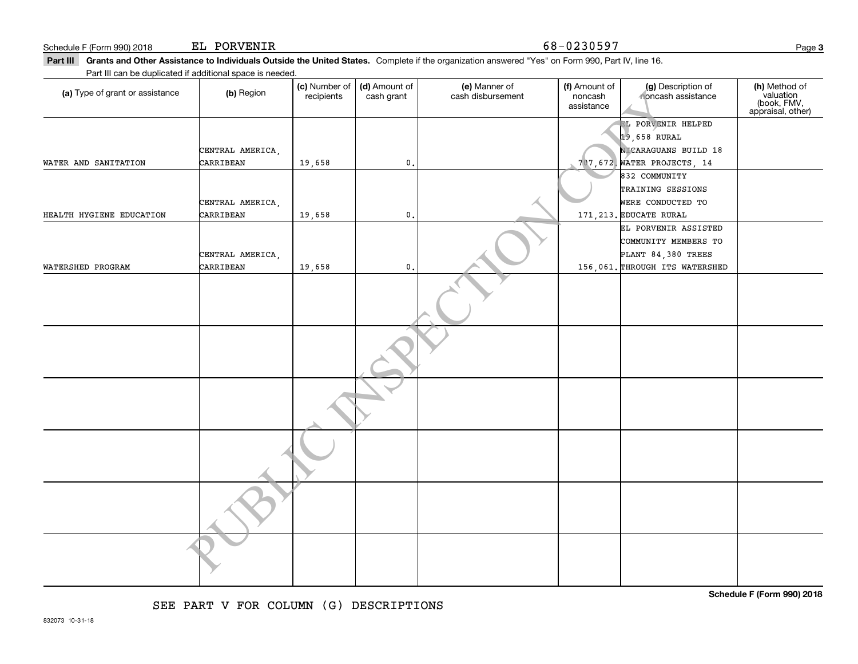EL PORVENIR 68-0230597

| Part III can be duplicated if additional space is needed. |                  | (c) Number of | (d) Amount of  | (e) Manner of     | (f) Amount of         | (g) Description of                          |                                                                |
|-----------------------------------------------------------|------------------|---------------|----------------|-------------------|-----------------------|---------------------------------------------|----------------------------------------------------------------|
| (a) Type of grant or assistance                           | (b) Region       | recipients    | cash grant     | cash disbursement | noncash<br>assistance | honcash assistance                          | (h) Method of<br>valuation<br>(book, FMV,<br>appraisal, other) |
|                                                           |                  |               |                |                   |                       | PORVENIR HELPED<br>BL.                      |                                                                |
|                                                           |                  |               |                |                   |                       | 19,658 RURAL                                |                                                                |
|                                                           | CENTRAL AMERICA, |               |                |                   |                       | NICARAGUANS BUILD 18                        |                                                                |
| WATER AND SANITATION                                      | CARRIBEAN        | 19,658        | $\mathbf{0}$ . |                   |                       | 707,672 WATER PROJECTS, 14<br>832 COMMUNITY |                                                                |
|                                                           |                  |               |                |                   |                       | TRAINING SESSIONS                           |                                                                |
|                                                           | CENTRAL AMERICA, |               |                |                   |                       | WERE CONDUCTED TO                           |                                                                |
| HEALTH HYGIENE EDUCATION                                  | CARRIBEAN        | 19,658        | $\mathbf{0}$   |                   |                       | 171, 213. EDUCATE RURAL                     |                                                                |
|                                                           |                  |               |                |                   |                       | EL PORVENIR ASSISTED                        |                                                                |
|                                                           |                  |               |                |                   |                       | COMMUNITY MEMBERS TO                        |                                                                |
|                                                           | CENTRAL AMERICA, |               |                |                   |                       | PLANT 84,380 TREES                          |                                                                |
| WATERSHED PROGRAM                                         | CARRIBEAN        | 19,658        | $\mathbf{0}$   |                   |                       | 156,061. THROUGH ITS WATERSHED              |                                                                |
|                                                           |                  |               |                |                   |                       |                                             |                                                                |
|                                                           |                  |               |                |                   |                       |                                             |                                                                |
|                                                           |                  |               |                |                   |                       |                                             |                                                                |
|                                                           |                  |               |                |                   |                       |                                             |                                                                |
|                                                           |                  |               |                |                   |                       |                                             |                                                                |
|                                                           |                  |               |                |                   |                       |                                             |                                                                |

**3**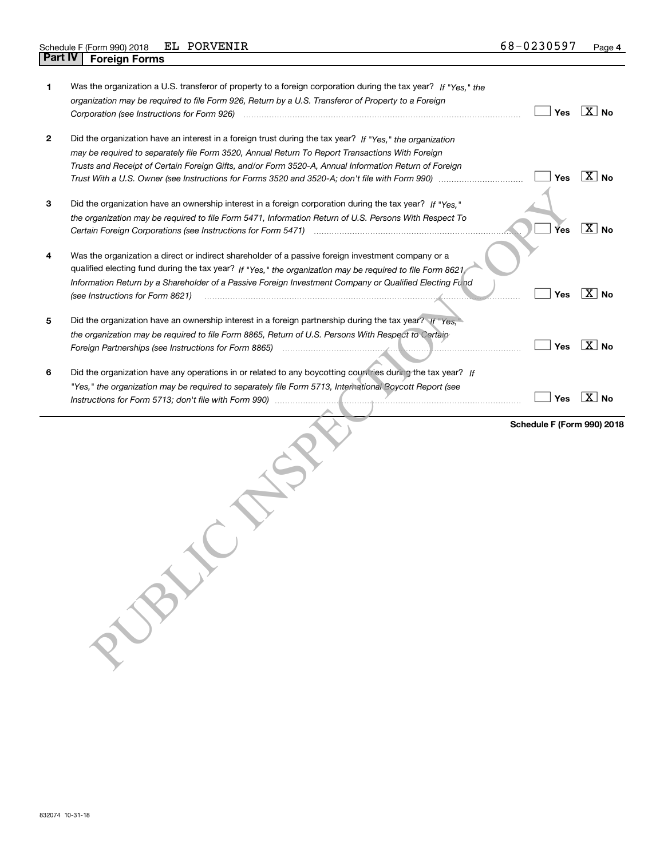| 1 | Was the organization a U.S. transferor of property to a foreign corporation during the tax year? If "Yes." the<br>organization may be required to file Form 926, Return by a U.S. Transferor of Property to a Foreign                                                                                                                                         | Yes                        | $ X $ No              |
|---|---------------------------------------------------------------------------------------------------------------------------------------------------------------------------------------------------------------------------------------------------------------------------------------------------------------------------------------------------------------|----------------------------|-----------------------|
| 2 | Did the organization have an interest in a foreign trust during the tax year? If "Yes," the organization<br>may be required to separately file Form 3520, Annual Return To Report Transactions With Foreign<br>Trusts and Receipt of Certain Foreign Gifts, and/or Form 3520-A, Annual Information Return of Foreign                                          | <b>Yes</b>                 | $\boxed{\text{X}}$ No |
| 3 | Did the organization have an ownership interest in a foreign corporation during the tax year? If "Yes,"<br>the organization may be required to file Form 5471, Information Return of U.S. Persons With Respect To                                                                                                                                             | Yes                        | $ \overline{X} $ No   |
| 4 | Was the organization a direct or indirect shareholder of a passive foreign investment company or a<br>qualified electing fund during the tax year? If "Yes," the organization may be required to file Form 8621<br>Information Return by a Shareholder of a Passive Foreign Investment Company or Qualified Electing Fund<br>(see Instructions for Form 8621) | Yes                        | $ X $ No              |
| 5 | Did the organization have an ownership interest in a foreign partnership during the tax year? If "Yes."<br>the organization may be required to file Form 8865, Return of U.S. Persons With Respect to Certain                                                                                                                                                 | Yes                        | $ X $ No              |
| 6 | Did the organization have any operations in or related to any boycotting countries during the tax year? If<br>"Yes," the organization may be required to separately file Form 5713, Interhational Boycott Report (see                                                                                                                                         | Yes                        | $ \overline{X} $ No   |
|   | Bally R.                                                                                                                                                                                                                                                                                                                                                      | Schedule F (Form 990) 2018 |                       |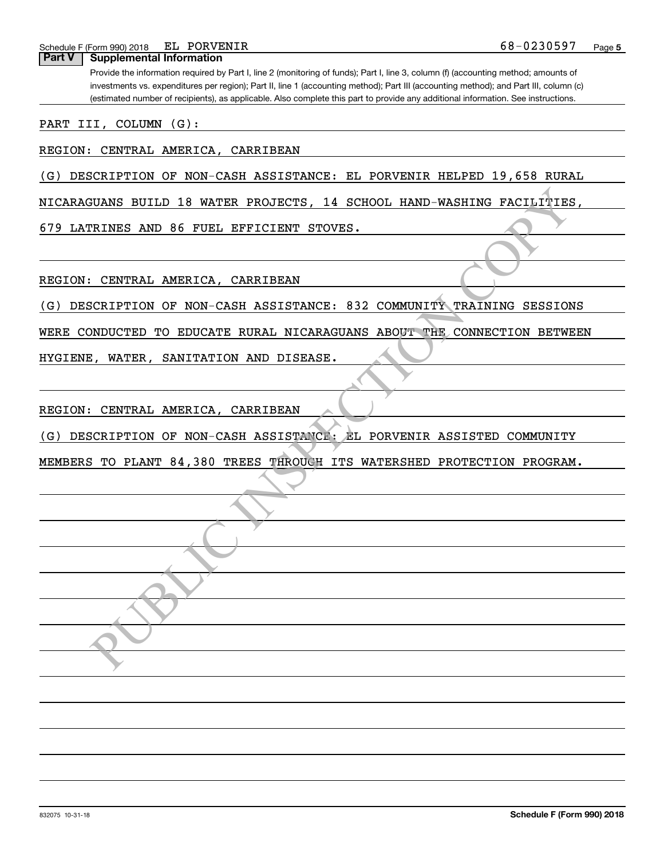| EL PORVENIR<br>Schedule F (Form 990) 2018                                                                                             | 68-0230597 | Page 5 |
|---------------------------------------------------------------------------------------------------------------------------------------|------------|--------|
| <b>Part V</b><br><b>Supplemental Information</b>                                                                                      |            |        |
| Provide the information required by Part I, line 2 (monitoring of funds); Part I, line 3, column (f) (accounting method; amounts of   |            |        |
| investments vs. expenditures per region); Part II, line 1 (accounting method); Part III (accounting method); and Part III, column (c) |            |        |
| (estimated number of recipients), as applicable. Also complete this part to provide any additional information. See instructions.     |            |        |
|                                                                                                                                       |            |        |
| (G):<br>III, COLUMN<br>PART                                                                                                           |            |        |
| CENTRAL AMERICA, CARRIBEAN<br>REGION:                                                                                                 |            |        |
| DESCRIPTION OF NON-CASH ASSISTANCE: EL PORVENIR HELPED 19,658 RURAL<br>(G)                                                            |            |        |
| 18 WATER PROJECTS, 14 SCHOOL HAND-WASHING FACILITIES,<br>NICARAGUANS BUILD                                                            |            |        |
| LATRINES AND<br>86 FUEL EFFICIENT STOVES.<br>679                                                                                      |            |        |
|                                                                                                                                       |            |        |
| REGION:<br>CENTRAL AMERICA, CARRIBEAN                                                                                                 |            |        |
| COMMUNITY TRAINING SESSIONS<br>NON-CASH ASSISTANCE: 832<br>(G)<br>DESCRIPTION OF                                                      |            |        |
| EDUCATE RURAL NICARAGUANS ABOUT THE CONNECTION BETWEEN<br>WERE<br>CONDUCTED<br>TО                                                     |            |        |
| SANITATION AND DISEASE.<br>HYGIENE,<br>WATER,                                                                                         |            |        |
|                                                                                                                                       |            |        |
| CENTRAL AMERICA,<br>REGION:<br>CARRIBEAN                                                                                              |            |        |
| DESCRIPTION OF NON-CASH ASSISTANCE: EL PORVENIR ASSISTED<br>(G)                                                                       | COMMUNITY  |        |
| MEMBERS TO PLANT 84,380 TREES THROUGH ITS WATERSHED PROTECTION PROGRAM.                                                               |            |        |
|                                                                                                                                       |            |        |
|                                                                                                                                       |            |        |
|                                                                                                                                       |            |        |
|                                                                                                                                       |            |        |
|                                                                                                                                       |            |        |
|                                                                                                                                       |            |        |
|                                                                                                                                       |            |        |
|                                                                                                                                       |            |        |
|                                                                                                                                       |            |        |
|                                                                                                                                       |            |        |
|                                                                                                                                       |            |        |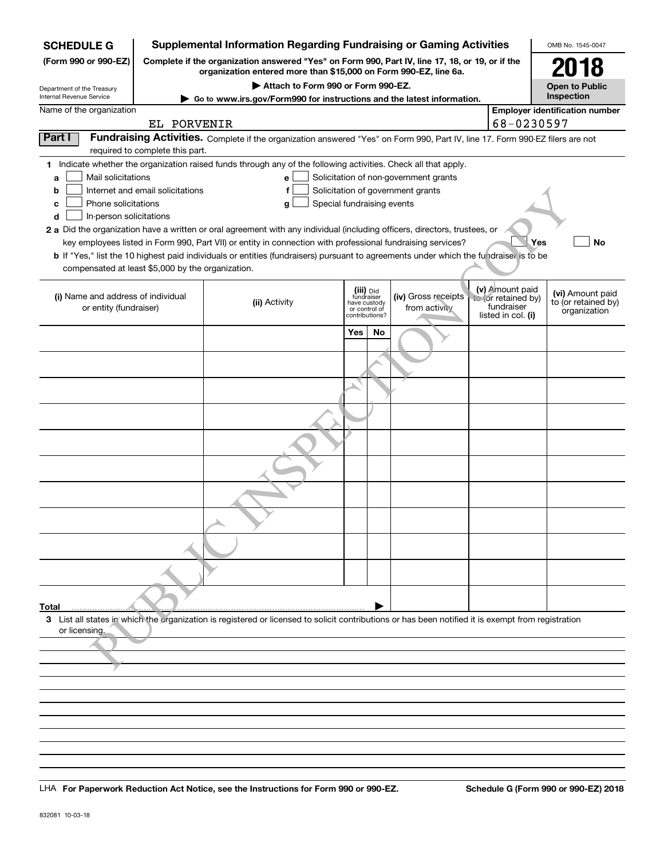| <b>SCHEDULE G</b>                                                                        |                                  | <b>Supplemental Information Regarding Fundraising or Gaming Activities</b>                                                                         |                                                                            |    |                                                                            |                                                         | OMB No. 1545-0047                                       |  |
|------------------------------------------------------------------------------------------|----------------------------------|----------------------------------------------------------------------------------------------------------------------------------------------------|----------------------------------------------------------------------------|----|----------------------------------------------------------------------------|---------------------------------------------------------|---------------------------------------------------------|--|
| (Form 990 or 990-EZ)                                                                     |                                  | Complete if the organization answered "Yes" on Form 990, Part IV, line 17, 18, or 19, or if the                                                    |                                                                            |    |                                                                            |                                                         | 2018                                                    |  |
| Department of the Treasury                                                               |                                  | organization entered more than \$15,000 on Form 990-EZ, line 6a.<br>Attach to Form 990 or Form 990-EZ.                                             |                                                                            |    |                                                                            |                                                         | <b>Open to Public</b>                                   |  |
| Internal Revenue Service                                                                 |                                  | ► Go to www.irs.gov/Form990 for instructions and the latest information.                                                                           |                                                                            |    |                                                                            |                                                         | Inspection                                              |  |
| Name of the organization                                                                 | EL PORVENIR                      |                                                                                                                                                    |                                                                            |    |                                                                            | 68-0230597                                              | <b>Employer identification number</b>                   |  |
| Part I                                                                                   |                                  | Fundraising Activities. Complete if the organization answered "Yes" on Form 990, Part IV, line 17. Form 990-EZ filers are not                      |                                                                            |    |                                                                            |                                                         |                                                         |  |
|                                                                                          | required to complete this part.  |                                                                                                                                                    |                                                                            |    |                                                                            |                                                         |                                                         |  |
| Mail solicitations<br>a<br>b<br>Phone solicitations<br>c<br>In-person solicitations<br>d | Internet and email solicitations | 1 Indicate whether the organization raised funds through any of the following activities. Check all that apply.<br>е<br>f<br>g                     | Special fundraising events                                                 |    | Solicitation of non-government grants<br>Solicitation of government grants |                                                         |                                                         |  |
|                                                                                          |                                  | 2 a Did the organization have a written or oral agreement with any individual (including officers, directors, trustees, or                         |                                                                            |    |                                                                            |                                                         |                                                         |  |
|                                                                                          |                                  | key employees listed in Form 990, Part VII) or entity in connection with professional fundraising services?                                        |                                                                            |    |                                                                            | Yes                                                     | No                                                      |  |
| compensated at least \$5,000 by the organization.                                        |                                  | b If "Yes," list the 10 highest paid individuals or entities (fundraisers) pursuant to agreements under which the fundraiser is to be              |                                                                            |    |                                                                            |                                                         |                                                         |  |
|                                                                                          |                                  |                                                                                                                                                    |                                                                            |    |                                                                            | (v) Amount paid                                         |                                                         |  |
| (i) Name and address of individual<br>or entity (fundraiser)                             |                                  | (ii) Activity                                                                                                                                      | (iii) Did<br>fundraiser<br>have custody<br>or control of<br>contributions? |    | (iv) Gross receipts<br>from activity                                       | to (or retained by)<br>fundraiser<br>listed in col. (i) | (vi) Amount paid<br>to (or retained by)<br>organization |  |
|                                                                                          |                                  |                                                                                                                                                    | Yes                                                                        | No |                                                                            |                                                         |                                                         |  |
|                                                                                          |                                  |                                                                                                                                                    |                                                                            |    |                                                                            |                                                         |                                                         |  |
|                                                                                          |                                  |                                                                                                                                                    |                                                                            |    |                                                                            |                                                         |                                                         |  |
|                                                                                          |                                  |                                                                                                                                                    |                                                                            |    |                                                                            |                                                         |                                                         |  |
|                                                                                          |                                  |                                                                                                                                                    |                                                                            |    |                                                                            |                                                         |                                                         |  |
|                                                                                          |                                  |                                                                                                                                                    |                                                                            |    |                                                                            |                                                         |                                                         |  |
|                                                                                          |                                  |                                                                                                                                                    |                                                                            |    |                                                                            |                                                         |                                                         |  |
|                                                                                          |                                  |                                                                                                                                                    |                                                                            |    |                                                                            |                                                         |                                                         |  |
|                                                                                          |                                  |                                                                                                                                                    |                                                                            |    |                                                                            |                                                         |                                                         |  |
|                                                                                          |                                  |                                                                                                                                                    |                                                                            |    |                                                                            |                                                         |                                                         |  |
| Total                                                                                    |                                  |                                                                                                                                                    |                                                                            |    |                                                                            |                                                         |                                                         |  |
|                                                                                          |                                  | 3 List all states in which the organization is registered or licensed to solicit contributions or has been notified it is exempt from registration |                                                                            |    |                                                                            |                                                         |                                                         |  |
| or licensing.                                                                            |                                  |                                                                                                                                                    |                                                                            |    |                                                                            |                                                         |                                                         |  |
|                                                                                          |                                  |                                                                                                                                                    |                                                                            |    |                                                                            |                                                         |                                                         |  |
|                                                                                          |                                  |                                                                                                                                                    |                                                                            |    |                                                                            |                                                         |                                                         |  |
|                                                                                          |                                  |                                                                                                                                                    |                                                                            |    |                                                                            |                                                         |                                                         |  |
|                                                                                          |                                  |                                                                                                                                                    |                                                                            |    |                                                                            |                                                         |                                                         |  |
|                                                                                          |                                  |                                                                                                                                                    |                                                                            |    |                                                                            |                                                         |                                                         |  |
|                                                                                          |                                  |                                                                                                                                                    |                                                                            |    |                                                                            |                                                         |                                                         |  |
|                                                                                          |                                  |                                                                                                                                                    |                                                                            |    |                                                                            |                                                         |                                                         |  |

LHA For Paperwork Reduction Act Notice, see the Instructions for Form 990 or 990-EZ. Schedule G (Form 990 or 990-EZ) 2018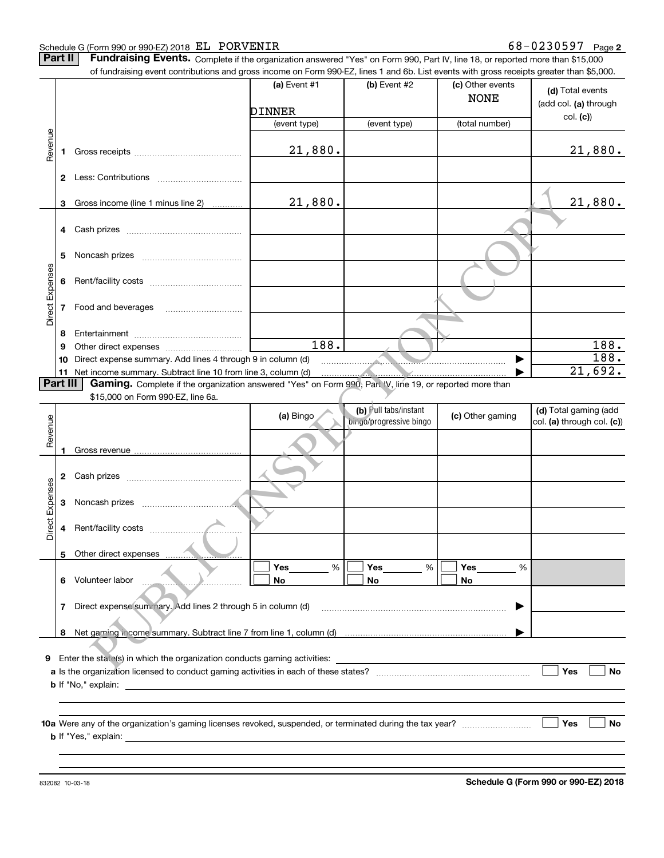### Schedule G (Form 990 or 990-EZ) 2018 Page PCRVENIR هاتا المستخدمة المستخدمة المستخدمة المستخدمة المستخدمة المستخدمة EL PORVENIR 68-0230597

**Part II Fundraising Events.** Complete if the organization answered "Yes" on Form 990, Part IV, line 18, or reported more than \$15,000<br>15.000 of fundraising event contributions and gross income on Form 990-EZ. lines 1 an

|                 |    | of fundraising event contributions and gross income on Form 990-EZ, lines 1 and 6b. List events with gross receipts greater than \$5,000.                                |              |                         |                                 |                            |
|-----------------|----|--------------------------------------------------------------------------------------------------------------------------------------------------------------------------|--------------|-------------------------|---------------------------------|----------------------------|
|                 |    |                                                                                                                                                                          | (a) Event #1 | (b) Event #2            | (c) Other events<br><b>NONE</b> | (d) Total events           |
|                 |    |                                                                                                                                                                          | DINNER       |                         |                                 | (add col. (a) through      |
|                 |    |                                                                                                                                                                          | (event type) | (event type)            | (total number)                  | col. (c)                   |
|                 |    |                                                                                                                                                                          |              |                         |                                 |                            |
| Revenue         | 1  |                                                                                                                                                                          | 21,880.      |                         |                                 | 21,880.                    |
|                 |    |                                                                                                                                                                          |              |                         |                                 |                            |
|                 |    |                                                                                                                                                                          |              |                         |                                 |                            |
|                 |    |                                                                                                                                                                          |              |                         |                                 |                            |
|                 | 3  | Gross income (line 1 minus line 2)                                                                                                                                       | 21,880.      |                         |                                 | 21,880.                    |
|                 |    |                                                                                                                                                                          |              |                         |                                 |                            |
|                 | 4  |                                                                                                                                                                          |              |                         |                                 |                            |
|                 |    |                                                                                                                                                                          |              |                         |                                 |                            |
|                 | 5  |                                                                                                                                                                          |              |                         |                                 |                            |
|                 |    |                                                                                                                                                                          |              |                         |                                 |                            |
| Direct Expenses | 6  |                                                                                                                                                                          |              |                         |                                 |                            |
|                 |    |                                                                                                                                                                          |              |                         |                                 |                            |
|                 | 7  | Food and beverages                                                                                                                                                       |              |                         |                                 |                            |
|                 |    |                                                                                                                                                                          |              |                         |                                 |                            |
|                 |    |                                                                                                                                                                          |              |                         |                                 |                            |
|                 | 8  |                                                                                                                                                                          | 188.         |                         |                                 | 188.                       |
|                 | 9  |                                                                                                                                                                          |              |                         |                                 | 188.                       |
|                 | 10 | Direct expense summary. Add lines 4 through 9 in column (d)                                                                                                              |              |                         |                                 | 21,692.                    |
| Part III        | 11 | Net income summary. Subtract line 10 from line 3, column (d)<br>Gaming. Complete if the organization answered "Yes" on Form 990, Parl IV, line 19, or reported more than |              |                         |                                 |                            |
|                 |    | \$15,000 on Form 990-EZ, line 6a.                                                                                                                                        |              |                         |                                 |                            |
|                 |    |                                                                                                                                                                          |              | (b) Pull tabs/instant   |                                 | (d) Total gaming (add      |
|                 |    |                                                                                                                                                                          | (a) Bingo    | bingo/progressive bingo | (c) Other gaming                | col. (a) through col. (c)) |
| Revenue         |    |                                                                                                                                                                          |              |                         |                                 |                            |
|                 |    |                                                                                                                                                                          |              |                         |                                 |                            |
|                 | 1  |                                                                                                                                                                          |              |                         |                                 |                            |
|                 |    |                                                                                                                                                                          |              |                         |                                 |                            |
|                 | 2  |                                                                                                                                                                          |              |                         |                                 |                            |
| Direct Expenses |    |                                                                                                                                                                          |              |                         |                                 |                            |
|                 | 3  |                                                                                                                                                                          |              |                         |                                 |                            |
|                 |    |                                                                                                                                                                          |              |                         |                                 |                            |
|                 | 4  | Rent/facility costs                                                                                                                                                      |              |                         |                                 |                            |
|                 |    |                                                                                                                                                                          |              |                         |                                 |                            |
|                 |    | 5 Other direct expenses                                                                                                                                                  |              |                         |                                 |                            |
|                 |    |                                                                                                                                                                          | %<br>Yes     | %<br>Yes                | Yes<br>%                        |                            |
|                 | 6. | Volunteer labor<br>.                                                                                                                                                     | No           | No                      | No                              |                            |
|                 |    |                                                                                                                                                                          |              |                         |                                 |                            |
|                 | 7  | Direct expense summary. Add lines 2 through 5 in column (d)                                                                                                              |              |                         |                                 |                            |
|                 |    |                                                                                                                                                                          |              |                         |                                 |                            |
|                 |    |                                                                                                                                                                          |              |                         |                                 |                            |
|                 |    |                                                                                                                                                                          |              |                         |                                 |                            |
|                 |    | <b>9</b> Enter the state(s) in which the organization conducts gaming activities:                                                                                        |              |                         |                                 |                            |
|                 |    |                                                                                                                                                                          |              |                         |                                 | Yes<br>No                  |
|                 |    |                                                                                                                                                                          |              |                         |                                 |                            |
|                 |    |                                                                                                                                                                          |              |                         |                                 |                            |
|                 |    |                                                                                                                                                                          |              |                         |                                 |                            |
|                 |    |                                                                                                                                                                          |              |                         |                                 | Yes<br>No                  |
|                 |    |                                                                                                                                                                          |              |                         |                                 |                            |
|                 |    |                                                                                                                                                                          |              |                         |                                 |                            |
|                 |    |                                                                                                                                                                          |              |                         |                                 |                            |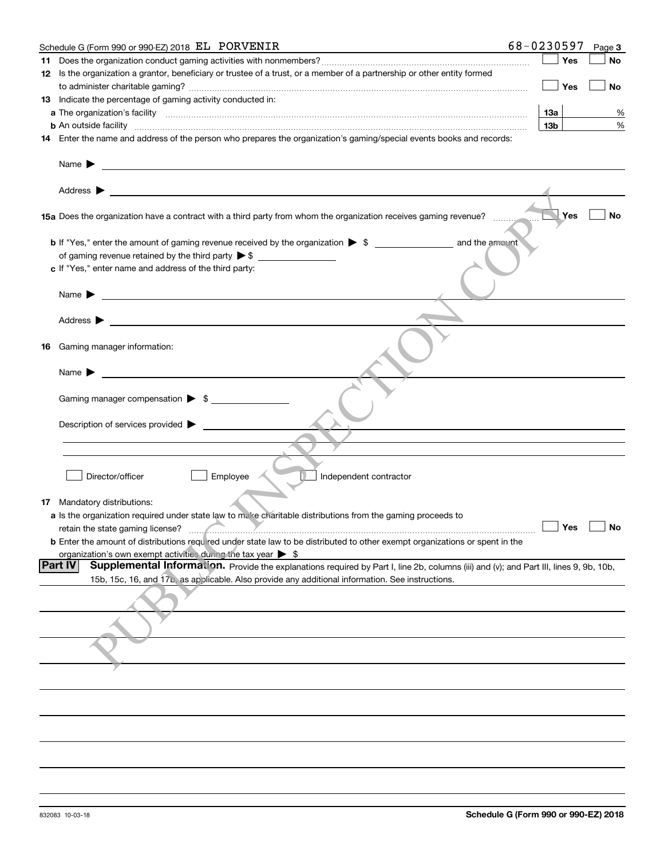|    | Schedule G (Form 990 or 990-EZ) 2018 EL PORVENIR                                                                                                                                                                                           | 68-0230597      |       | Page 3 |
|----|--------------------------------------------------------------------------------------------------------------------------------------------------------------------------------------------------------------------------------------------|-----------------|-------|--------|
| 11 |                                                                                                                                                                                                                                            |                 | Yes   | No     |
|    | 12 Is the organization a grantor, beneficiary or trustee of a trust, or a member of a partnership or other entity formed                                                                                                                   |                 |       |        |
|    |                                                                                                                                                                                                                                            |                 | Yes   | No     |
|    | 13 Indicate the percentage of gaming activity conducted in:                                                                                                                                                                                |                 |       |        |
|    |                                                                                                                                                                                                                                            | 13а             |       | %      |
|    | <b>b</b> An outside facility <i>www.communicality www.communicality.communicality www.communicality www.communicality.communicality www.communicality.com</i>                                                                              | 13 <sub>b</sub> |       | %      |
|    | 14 Enter the name and address of the person who prepares the organization's gaming/special events books and records:                                                                                                                       |                 |       |        |
|    | Name $\blacktriangleright$<br><u> 1980 - Jan Salaman, mangang mga kalawang mga kalawang mga kalawang mga kalawang mga kalawang mga kalawang mga</u>                                                                                        |                 |       |        |
|    | Address $\blacktriangleright$<br>and the control of the control of the control of the control of the control of the control of the control of the                                                                                          |                 |       |        |
|    |                                                                                                                                                                                                                                            |                 | Yes   | No     |
|    | <b>b</b> If "Yes," enter the amount of gaming revenue received by the organization $\triangleright$ \$                                                                                                                                     |                 |       |        |
|    |                                                                                                                                                                                                                                            |                 |       |        |
|    | c If "Yes," enter name and address of the third party:                                                                                                                                                                                     |                 |       |        |
|    | Name $\blacktriangleright$<br><u> 1989 - Johann Stoff, deutscher Stoffen und der Stoffen und der Stoffen und der Stoffen und der Stoffen und der</u>                                                                                       |                 |       |        |
|    |                                                                                                                                                                                                                                            |                 |       |        |
|    | Address $\blacktriangleright$                                                                                                                                                                                                              |                 |       |        |
| 16 | Gaming manager information:                                                                                                                                                                                                                |                 |       |        |
|    | Name $\blacktriangleright$                                                                                                                                                                                                                 |                 |       |        |
|    | Gaming manager compensation > \$                                                                                                                                                                                                           |                 |       |        |
|    | Description of services provided >                                                                                                                                                                                                         |                 |       |        |
|    |                                                                                                                                                                                                                                            |                 |       |        |
|    | Director/officer<br>Employee<br>Independent contractor                                                                                                                                                                                     |                 |       |        |
|    | 17 Mandatory distributions:                                                                                                                                                                                                                |                 |       |        |
|    | a Is the organization required under state law to make charitable distributions from the gaming proceeds to                                                                                                                                |                 |       |        |
|    | retain the state gaming license?                                                                                                                                                                                                           |                 | ∣ Yes | 」No    |
|    | <b>b</b> Enter the amount of distributions required under state law to be distributed to other exempt organizations or spent in the                                                                                                        |                 |       |        |
|    | organization's own exempt activities during the tax year > \$<br><b>Part IV</b>                                                                                                                                                            |                 |       |        |
|    | Supplemental Information. Provide the explanations required by Part I, line 2b, columns (iii) and (v); and Part III, lines 9, 9b, 10b,<br>15b, 15c, 16, and 17b, as applicable. Also provide any additional information. See instructions. |                 |       |        |
|    |                                                                                                                                                                                                                                            |                 |       |        |
|    |                                                                                                                                                                                                                                            |                 |       |        |
|    |                                                                                                                                                                                                                                            |                 |       |        |
|    |                                                                                                                                                                                                                                            |                 |       |        |
|    |                                                                                                                                                                                                                                            |                 |       |        |
|    |                                                                                                                                                                                                                                            |                 |       |        |
|    |                                                                                                                                                                                                                                            |                 |       |        |
|    |                                                                                                                                                                                                                                            |                 |       |        |
|    |                                                                                                                                                                                                                                            |                 |       |        |
|    |                                                                                                                                                                                                                                            |                 |       |        |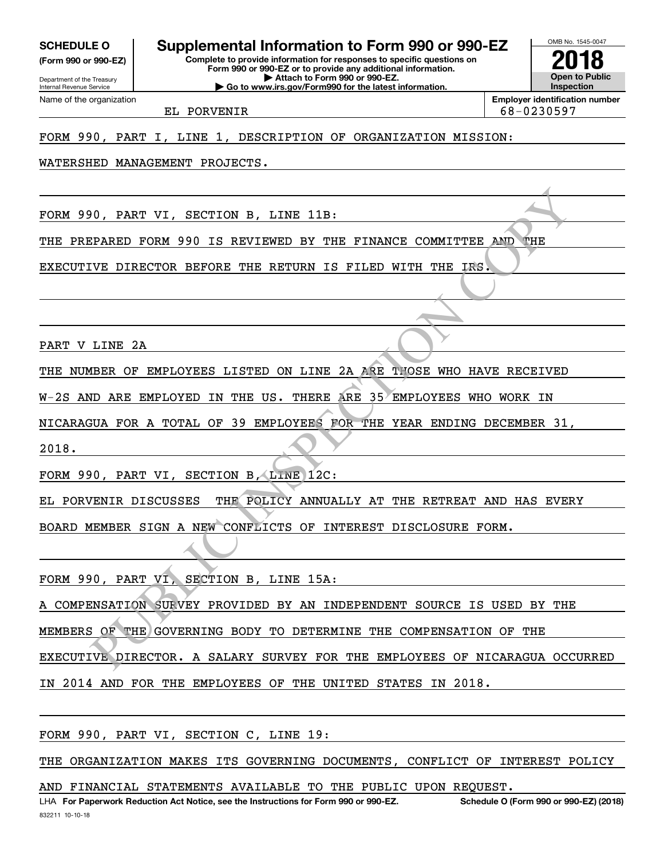**(Form 990 or 990-EZ)**

Name of the organization

**Complete to provide information for responses to specific questions on SCHEDULE O Supplemental Information to Form 990 or 990-EZ**

Department of the Treasury Internal Revenue Service **Form 990 or 990-EZ or to provide any additional information. | Attach to Form 990 or 990-EZ. | Go to www.irs.gov/Form990 for the latest information.**

OMB No. 1545-0047 **Open to Public InspectionEmployer identification number 2018**

EL PORVENIR 68-0230597

FORM 990, PART I, LINE 1, DESCRIPTION OF ORGANIZATION MISSION:

WATERSHED MANAGEMENT PROJECTS.

FORM 990, PART VI, SECTION B, LINE 11B:

THE PREPARED FORM 990 IS REVIEWED BY THE FINANCE COMMITTEE AND THE

EXECUTIVE DIRECTOR BEFORE THE RETURN IS FILED WITH THE IRS.

PART V LINE 2A

THE NUMBER OF EMPLOYEES LISTED ON LINE 2A ARE THOSE WHO HAVE RECEIVED

W-2S AND ARE EMPLOYED IN THE US. THERE ARE 35 EMPLOYEES WHO WORK IN

NICARAGUA FOR A TOTAL OF 39 EMPLOYEES FOR THE YEAR ENDING DECEMBER 31, FRARED FORM 990 IS REVIEWED BY THE FINANCE COMMITTEE AND THE<br>FRARED FORM 990 IS REVIEWED BY THE FINANCE COMMITTEE AND THE<br>UNE OF EMPLOYEES LISTED ON LINE 2A ARE THOSE WHO HAVE RECEIVED<br>D ARE EMPLOYEES LISTED ON LINE 2A ARE

2018.

FORM 990, PART VI, SECTION B, LINE 12C:

EL PORVENIR DISCUSSES THE POLICY ANNUALLY AT THE RETREAT AND HAS EVERY

BOARD MEMBER SIGN A NEW CONFLICTS OF INTEREST DISCLOSURE FORM.

FORM 990, PART VI, SECTION B, LINE 15A:

COMPENSATION SURVEY PROVIDED BY AN INDEPENDENT SOURCE IS USED BY THE

MEMBERS OF THE GOVERNING BODY TO DETERMINE THE COMPENSATION OF THE

EXECUTIVE DIRECTOR. A SALARY SURVEY FOR THE EMPLOYEES OF NICARAGUA OCCURRED

IN 2014 AND FOR THE EMPLOYEES OF THE UNITED STATES IN 2018.

FORM 990, PART VI, SECTION C, LINE 19:

THE ORGANIZATION MAKES ITS GOVERNING DOCUMENTS, CONFLICT OF INTEREST POLICY

AND FINANCIAL STATEMENTS AVAILABLE TO THE PUBLIC UPON REQUEST.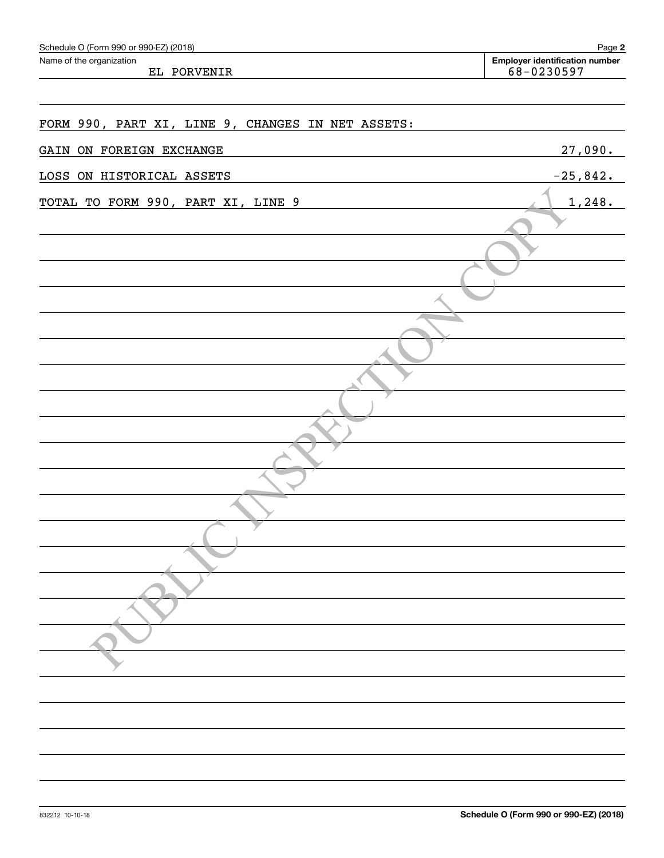| Schedule O (Form 990 or 990-EZ) (2018)<br>Name of the organization | Page 2<br><b>Employer identification number</b> |
|--------------------------------------------------------------------|-------------------------------------------------|
| EL PORVENIR                                                        | 68-0230597                                      |
| FORM 990, PART XI, LINE 9, CHANGES IN NET ASSETS:                  |                                                 |
| GAIN ON FOREIGN EXCHANGE                                           | 27,090.                                         |
| LOSS ON HISTORICAL ASSETS                                          | $-25,842.$                                      |
| TOTAL TO FORM 990, PART XI, LINE 9                                 | 1,248.                                          |
|                                                                    |                                                 |
|                                                                    |                                                 |
|                                                                    |                                                 |
|                                                                    |                                                 |
|                                                                    |                                                 |
|                                                                    |                                                 |
|                                                                    |                                                 |
|                                                                    |                                                 |
|                                                                    |                                                 |
|                                                                    |                                                 |
|                                                                    |                                                 |
|                                                                    |                                                 |
|                                                                    |                                                 |
|                                                                    |                                                 |
|                                                                    |                                                 |
|                                                                    |                                                 |
|                                                                    |                                                 |
|                                                                    |                                                 |
|                                                                    |                                                 |
|                                                                    |                                                 |
|                                                                    |                                                 |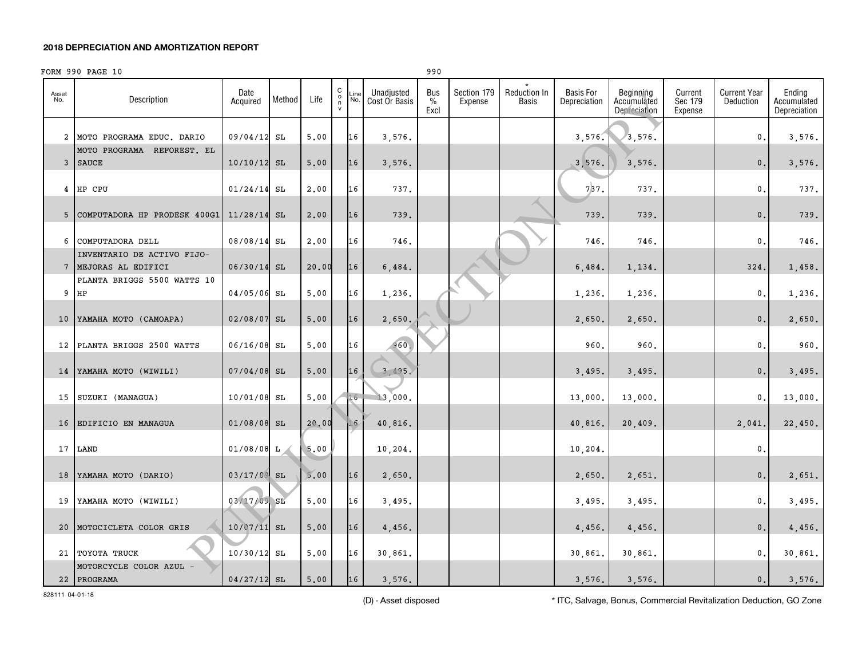|                 | FORM 990 PAGE 10                                                                  |                  |        |       |                                                           |             |                             | 990                 |                        |                       |                                  |                                          |                               |                                  |                                       |
|-----------------|-----------------------------------------------------------------------------------|------------------|--------|-------|-----------------------------------------------------------|-------------|-----------------------------|---------------------|------------------------|-----------------------|----------------------------------|------------------------------------------|-------------------------------|----------------------------------|---------------------------------------|
| Asset<br>No.    | Description                                                                       | Date<br>Acquired | Method | Life  | $\begin{matrix} 0 \\ 0 \\ n \end{matrix}$<br>$\mathsf{v}$ | ∟ine<br>No. | Unadjusted<br>Cost Or Basis | Bus<br>$\%$<br>Excl | Section 179<br>Expense | Reduction In<br>Basis | <b>Basis For</b><br>Depreciation | Beginning<br>Accumulated<br>Depreciation | Current<br>Sec 179<br>Expense | <b>Current Year</b><br>Deduction | Ending<br>Accumulated<br>Depreciation |
|                 | 2 MOTO PROGRAMA EDUC. DARIO                                                       | 09/04/12         | SL     | 5.00  |                                                           | 16          | 3,576.                      |                     |                        |                       | 3,576.                           | 3,576.                                   |                               | $\mathbf{0}$ .                   | 3,576.                                |
|                 | MOTO PROGRAMA REFOREST. EL<br>3 SAUCE                                             | $10/10/12$ SL    |        | 5,00  |                                                           | 16          | 3,576.                      |                     |                        |                       | 3,576.                           | 3,576.                                   |                               | $\mathbf{0}$ .                   | 3,576.                                |
|                 | 4 HP CPU                                                                          | 01/24/14         | SL     | 2,00  |                                                           | 16          | 737.                        |                     |                        |                       | 737.                             | 737.                                     |                               | 0.                               | 737.                                  |
|                 | 5 COMPUTADORA HP PRODESK 400G1                                                    | $11/28/14$ SL    |        | 2,00  |                                                           | 16          | 739.                        |                     |                        |                       | 739                              | 739.                                     |                               | $\mathbf{0}$ .                   | 739.                                  |
|                 | 6 COMPUTADORA DELL                                                                | 08/08/14         | SL     | 2,00  |                                                           | 16          | 746.                        |                     |                        |                       | 746.                             | 746.                                     |                               | 0                                | 746.                                  |
|                 | INVENTARIO DE ACTIVO FIJO-<br>7 MEJORAS AL EDIFICI<br>PLANTA BRIGGS 5500 WATTS 10 | $06/30/14$ SL    |        | 20.00 |                                                           | 16          | 6.484.                      |                     |                        |                       | 6.484.                           | 1.134.                                   |                               | 324                              | 1,458.                                |
|                 | $9$ HP                                                                            | 04/05/06 SL      |        | 5,00  |                                                           | 16          | 1,236.                      |                     |                        |                       | 1,236.                           | 1,236.                                   |                               | 0                                | 1,236.                                |
|                 | 10 YAMAHA MOTO (CAMOAPA)                                                          | $02/08/07$ SL    |        | 5.00  |                                                           | 16          | 2,650.                      |                     |                        |                       | 2,650.                           | 2,650.                                   |                               | $\mathbf{0}$ .                   | 2,650.                                |
| 12 <sup>1</sup> | PLANTA BRIGGS 2500 WATTS                                                          | 06/16/08 SL      |        | 5.00  |                                                           | 16          | 960                         |                     |                        |                       | 960                              | 960.                                     |                               | $\mathbf{0}$ .                   | 960.                                  |
|                 | 14 YAMAHA MOTO (WIWILI)                                                           | $07/04/08$ SL    |        | 5,00  |                                                           | 16          | 3,495.                      |                     |                        |                       | 3,495.                           | 3,495.                                   |                               | $\mathbf{0}$ .                   | 3,495.                                |
| 15              | SUZUKI (MANAGUA)                                                                  | 10/01/08         | SL     | 5.00  |                                                           | 16          | 13,000.                     |                     |                        |                       | 13,000.                          | 13,000.                                  |                               | $\mathbf{0}$ .                   | 13,000.                               |
| 16              | EDIFICIO EN MANAGUA                                                               | $01/08/08$ SL    |        | 20,00 |                                                           | 6           | 40,816.                     |                     |                        |                       | 40.816.                          | 20,409.                                  |                               | 2,041.                           | 22,450.                               |
| 17              | LAND                                                                              | $01/08/08$ L     |        | 5.00  |                                                           |             | 10,204.                     |                     |                        |                       | 10,204.                          |                                          |                               | 0.                               |                                       |
| 18              | YAMAHA MOTO (DARIO)                                                               | 03/17/09 SL      |        | 5.00  |                                                           | 16          | 2,650.                      |                     |                        |                       | 2,650.                           | 2,651.                                   |                               | 0.                               | 2,651.                                |
| 19              | YAMAHA MOTO (WIWILI)                                                              | 03/17/09 SL      |        | 5,00  |                                                           | 16          | 3,495.                      |                     |                        |                       | 3,495.                           | 3,495.                                   |                               | $\mathbf{0}$ .                   | 3,495.                                |
| 20 <sub>2</sub> | MOTOCICLETA COLOR GRIS                                                            | $10/07/11$ SL    |        | 5,00  |                                                           | 16          | 4.456.                      |                     |                        |                       | 4,456.                           | 4.456.                                   |                               | $\mathbf{0}$ .                   | 4,456.                                |
|                 | 21 TOYOTA TRUCK<br>MOTORCYCLE COLOR AZUL -                                        | $10/30/12$ SL    |        | 5,00  |                                                           | 16          | 30,861.                     |                     |                        |                       | 30,861                           | 30.861.                                  |                               | $\mathbf{0}$ .                   | 30,861.                               |
| 828111 04-01-18 | 22 PROGRAMA                                                                       | 04/27/12 SL      |        | 5.00  |                                                           | 16          | 3,576.                      |                     |                        |                       | 3,576.                           | 3,576.                                   |                               | $\mathbf{0}$ .                   | 3,576.                                |
|                 |                                                                                   |                  |        |       |                                                           |             |                             |                     |                        |                       |                                  |                                          |                               |                                  |                                       |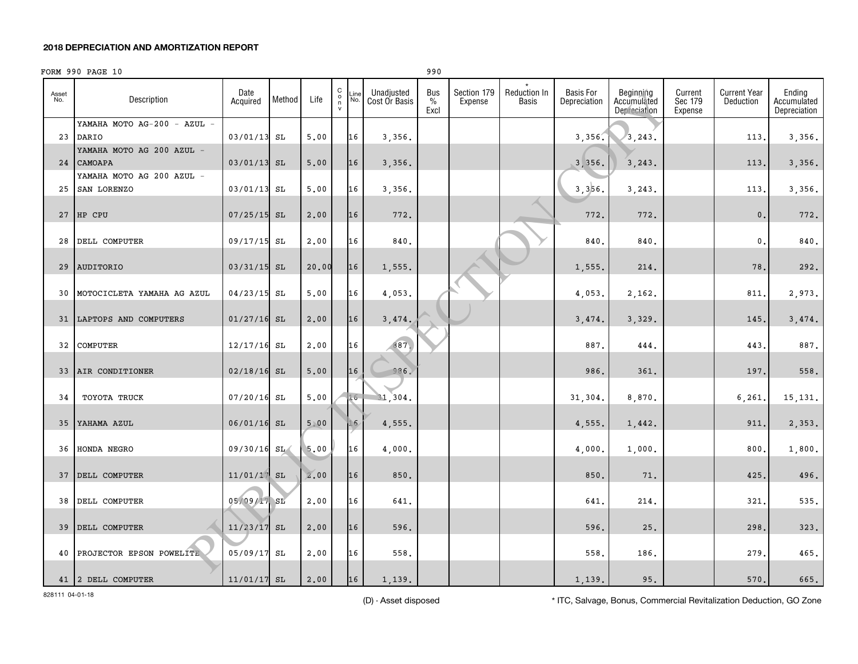| FORM 990 PAGE 10<br>990 |                                         |                  |        |       |                                                 |             |                             |                     |                        |                                     |                                  |                                                 |                               |                                  |                                       |
|-------------------------|-----------------------------------------|------------------|--------|-------|-------------------------------------------------|-------------|-----------------------------|---------------------|------------------------|-------------------------------------|----------------------------------|-------------------------------------------------|-------------------------------|----------------------------------|---------------------------------------|
| Asset<br>No.            | Description                             | Date<br>Acquired | Method | Life  | ${\rm C}$<br>$_{\rm n}^{\rm o}$<br>$\mathsf{v}$ | Line<br>No. | Unadjusted<br>Cost Or Basis | Bus<br>$\%$<br>Excl | Section 179<br>Expense | <b>Reduction In</b><br><b>Basis</b> | <b>Basis For</b><br>Depreciation | Beginning<br><b>Accumulated</b><br>Depreciation | Current<br>Sec 179<br>Expense | <b>Current Year</b><br>Deduction | Ending<br>Accumulated<br>Depreciation |
|                         | YAMAHA MOTO AG-200 - AZUL -             |                  |        |       |                                                 |             |                             |                     |                        |                                     |                                  |                                                 |                               |                                  |                                       |
|                         | 23 DARIO                                | 03/01/13         | SL     | 5,00  |                                                 | 16          | 3,356.                      |                     |                        |                                     | 3,356.                           | 3, 243.                                         |                               | 113,                             | 3,356.                                |
|                         | YAMAHA MOTO AG 200 AZUL -               |                  |        |       |                                                 |             |                             |                     |                        |                                     |                                  |                                                 |                               |                                  |                                       |
|                         | 24 CAMOAPA<br>YAMAHA MOTO AG 200 AZUL - | 03/01/13         | SL     | 5.00  |                                                 | 16          | 3,356.                      |                     |                        |                                     | 3,356.                           | 3, 243.                                         |                               | 113.                             | 3,356.                                |
|                         | 25 SAN LORENZO                          | 03/01/13         | SL     | 5,00  |                                                 | 16          | 3,356.                      |                     |                        |                                     | 3,356.                           | 3,243.                                          |                               | 113.                             | 3,356.                                |
|                         |                                         |                  |        |       |                                                 |             |                             |                     |                        |                                     |                                  |                                                 |                               |                                  |                                       |
|                         | 27 HP CPU                               | $07/25/15$ SL    |        | 2,00  |                                                 | 16          | 772.                        |                     |                        |                                     | 772.                             | 772.                                            |                               | 0.                               | 772.                                  |
|                         |                                         |                  |        |       |                                                 |             |                             |                     |                        |                                     |                                  |                                                 |                               |                                  |                                       |
| 28                      | DELL COMPUTER                           | 09/17/15         | SL     | 2,00  |                                                 | 16          | 840.                        |                     |                        |                                     | 840                              | 840.                                            |                               | $\mathbf{0}$ .                   | 840.                                  |
|                         |                                         |                  |        |       |                                                 |             |                             |                     |                        |                                     |                                  |                                                 |                               |                                  |                                       |
| 29                      | AUDITORIO                               | 03/31/15         | SL     | 20.00 |                                                 | 16          | 1,555.                      |                     |                        |                                     | 1,555.                           | 214.                                            |                               | 78                               | 292.                                  |
|                         | 30 MOTOCICLETA YAMAHA AG AZUL           | $04/23/15$ SL    |        | 5.00  |                                                 | 16          | 4,053.                      |                     |                        |                                     | 4,053.                           | 2,162.                                          |                               | 811.                             | 2,973.                                |
|                         |                                         |                  |        |       |                                                 |             |                             |                     |                        |                                     |                                  |                                                 |                               |                                  |                                       |
|                         | 31 LAPTOPS AND COMPUTERS                | $01/27/16$ SL    |        | 2.00  |                                                 | 16          | 3,474.                      |                     |                        |                                     | 3,474.                           | 3,329.                                          |                               | 145.                             | 3,474.                                |
|                         |                                         |                  |        |       |                                                 |             |                             |                     |                        |                                     |                                  |                                                 |                               |                                  |                                       |
| 32 <sub>1</sub>         | COMPUTER                                | 12/17/16         | SL     | 2,00  |                                                 | 16          | 887.                        |                     |                        |                                     | 887.                             | 444.                                            |                               | 443                              | 887.                                  |
|                         |                                         |                  |        |       |                                                 |             |                             |                     |                        |                                     |                                  |                                                 |                               |                                  |                                       |
|                         | 33 AIR CONDITIONER                      | $02/18/16$ SL    |        | 5.00  |                                                 | 16          | 986.                        |                     |                        |                                     | 986.                             | 361.                                            |                               | 197.                             | 558.                                  |
| 34                      | <b>TOYOTA TRUCK</b>                     | 07/20/16         | SL     | 5,00  |                                                 | 16          | 31,304.                     |                     |                        |                                     | 31,304.                          | 8,870.                                          |                               | 6,261.                           | 15, 131.                              |
|                         |                                         |                  |        |       |                                                 |             |                             |                     |                        |                                     |                                  |                                                 |                               |                                  |                                       |
|                         | 35 YAHAMA AZUL                          | $06/01/16$ SL    |        | 5.00  |                                                 | 6           | 4,555.                      |                     |                        |                                     | 4,555.                           | 1,442.                                          |                               | 911.                             | 2,353.                                |
|                         |                                         |                  |        |       |                                                 |             |                             |                     |                        |                                     |                                  |                                                 |                               |                                  |                                       |
|                         | 36 HONDA NEGRO                          | 09/30/16         | SL     | 5.00  |                                                 | 16          | 4,000.                      |                     |                        |                                     | 4,000.                           | 1,000.                                          |                               | 800.                             | 1,800.                                |
|                         |                                         |                  |        |       |                                                 |             |                             |                     |                        |                                     |                                  |                                                 |                               |                                  |                                       |
|                         | 37 DELL COMPUTER                        | $11/01/17$ SL    |        | 2.00  |                                                 | 16          | 850.                        |                     |                        |                                     | 850.                             | 71.                                             |                               | 425.                             | 496.                                  |
| 38                      | DELL COMPUTER                           | 05/09/17         | SL     | 2,00  |                                                 | 16          | 641.                        |                     |                        |                                     | 641.                             | 214.                                            |                               | 321.                             | 535.                                  |
|                         |                                         |                  |        |       |                                                 |             |                             |                     |                        |                                     |                                  |                                                 |                               |                                  |                                       |
| 39                      | DELL COMPUTER                           | $11/23/17$ SL    |        | 2,00  |                                                 | 16          | 596.                        |                     |                        |                                     | 596.                             | 25.                                             |                               | 298                              | 323.                                  |
|                         |                                         |                  |        |       |                                                 |             |                             |                     |                        |                                     |                                  |                                                 |                               |                                  |                                       |
| 40                      | PROJECTOR EPSON POWELITE                | 05/09/17         | SL     | 2,00  |                                                 | 16          | 558.                        |                     |                        |                                     | 558.                             | 186.                                            |                               | 279.                             | 465.                                  |
|                         |                                         |                  |        |       |                                                 |             |                             |                     |                        |                                     |                                  |                                                 |                               |                                  |                                       |
|                         | 41 2 DELL COMPUTER                      | $11/01/17$ SL    |        | 2,00  |                                                 | 16          | 1,139.                      |                     |                        |                                     | 1,139.                           | 95.                                             |                               | 570                              | 665.                                  |

828111 04-01-18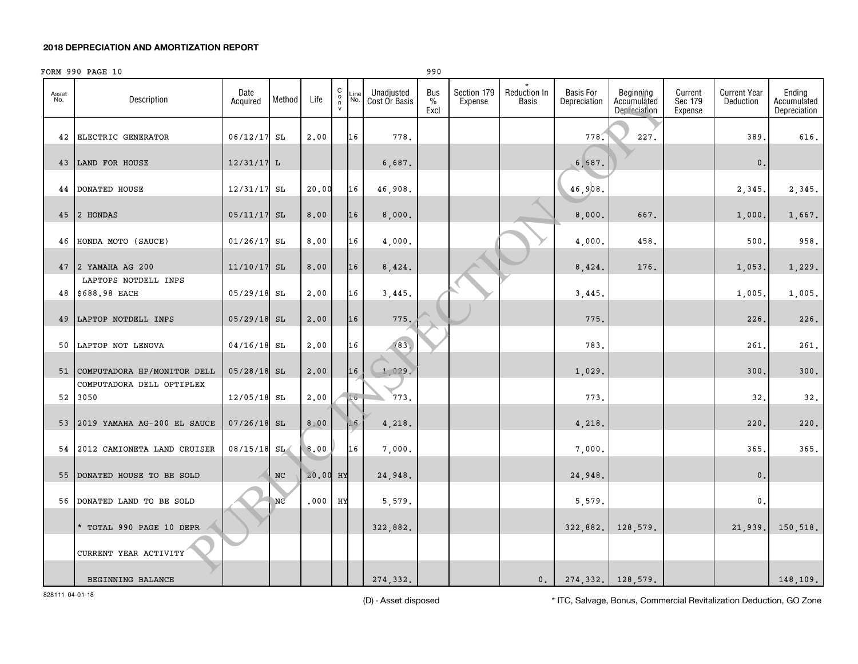|              | FORM 990 PAGE 10                         |                  |        |          |                                                   |             |                             | 990                 |                        |                              |                                  |                                          |                               |                                  |                                       |
|--------------|------------------------------------------|------------------|--------|----------|---------------------------------------------------|-------------|-----------------------------|---------------------|------------------------|------------------------------|----------------------------------|------------------------------------------|-------------------------------|----------------------------------|---------------------------------------|
| Asset<br>No. | Description                              | Date<br>Acquired | Method | Life     | $\begin{smallmatrix} 0 \\ 0 \\ \end{smallmatrix}$ | Line<br>No. | Unadjusted<br>Cost Or Basis | Bus<br>$\%$<br>Excl | Section 179<br>Expense | Reduction In<br><b>Basis</b> | <b>Basis For</b><br>Depreciation | Beginning<br>Accumulated<br>Depreciation | Current<br>Sec 179<br>Expense | <b>Current Year</b><br>Deduction | Ending<br>Accumulated<br>Depreciation |
| 42           | ELECTRIC GENERATOR                       | 06/12/17 SL      |        | 2,00     |                                                   | 16          | 778.                        |                     |                        |                              | 778.                             | 227.                                     |                               | 389                              | 616.                                  |
| 43           | <b>LAND FOR HOUSE</b>                    | $12/31/17$ L     |        |          |                                                   |             | 6,687.                      |                     |                        |                              | 6,687.                           |                                          |                               | $\mathbf{0}$ .                   |                                       |
|              | <b>44 DONATED HOUSE</b>                  | 12/31/17 SL      |        | 20.00    |                                                   | 16          | 46,908.                     |                     |                        |                              | 46,908.                          |                                          |                               | 2,345.                           | 2,345.                                |
|              | 45 2 HONDAS                              | $05/11/17$ SL    |        | 8.00     |                                                   | 16          | 8,000.                      |                     |                        |                              | 8,000.                           | 667.                                     |                               | 1,000.                           | 1,667.                                |
|              | 46 HONDA MOTO (SAUCE)                    | $01/26/17$ SL    |        | 8,00     |                                                   | 16          | 4,000.                      |                     |                        |                              | 4,000.                           | 458.                                     |                               | 500                              | 958.                                  |
|              | 47 2 YAMAHA AG 200                       | $11/10/17$ SL    |        | 8,00     |                                                   | 16          | 8,424.                      |                     |                        |                              | 8,424.                           | 176.                                     |                               | 1,053                            | 1,229.                                |
|              | LAPTOPS NOTDELL INPS<br>48 \$688.98 EACH | $05/29/18$ SL    |        | 2,00     |                                                   | 16          | 3,445.                      |                     |                        |                              | 3,445.                           |                                          |                               | 1,005                            | 1,005.                                |
| 49           | LAPTOP NOTDELL INPS                      | $05/29/18$ SL    |        | 2,00     |                                                   | 16          | 775.                        |                     |                        |                              | 775.                             |                                          |                               | 226                              | 226.                                  |
| 50           | LAPTOP NOT LENOVA                        | $04/16/18$ SL    |        | 2.00     |                                                   | 16          | 783.                        |                     |                        |                              | 783.                             |                                          |                               | 261                              | 261.                                  |
|              | 51 COMPUTADORA HP/MONITOR DELL           | $05/28/18$ SL    |        | 2.00     |                                                   | 16          | 1,029                       |                     |                        |                              | 1,029.                           |                                          |                               | 300                              | 300.                                  |
|              | COMPUTADORA DELL OPTIPLEX<br>52 3050     | 12/05/18 SL      |        | 2,00     |                                                   | 16          | 773.                        |                     |                        |                              | 773.                             |                                          |                               | 32                               | 32.                                   |
|              | 53 2019 YAMAHA AG-200 EL SAUCE           | $07/26/18$ SL    |        | 8.00     |                                                   | 16          | 4,218.                      |                     |                        |                              | 4,218.                           |                                          |                               | 220                              | 220.                                  |
|              | 54 2012 CAMIONETA LAND CRUISER           | 08/15/18 SL      |        | 8,00     |                                                   | 16          | 7,000.                      |                     |                        |                              | 7,000.                           |                                          |                               | 365                              | 365.                                  |
| 55           | DONATED HOUSE TO BE SOLD                 |                  | NC     | 20.00 HY |                                                   |             | 24,948.                     |                     |                        |                              | 24,948.                          |                                          |                               | $\mathbf{0}$ .                   |                                       |
|              | 56 DONATED LAND TO BE SOLD               |                  | NC     | .000     | HY                                                |             | 5,579.                      |                     |                        |                              | 5,579.                           |                                          |                               | $\mathbf{0}$ .                   |                                       |
|              | * TOTAL 990 PAGE 10 DEPR                 |                  |        |          |                                                   |             | 322,882.                    |                     |                        |                              | 322,882.                         | 128,579.                                 |                               | 21,939.                          | 150,518.                              |
|              | CURRENT YEAR ACTIVITY                    |                  |        |          |                                                   |             |                             |                     |                        |                              |                                  |                                          |                               |                                  |                                       |
|              | BEGINNING BALANCE                        |                  |        |          |                                                   |             | 274,332.                    |                     |                        | 0.                           |                                  | $274,332.$ 128,579.                      |                               |                                  | 148,109.                              |